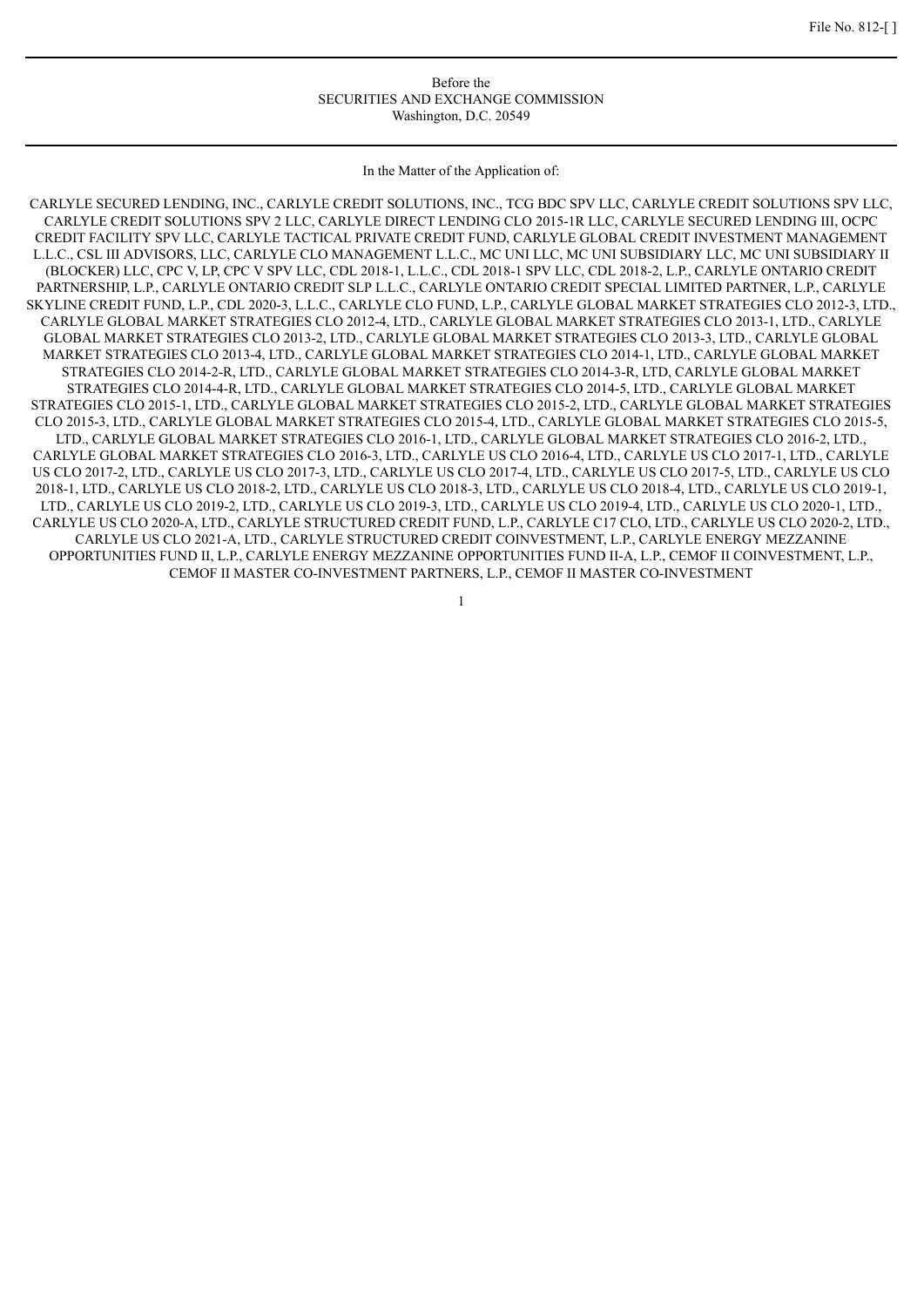#### Before the SECURITIES AND EXCHANGE COMMISSION Washington, D.C. 20549

In the Matter of the Application of:

CARLYLE SECURED LENDING, INC., CARLYLE CREDIT SOLUTIONS, INC., TCG BDC SPV LLC, CARLYLE CREDIT SOLUTIONS SPV LLC, CARLYLE CREDIT SOLUTIONS SPV 2 LLC, CARLYLE DIRECT LENDING CLO 2015-1R LLC, CARLYLE SECURED LENDING III, OCPC CREDIT FACILITY SPV LLC, CARLYLE TACTICAL PRIVATE CREDIT FUND, CARLYLE GLOBAL CREDIT INVESTMENT MANAGEMENT L.L.C., CSL III ADVISORS, LLC, CARLYLE CLO MANAGEMENT L.L.C., MC UNI LLC, MC UNI SUBSIDIARY LLC, MC UNI SUBSIDIARY II (BLOCKER) LLC, CPC V, LP, CPC V SPV LLC, CDL 2018-1, L.L.C., CDL 2018-1 SPV LLC, CDL 2018-2, L.P., CARLYLE ONTARIO CREDIT PARTNERSHIP, L.P., CARLYLE ONTARIO CREDIT SLP L.L.C., CARLYLE ONTARIO CREDIT SPECIAL LIMITED PARTNER, L.P., CARLYLE SKYLINE CREDIT FUND, L.P., CDL 2020-3, L.L.C., CARLYLE CLO FUND, L.P., CARLYLE GLOBAL MARKET STRATEGIES CLO 2012-3, LTD., CARLYLE GLOBAL MARKET STRATEGIES CLO 2012-4, LTD., CARLYLE GLOBAL MARKET STRATEGIES CLO 2013-1, LTD., CARLYLE GLOBAL MARKET STRATEGIES CLO 2013-2, LTD., CARLYLE GLOBAL MARKET STRATEGIES CLO 2013-3, LTD., CARLYLE GLOBAL MARKET STRATEGIES CLO 2013-4, LTD., CARLYLE GLOBAL MARKET STRATEGIES CLO 2014-1, LTD., CARLYLE GLOBAL MARKET STRATEGIES CLO 2014-2-R, LTD., CARLYLE GLOBAL MARKET STRATEGIES CLO 2014-3-R, LTD, CARLYLE GLOBAL MARKET STRATEGIES CLO 2014-4-R, LTD., CARLYLE GLOBAL MARKET STRATEGIES CLO 2014-5, LTD., CARLYLE GLOBAL MARKET STRATEGIES CLO 2015-1, LTD., CARLYLE GLOBAL MARKET STRATEGIES CLO 2015-2, LTD., CARLYLE GLOBAL MARKET STRATEGIES CLO 2015-3, LTD., CARLYLE GLOBAL MARKET STRATEGIES CLO 2015-4, LTD., CARLYLE GLOBAL MARKET STRATEGIES CLO 2015-5, LTD., CARLYLE GLOBAL MARKET STRATEGIES CLO 2016-1, LTD., CARLYLE GLOBAL MARKET STRATEGIES CLO 2016-2, LTD., CARLYLE GLOBAL MARKET STRATEGIES CLO 2016-3, LTD., CARLYLE US CLO 2016-4, LTD., CARLYLE US CLO 2017-1, LTD., CARLYLE US CLO 2017-2, LTD., CARLYLE US CLO 2017-3, LTD., CARLYLE US CLO 2017-4, LTD., CARLYLE US CLO 2017-5, LTD., CARLYLE US CLO 2018-1, LTD., CARLYLE US CLO 2018-2, LTD., CARLYLE US CLO 2018-3, LTD., CARLYLE US CLO 2018-4, LTD., CARLYLE US CLO 2019-1, LTD., CARLYLE US CLO 2019-2, LTD., CARLYLE US CLO 2019-3, LTD., CARLYLE US CLO 2019-4, LTD., CARLYLE US CLO 2020-1, LTD., CARLYLE US CLO 2020-A, LTD., CARLYLE STRUCTURED CREDIT FUND, L.P., CARLYLE C17 CLO, LTD., CARLYLE US CLO 2020-2, LTD., CARLYLE US CLO 2021-A, LTD., CARLYLE STRUCTURED CREDIT COINVESTMENT, L.P., CARLYLE ENERGY MEZZANINE OPPORTUNITIES FUND II, L.P., CARLYLE ENERGY MEZZANINE OPPORTUNITIES FUND II-A, L.P., CEMOF II COINVESTMENT, L.P., CEMOF II MASTER CO-INVESTMENT PARTNERS, L.P., CEMOF II MASTER CO-INVESTMENT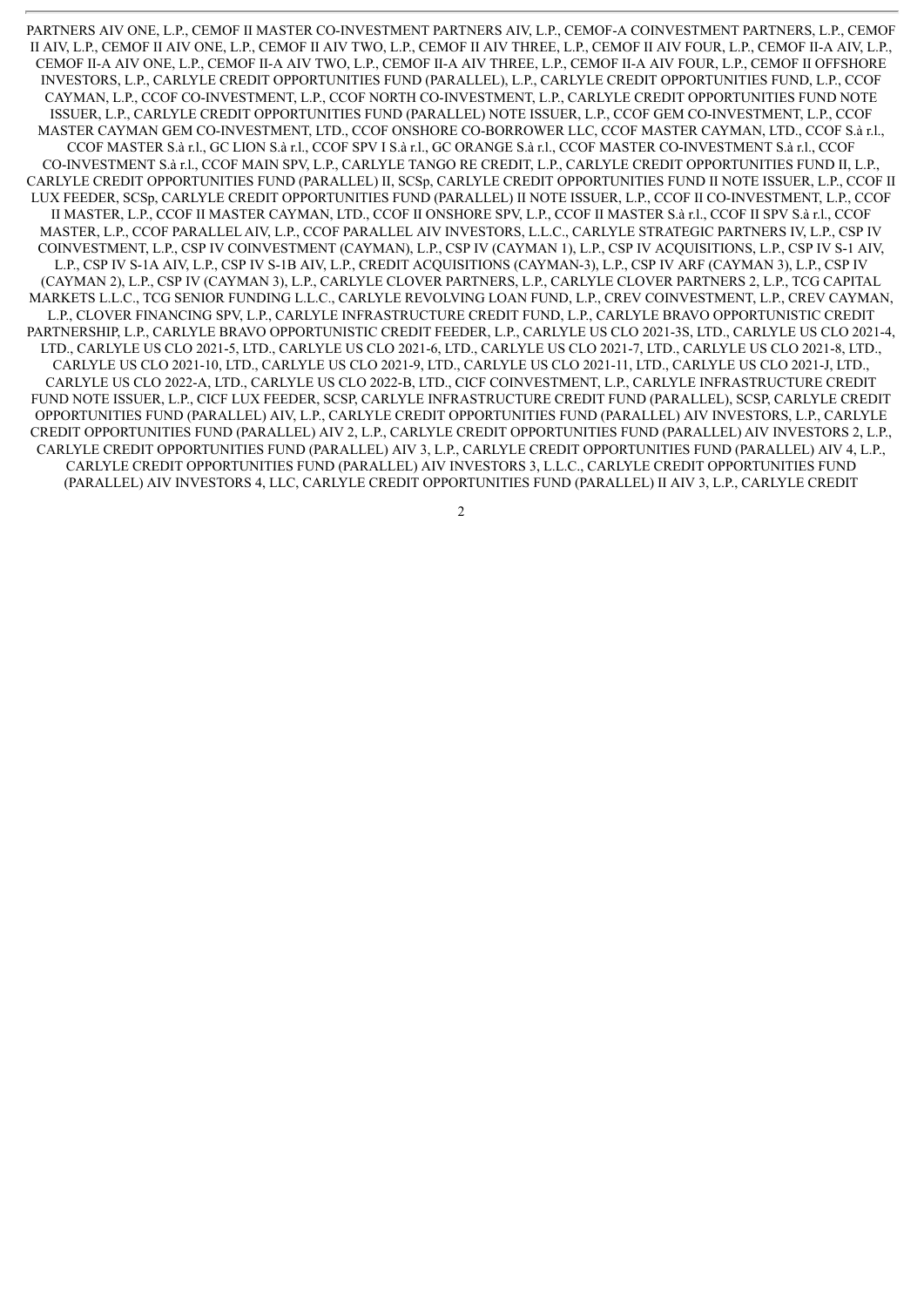PARTNERS AIV ONE, L.P., CEMOF II MASTER CO-INVESTMENT PARTNERS AIV, L.P., CEMOF-A COINVESTMENT PARTNERS, L.P., CEMOF II AIV, L.P., CEMOF II AIV ONE, L.P., CEMOF II AIV TWO, L.P., CEMOF II AIV THREE, L.P., CEMOF II AIV FOUR, L.P., CEMOF II-A AIV, L.P., CEMOF II-A AIV ONE, L.P., CEMOF II-A AIV TWO, L.P., CEMOF II-A AIV THREE, L.P., CEMOF II-A AIV FOUR, L.P., CEMOF II OFFSHORE INVESTORS, L.P., CARLYLE CREDIT OPPORTUNITIES FUND (PARALLEL), L.P., CARLYLE CREDIT OPPORTUNITIES FUND, L.P., CCOF CAYMAN, L.P., CCOF CO-INVESTMENT, L.P., CCOF NORTH CO-INVESTMENT, L.P., CARLYLE CREDIT OPPORTUNITIES FUND NOTE ISSUER, L.P., CARLYLE CREDIT OPPORTUNITIES FUND (PARALLEL) NOTE ISSUER, L.P., CCOF GEM CO-INVESTMENT, L.P., CCOF MASTER CAYMAN GEM CO-INVESTMENT, LTD., CCOF ONSHORE CO-BORROWER LLC, CCOF MASTER CAYMAN, LTD., CCOF S.à r.l., CCOF MASTER S.à r.l., GC LION S.à r.l., CCOF SPV I S.à r.l., GC ORANGE S.à r.l., CCOF MASTER CO-INVESTMENT S.à r.l., CCOF CO-INVESTMENT S.à r.l., CCOF MAIN SPV, L.P., CARLYLE TANGO RE CREDIT, L.P., CARLYLE CREDIT OPPORTUNITIES FUND II, L.P., CARLYLE CREDIT OPPORTUNITIES FUND (PARALLEL) II, SCSp, CARLYLE CREDIT OPPORTUNITIES FUND II NOTE ISSUER, L.P., CCOF II LUX FEEDER, SCSp, CARLYLE CREDIT OPPORTUNITIES FUND (PARALLEL) II NOTE ISSUER, L.P., CCOF II CO-INVESTMENT, L.P., CCOF II MASTER, L.P., CCOF II MASTER CAYMAN, LTD., CCOF II ONSHORE SPV, L.P., CCOF II MASTER S.à r.l., CCOF II SPV S.à r.l., CCOF MASTER, L.P., CCOF PARALLEL AIV, L.P., CCOF PARALLEL AIV INVESTORS, L.L.C., CARLYLE STRATEGIC PARTNERS IV, L.P., CSP IV COINVESTMENT, L.P., CSP IV COINVESTMENT (CAYMAN), L.P., CSP IV (CAYMAN 1), L.P., CSP IV ACQUISITIONS, L.P., CSP IV S-1 AIV, L.P., CSP IV S-1A AIV, L.P., CSP IV S-1B AIV, L.P., CREDIT ACQUISITIONS (CAYMAN-3), L.P., CSP IV ARF (CAYMAN 3), L.P., CSP IV (CAYMAN 2), L.P., CSP IV (CAYMAN 3), L.P., CARLYLE CLOVER PARTNERS, L.P., CARLYLE CLOVER PARTNERS 2, L.P., TCG CAPITAL MARKETS L.L.C., TCG SENIOR FUNDING L.L.C., CARLYLE REVOLVING LOAN FUND, L.P., CREV COINVESTMENT, L.P., CREV CAYMAN, L.P., CLOVER FINANCING SPV, L.P., CARLYLE INFRASTRUCTURE CREDIT FUND, L.P., CARLYLE BRAVO OPPORTUNISTIC CREDIT PARTNERSHIP, L.P., CARLYLE BRAVO OPPORTUNISTIC CREDIT FEEDER, L.P., CARLYLE US CLO 2021-3S, LTD., CARLYLE US CLO 2021-4, LTD., CARLYLE US CLO 2021-5, LTD., CARLYLE US CLO 2021-6, LTD., CARLYLE US CLO 2021-7, LTD., CARLYLE US CLO 2021-8, LTD., CARLYLE US CLO 2021-10, LTD., CARLYLE US CLO 2021-9, LTD., CARLYLE US CLO 2021-11, LTD., CARLYLE US CLO 2021-J, LTD., CARLYLE US CLO 2022-A, LTD., CARLYLE US CLO 2022-B, LTD., CICF COINVESTMENT, L.P., CARLYLE INFRASTRUCTURE CREDIT FUND NOTE ISSUER, L.P., CICF LUX FEEDER, SCSP, CARLYLE INFRASTRUCTURE CREDIT FUND (PARALLEL), SCSP, CARLYLE CREDIT OPPORTUNITIES FUND (PARALLEL) AIV, L.P., CARLYLE CREDIT OPPORTUNITIES FUND (PARALLEL) AIV INVESTORS, L.P., CARLYLE CREDIT OPPORTUNITIES FUND (PARALLEL) AIV 2, L.P., CARLYLE CREDIT OPPORTUNITIES FUND (PARALLEL) AIV INVESTORS 2, L.P., CARLYLE CREDIT OPPORTUNITIES FUND (PARALLEL) AIV 3, L.P., CARLYLE CREDIT OPPORTUNITIES FUND (PARALLEL) AIV 4, L.P., CARLYLE CREDIT OPPORTUNITIES FUND (PARALLEL) AIV INVESTORS 3, L.L.C., CARLYLE CREDIT OPPORTUNITIES FUND (PARALLEL) AIV INVESTORS 4, LLC, CARLYLE CREDIT OPPORTUNITIES FUND (PARALLEL) II AIV 3, L.P., CARLYLE CREDIT

 $\overline{2}$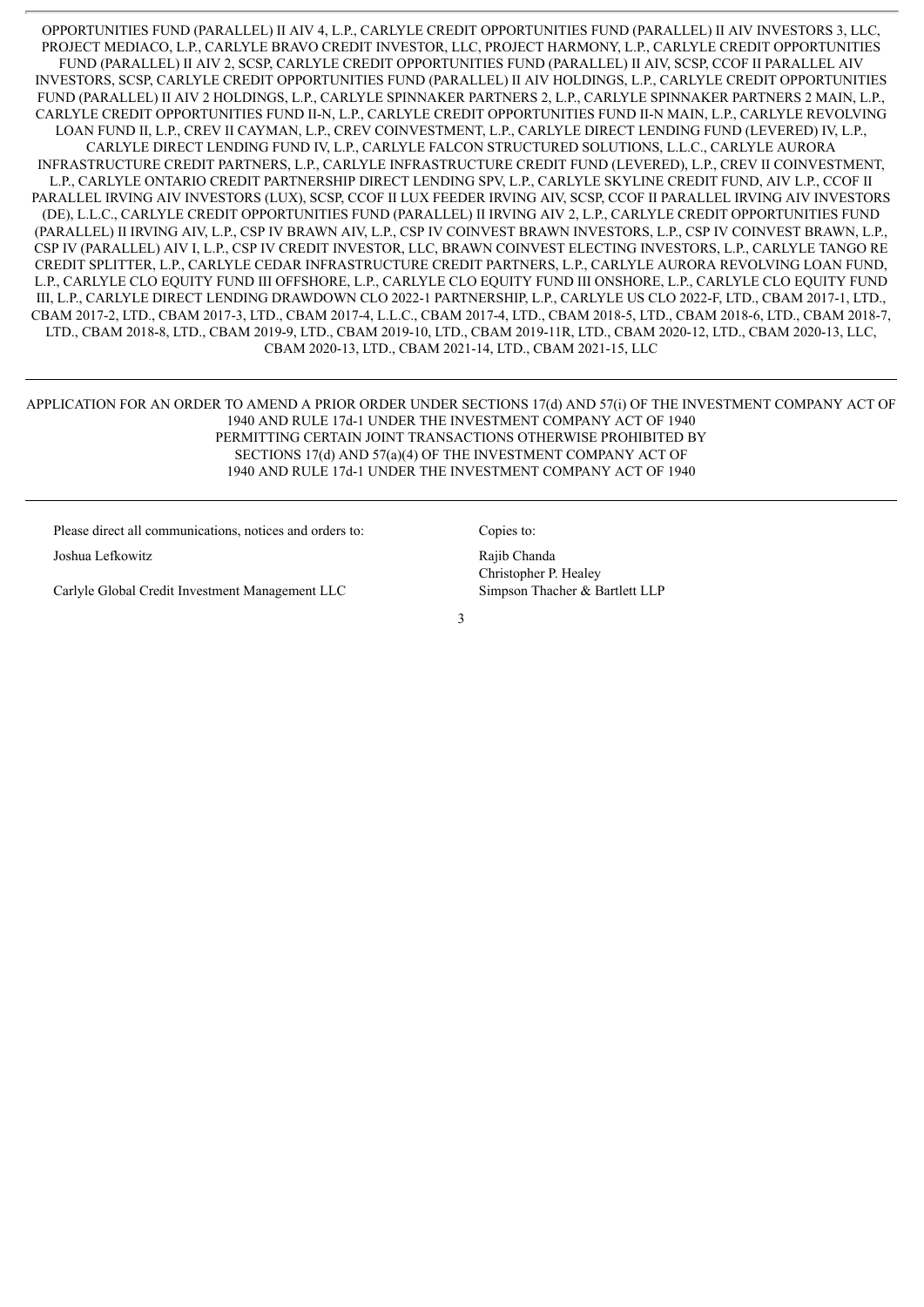OPPORTUNITIES FUND (PARALLEL) II AIV 4, L.P., CARLYLE CREDIT OPPORTUNITIES FUND (PARALLEL) II AIV INVESTORS 3, LLC, PROJECT MEDIACO, L.P., CARLYLE BRAVO CREDIT INVESTOR, LLC, PROJECT HARMONY, L.P., CARLYLE CREDIT OPPORTUNITIES FUND (PARALLEL) II AIV 2, SCSP, CARLYLE CREDIT OPPORTUNITIES FUND (PARALLEL) II AIV, SCSP, CCOF II PARALLEL AIV INVESTORS, SCSP, CARLYLE CREDIT OPPORTUNITIES FUND (PARALLEL) II AIV HOLDINGS, L.P., CARLYLE CREDIT OPPORTUNITIES FUND (PARALLEL) II AIV 2 HOLDINGS, L.P., CARLYLE SPINNAKER PARTNERS 2, L.P., CARLYLE SPINNAKER PARTNERS 2 MAIN, L.P., CARLYLE CREDIT OPPORTUNITIES FUND II-N, L.P., CARLYLE CREDIT OPPORTUNITIES FUND II-N MAIN, L.P., CARLYLE REVOLVING LOAN FUND II, L.P., CREV II CAYMAN, L.P., CREV COINVESTMENT, L.P., CARLYLE DIRECT LENDING FUND (LEVERED) IV, L.P., CARLYLE DIRECT LENDING FUND IV, L.P., CARLYLE FALCON STRUCTURED SOLUTIONS, L.L.C., CARLYLE AURORA INFRASTRUCTURE CREDIT PARTNERS, L.P., CARLYLE INFRASTRUCTURE CREDIT FUND (LEVERED), L.P., CREV II COINVESTMENT, L.P., CARLYLE ONTARIO CREDIT PARTNERSHIP DIRECT LENDING SPV, L.P., CARLYLE SKYLINE CREDIT FUND, AIV L.P., CCOF II PARALLEL IRVING AIV INVESTORS (LUX), SCSP, CCOF II LUX FEEDER IRVING AIV, SCSP, CCOF II PARALLEL IRVING AIV INVESTORS (DE), L.L.C., CARLYLE CREDIT OPPORTUNITIES FUND (PARALLEL) II IRVING AIV 2, L.P., CARLYLE CREDIT OPPORTUNITIES FUND (PARALLEL) II IRVING AIV, L.P., CSP IV BRAWN AIV, L.P., CSP IV COINVEST BRAWN INVESTORS, L.P., CSP IV COINVEST BRAWN, L.P., CSP IV (PARALLEL) AIV I, L.P., CSP IV CREDIT INVESTOR, LLC, BRAWN COINVEST ELECTING INVESTORS, L.P., CARLYLE TANGO RE CREDIT SPLITTER, L.P., CARLYLE CEDAR INFRASTRUCTURE CREDIT PARTNERS, L.P., CARLYLE AURORA REVOLVING LOAN FUND, L.P., CARLYLE CLO EQUITY FUND III OFFSHORE, L.P., CARLYLE CLO EQUITY FUND III ONSHORE, L.P., CARLYLE CLO EQUITY FUND III, L.P., CARLYLE DIRECT LENDING DRAWDOWN CLO 2022-1 PARTNERSHIP, L.P., CARLYLE US CLO 2022-F, LTD., CBAM 2017-1, LTD., CBAM 2017-2, LTD., CBAM 2017-3, LTD., CBAM 2017-4, L.L.C., CBAM 2017-4, LTD., CBAM 2018-5, LTD., CBAM 2018-6, LTD., CBAM 2018-7, LTD., CBAM 2018-8, LTD., CBAM 2019-9, LTD., CBAM 2019-10, LTD., CBAM 2019-11R, LTD., CBAM 2020-12, LTD., CBAM 2020-13, LLC, CBAM 2020-13, LTD., CBAM 2021-14, LTD., CBAM 2021-15, LLC

APPLICATION FOR AN ORDER TO AMEND A PRIOR ORDER UNDER SECTIONS 17(d) AND 57(i) OF THE INVESTMENT COMPANY ACT OF 1940 AND RULE 17d-1 UNDER THE INVESTMENT COMPANY ACT OF 1940 PERMITTING CERTAIN JOINT TRANSACTIONS OTHERWISE PROHIBITED BY SECTIONS 17(d) AND 57(a)(4) OF THE INVESTMENT COMPANY ACT OF 1940 AND RULE 17d-1 UNDER THE INVESTMENT COMPANY ACT OF 1940

Please direct all communications, notices and orders to: Copies to: Joshua Lefkowitz **Rajib Chanda** 

Carlyle Global Credit Investment Management LLC Simpson Thacher & Bartlett LLP

Christopher P. Healey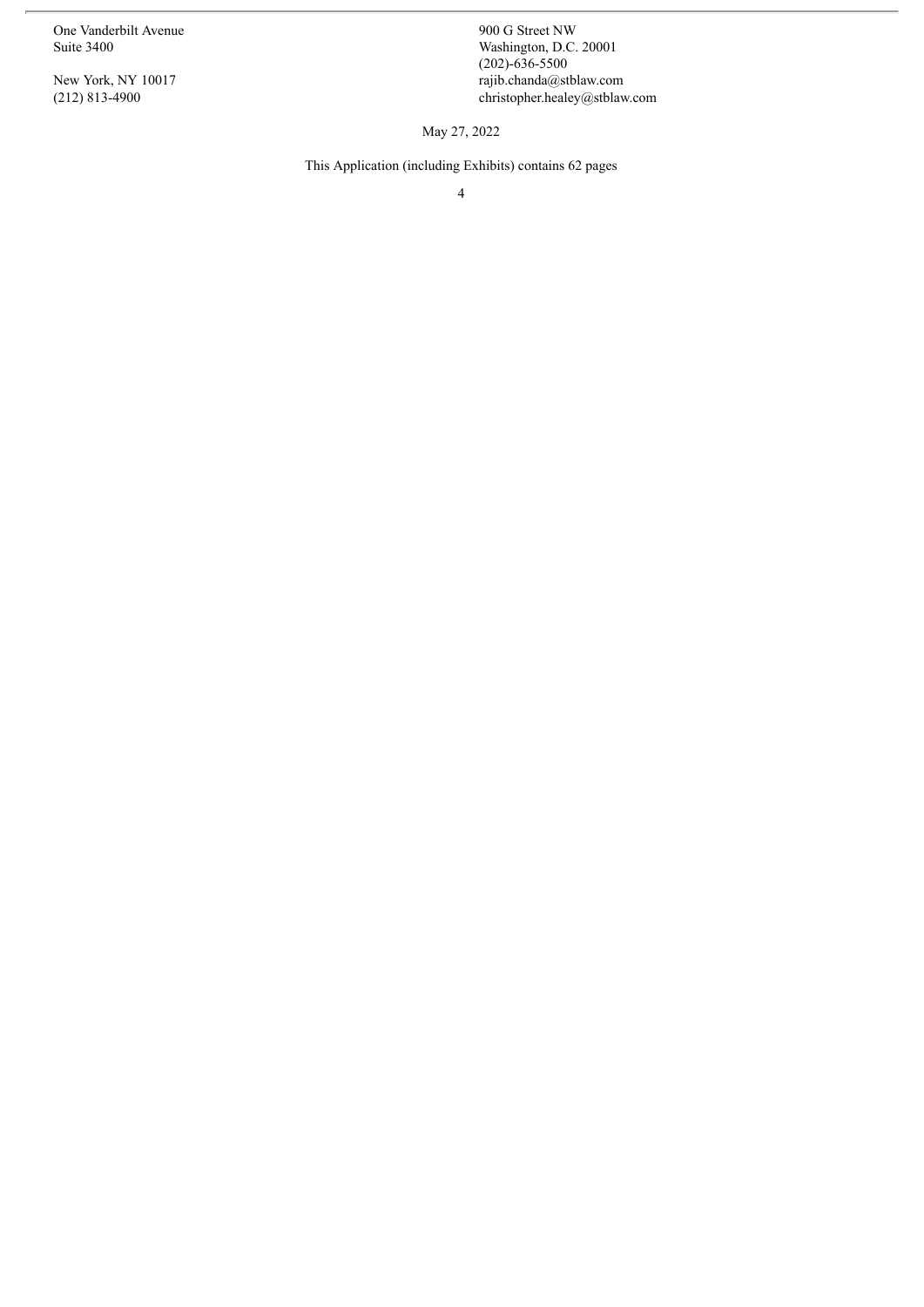One Vanderbilt Avenue<br>Suite 3400

New York, NY 10017 (212) 813-4900

900 G Street NW<br>Washington, D.C. 20001  $(202) - 636 - 5500$ rajib.chanda@stblaw.com christopher.healey@stblaw.com

May 27, 2022

This Application (including Exhibits) contains 62 pages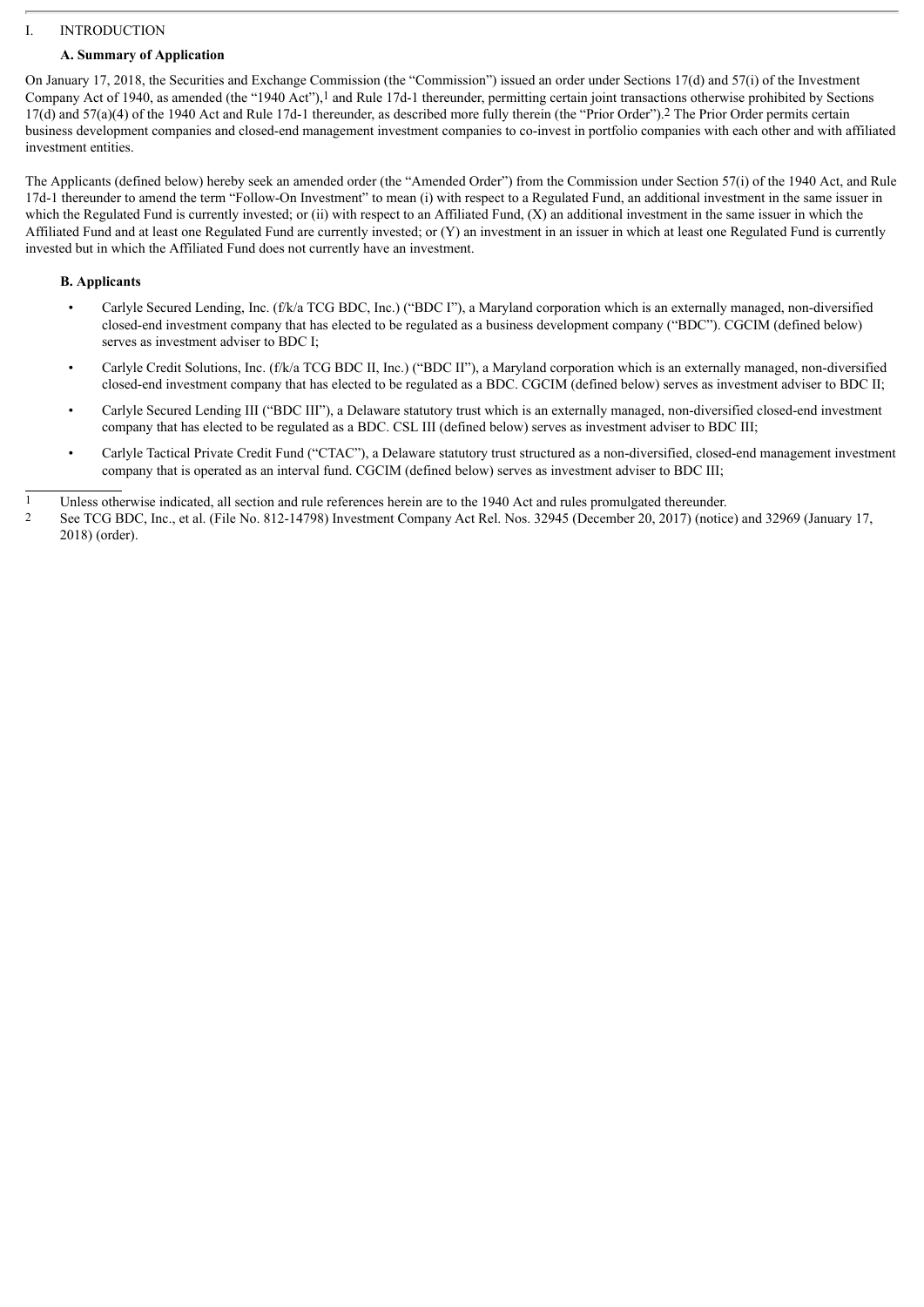# I. INTRODUCTION

## **A. Summary of Application**

On January 17, 2018, the Securities and Exchange Commission (the "Commission") issued an order under Sections 17(d) and 57(i) of the Investment Company Act of 1940, as amended (the "1940 Act"),1 and Rule 17d-1 thereunder, permitting certain joint transactions otherwise prohibited by Sections 17(d) and 57(a)(4) of the 1940 Act and Rule 17d-1 thereunder, as described more fully therein (the "Prior Order").2 The Prior Order permits certain business development companies and closed-end management investment companies to co-invest in portfolio companies with each other and with affiliated investment entities.

The Applicants (defined below) hereby seek an amended order (the "Amended Order") from the Commission under Section 57(i) of the 1940 Act, and Rule 17d-1 thereunder to amend the term "Follow-On Investment" to mean (i) with respect to a Regulated Fund, an additional investment in the same issuer in which the Regulated Fund is currently invested; or (ii) with respect to an Affiliated Fund, (X) an additional investment in the same issuer in which the Affiliated Fund and at least one Regulated Fund are currently invested; or (Y) an investment in an issuer in which at least one Regulated Fund is currently invested but in which the Affiliated Fund does not currently have an investment.

## **B. Applicants**

- Carlyle Secured Lending, Inc. (f/k/a TCG BDC, Inc.) ("BDC I"), a Maryland corporation which is an externally managed, non-diversified closed-end investment company that has elected to be regulated as a business development company ("BDC"). CGCIM (defined below) serves as investment adviser to BDC I;
- Carlyle Credit Solutions, Inc. (f/k/a TCG BDC II, Inc.) ("BDC II"), a Maryland corporation which is an externally managed, non-diversified closed-end investment company that has elected to be regulated as a BDC. CGCIM (defined below) serves as investment adviser to BDC II;
- Carlyle Secured Lending III ("BDC III"), a Delaware statutory trust which is an externally managed, non-diversified closed-end investment company that has elected to be regulated as a BDC. CSL III (defined below) serves as investment adviser to BDC III;
- Carlyle Tactical Private Credit Fund ("CTAC"), a Delaware statutory trust structured as a non-diversified, closed-end management investment company that is operated as an interval fund. CGCIM (defined below) serves as investment adviser to BDC III;

1 Unless otherwise indicated, all section and rule references herein are to the 1940 Act and rules promulgated thereunder.

2 See TCG BDC, Inc., et al. (File No. 812-14798) Investment Company Act Rel. Nos. 32945 (December 20, 2017) (notice) and 32969 (January 17, 2018) (order).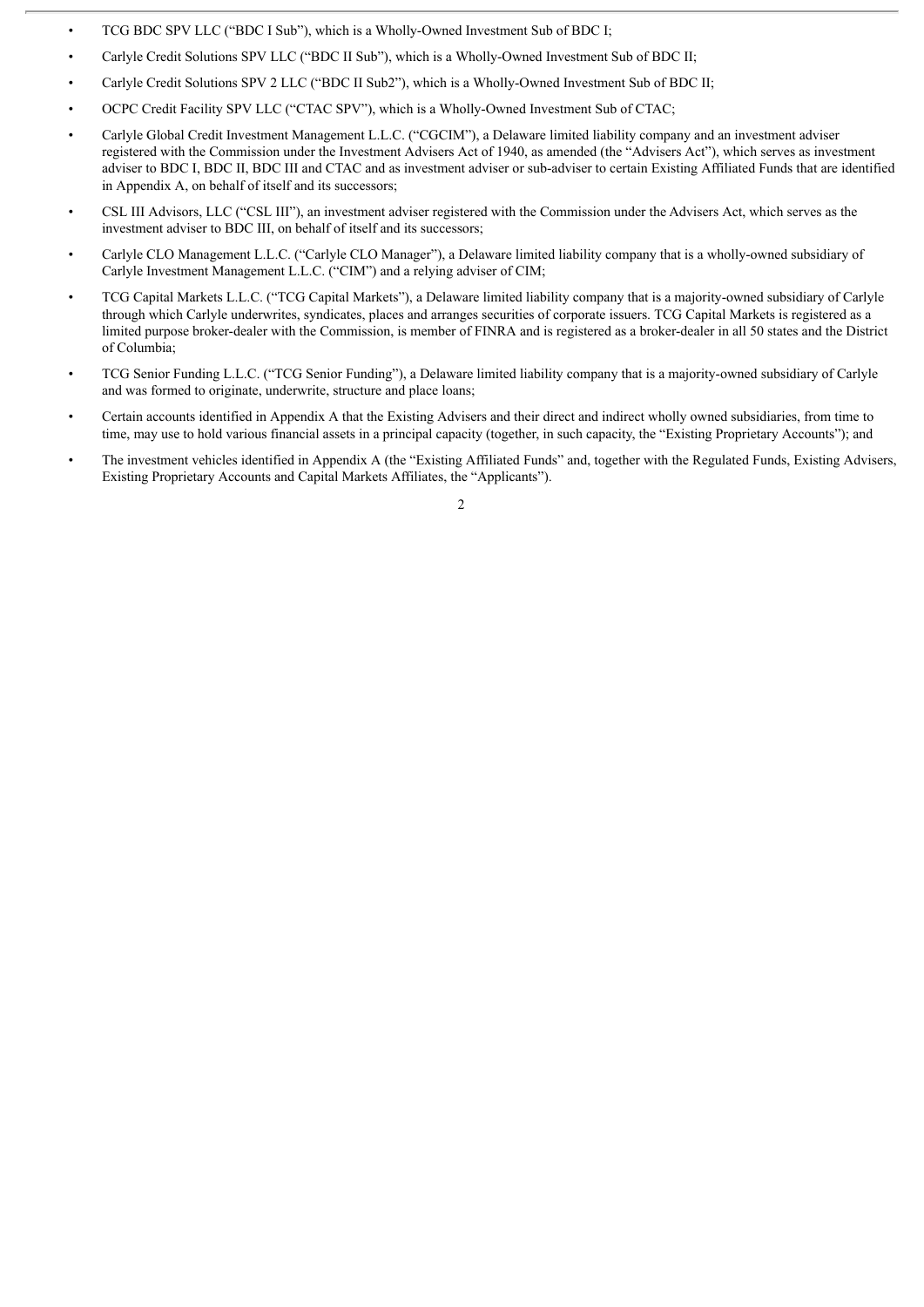- TCG BDC SPV LLC ("BDC I Sub"), which is a Wholly-Owned Investment Sub of BDC I;
- Carlyle Credit Solutions SPV LLC ("BDC II Sub"), which is a Wholly-Owned Investment Sub of BDC II;
- Carlyle Credit Solutions SPV 2 LLC ("BDC II Sub2"), which is a Wholly-Owned Investment Sub of BDC II;
- OCPC Credit Facility SPV LLC ("CTAC SPV"), which is a Wholly-Owned Investment Sub of CTAC;
- Carlyle Global Credit Investment Management L.L.C. ("CGCIM"), a Delaware limited liability company and an investment adviser registered with the Commission under the Investment Advisers Act of 1940, as amended (the "Advisers Act"), which serves as investment adviser to BDC I, BDC II, BDC III and CTAC and as investment adviser or sub-adviser to certain Existing Affiliated Funds that are identified in Appendix A, on behalf of itself and its successors;
- CSL III Advisors, LLC ("CSL III"), an investment adviser registered with the Commission under the Advisers Act, which serves as the investment adviser to BDC III, on behalf of itself and its successors;
- Carlyle CLO Management L.L.C. ("Carlyle CLO Manager"), a Delaware limited liability company that is a wholly-owned subsidiary of Carlyle Investment Management L.L.C. ("CIM") and a relying adviser of CIM;
- TCG Capital Markets L.L.C. ("TCG Capital Markets"), a Delaware limited liability company that is a majority-owned subsidiary of Carlyle through which Carlyle underwrites, syndicates, places and arranges securities of corporate issuers. TCG Capital Markets is registered as a limited purpose broker-dealer with the Commission, is member of FINRA and is registered as a broker-dealer in all 50 states and the District of Columbia;
- TCG Senior Funding L.L.C. ("TCG Senior Funding"), a Delaware limited liability company that is a majority-owned subsidiary of Carlyle and was formed to originate, underwrite, structure and place loans;
- Certain accounts identified in Appendix A that the Existing Advisers and their direct and indirect wholly owned subsidiaries, from time to time, may use to hold various financial assets in a principal capacity (together, in such capacity, the "Existing Proprietary Accounts"); and
- The investment vehicles identified in Appendix A (the "Existing Affiliated Funds" and, together with the Regulated Funds, Existing Advisers, Existing Proprietary Accounts and Capital Markets Affiliates, the "Applicants").

 $\overline{2}$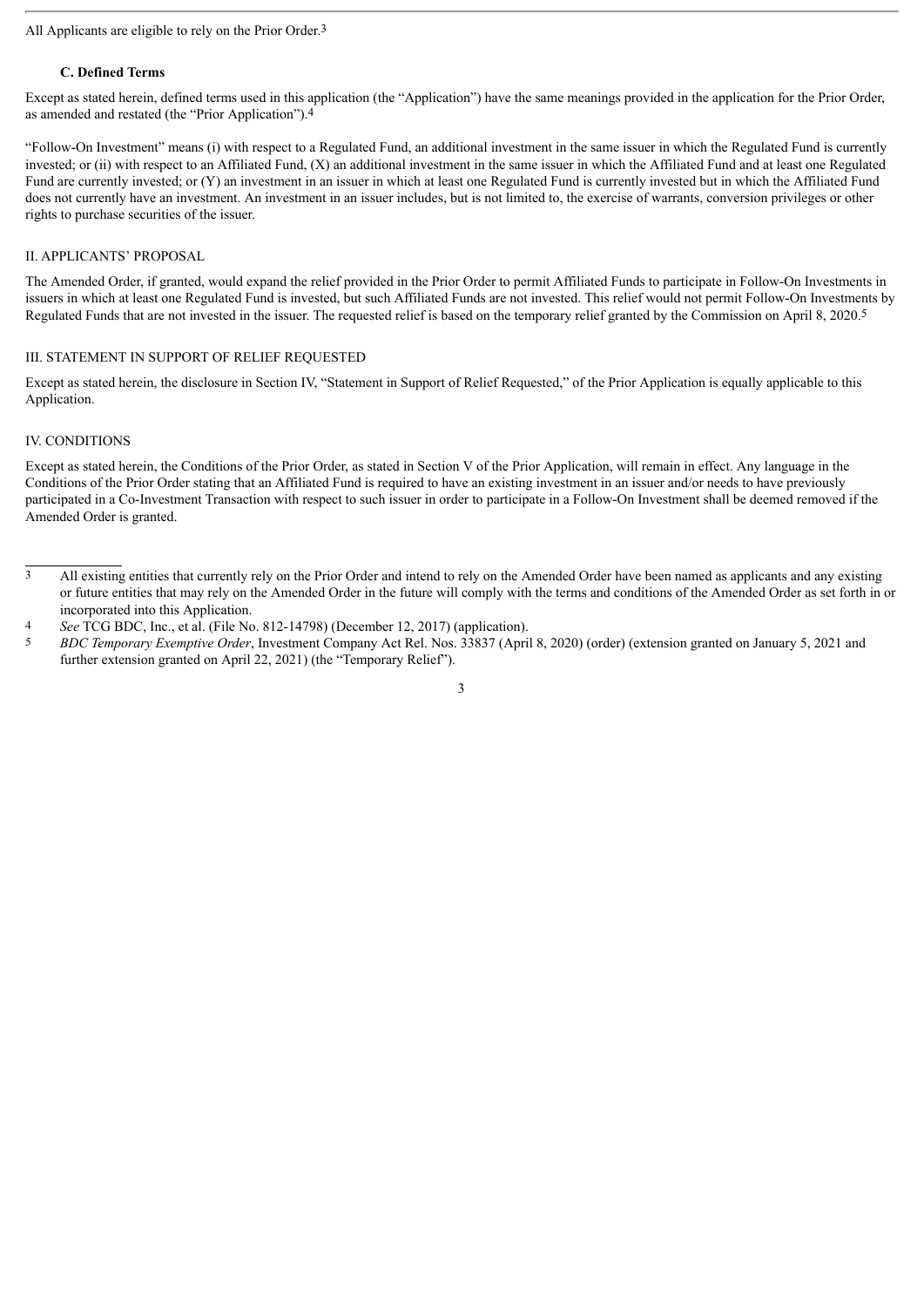### All Applicants are eligible to rely on the Prior Order.3

## **C. Defined Terms**

Except as stated herein, defined terms used in this application (the "Application") have the same meanings provided in the application for the Prior Order, as amended and restated (the "Prior Application").4

"Follow-On Investment" means (i) with respect to a Regulated Fund, an additional investment in the same issuer in which the Regulated Fund is currently invested; or (ii) with respect to an Affiliated Fund, (X) an additional investment in the same issuer in which the Affiliated Fund and at least one Regulated Fund are currently invested; or (Y) an investment in an issuer in which at least one Regulated Fund is currently invested but in which the Affiliated Fund does not currently have an investment. An investment in an issuer includes, but is not limited to, the exercise of warrants, conversion privileges or other rights to purchase securities of the issuer.

## II. APPLICANTS' PROPOSAL

The Amended Order, if granted, would expand the relief provided in the Prior Order to permit Affiliated Funds to participate in Follow-On Investments in issuers in which at least one Regulated Fund is invested, but such Affiliated Funds are not invested. This relief would not permit Follow-On Investments by Regulated Funds that are not invested in the issuer. The requested relief is based on the temporary relief granted by the Commission on April 8, 2020.5

## III. STATEMENT IN SUPPORT OF RELIEF REQUESTED

Except as stated herein, the disclosure in Section IV, "Statement in Support of Relief Requested," of the Prior Application is equally applicable to this Application.

## IV. CONDITIONS

Except as stated herein, the Conditions of the Prior Order, as stated in Section V of the Prior Application, will remain in effect. Any language in the Conditions of the Prior Order stating that an Affiliated Fund is required to have an existing investment in an issuer and/or needs to have previously participated in a Co-Investment Transaction with respect to such issuer in order to participate in a Follow-On Investment shall be deemed removed if the Amended Order is granted.

 $\frac{3}{3}$  All existing entities that currently rely on the Prior Order and intend to rely on the Amended Order have been named as applicants and any existing or future entities that may rely on the Amended Order in the future will comply with the terms and conditions of the Amended Order as set forth in or incorporated into this Application.

<sup>4</sup> *See* TCG BDC, Inc., et al. (File No. 812-14798) (December 12, 2017) (application).

<sup>5</sup> *BDC Temporary Exemptive Order*, Investment Company Act Rel. Nos. 33837 (April 8, 2020) (order) (extension granted on January 5, 2021 and further extension granted on April 22, 2021) (the "Temporary Relief").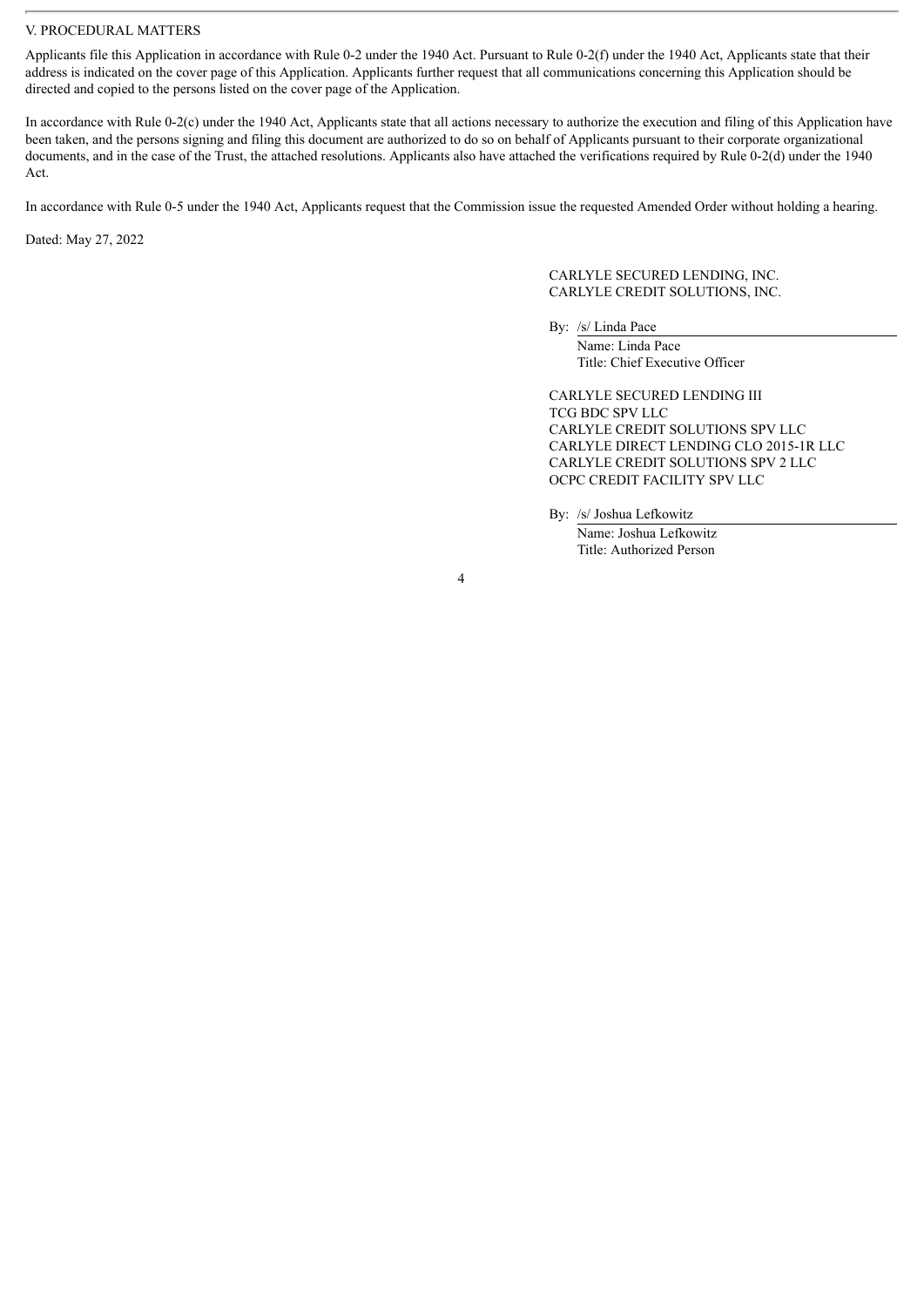### V. PROCEDURAL MATTERS

Applicants file this Application in accordance with Rule 0-2 under the 1940 Act. Pursuant to Rule 0-2(f) under the 1940 Act, Applicants state that their address is indicated on the cover page of this Application. Applicants further request that all communications concerning this Application should be directed and copied to the persons listed on the cover page of the Application.

In accordance with Rule 0-2(c) under the 1940 Act, Applicants state that all actions necessary to authorize the execution and filing of this Application have been taken, and the persons signing and filing this document are authorized to do so on behalf of Applicants pursuant to their corporate organizational documents, and in the case of the Trust, the attached resolutions. Applicants also have attached the verifications required by Rule 0-2(d) under the 1940 Act.

In accordance with Rule 0-5 under the 1940 Act, Applicants request that the Commission issue the requested Amended Order without holding a hearing.

Dated: May 27, 2022

CARLYLE SECURED LENDING, INC. CARLYLE CREDIT SOLUTIONS, INC.

By: /s/ Linda Pace Name: Linda Pace

Title: Chief Executive Officer

CARLYLE SECURED LENDING III TCG BDC SPV LLC CARLYLE CREDIT SOLUTIONS SPV LLC CARLYLE DIRECT LENDING CLO 2015-1R LLC CARLYLE CREDIT SOLUTIONS SPV 2 LLC OCPC CREDIT FACILITY SPV LLC

By: /s/ Joshua Lefkowitz Name: Joshua Lefkowitz Title: Authorized Person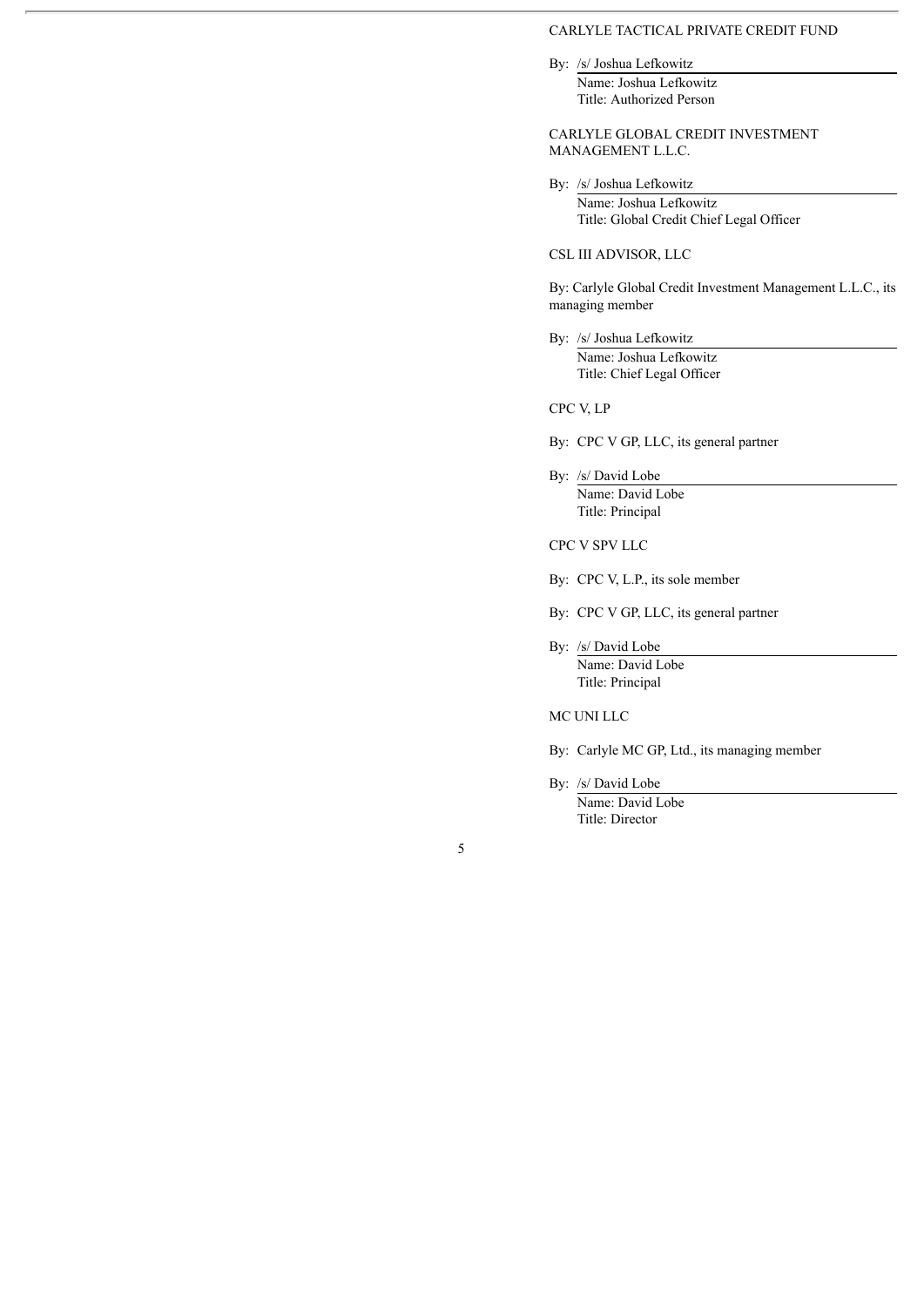#### CARLYLE TACTICAL PRIVATE CREDIT FUND

By: /s/ Joshua Lefkowitz

Name: Joshua Lefkowitz Title: Authorized Person

### CARLYLE GLOBAL CREDIT INVESTMENT MANAGEMENT L.L.C.

By: /s/ Joshua Lefkowitz

Name: Joshua Lefkowitz Title: Global Credit Chief Legal Officer

## CSL III ADVISOR, LLC

By: Carlyle Global Credit Investment Management L.L.C., its managing member

By: /s/ Joshua Lefkowitz Name: Joshua Lefkowitz Title: Chief Legal Officer

CPC V, LP

By: CPC V GP, LLC, its general partner

By: /s/ David Lobe Name: David Lobe Title: Principal

CPC V SPV LLC

By: CPC V, L.P., its sole member

By: CPC V GP, LLC, its general partner

By: /s/ David Lobe Name: David Lobe Title: Principal

MC UNI LLC

By: Carlyle MC GP, Ltd., its managing member

By: /s/ David Lobe Name: David Lobe Title: Director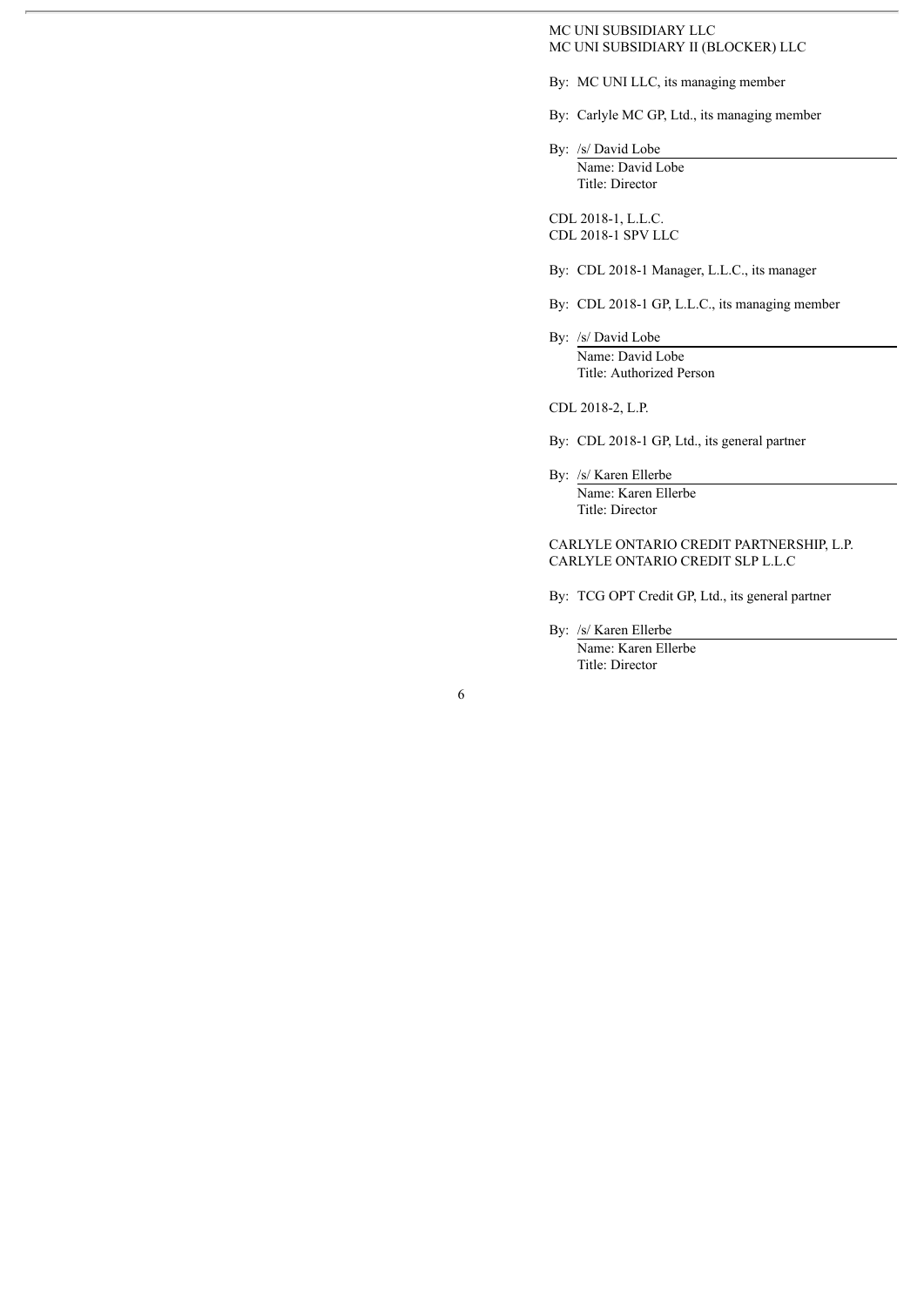### MC UNI SUBSIDIARY LLC MC UNI SUBSIDIARY II (BLOCKER) LLC

- By: MC UNI LLC, its managing member
- By: Carlyle MC GP, Ltd., its managing member

By: /s/ David Lobe Name: David Lobe Title: Director

CDL 2018-1, L.L.C. CDL 2018-1 SPV LLC

- By: CDL 2018-1 Manager, L.L.C., its manager
- By: CDL 2018-1 GP, L.L.C., its managing member
- By: /s/ David Lobe Name: David Lobe Title: Authorized Person

CDL 2018-2, L.P.

By: CDL 2018-1 GP, Ltd., its general partner

By: /s/ Karen Ellerbe Name: Karen Ellerbe Title: Director

## CARLYLE ONTARIO CREDIT PARTNERSHIP, L.P. CARLYLE ONTARIO CREDIT SLP L.L.C

- By: TCG OPT Credit GP, Ltd., its general partner
- By: /s/ Karen Ellerbe Name: Karen Ellerbe Title: Director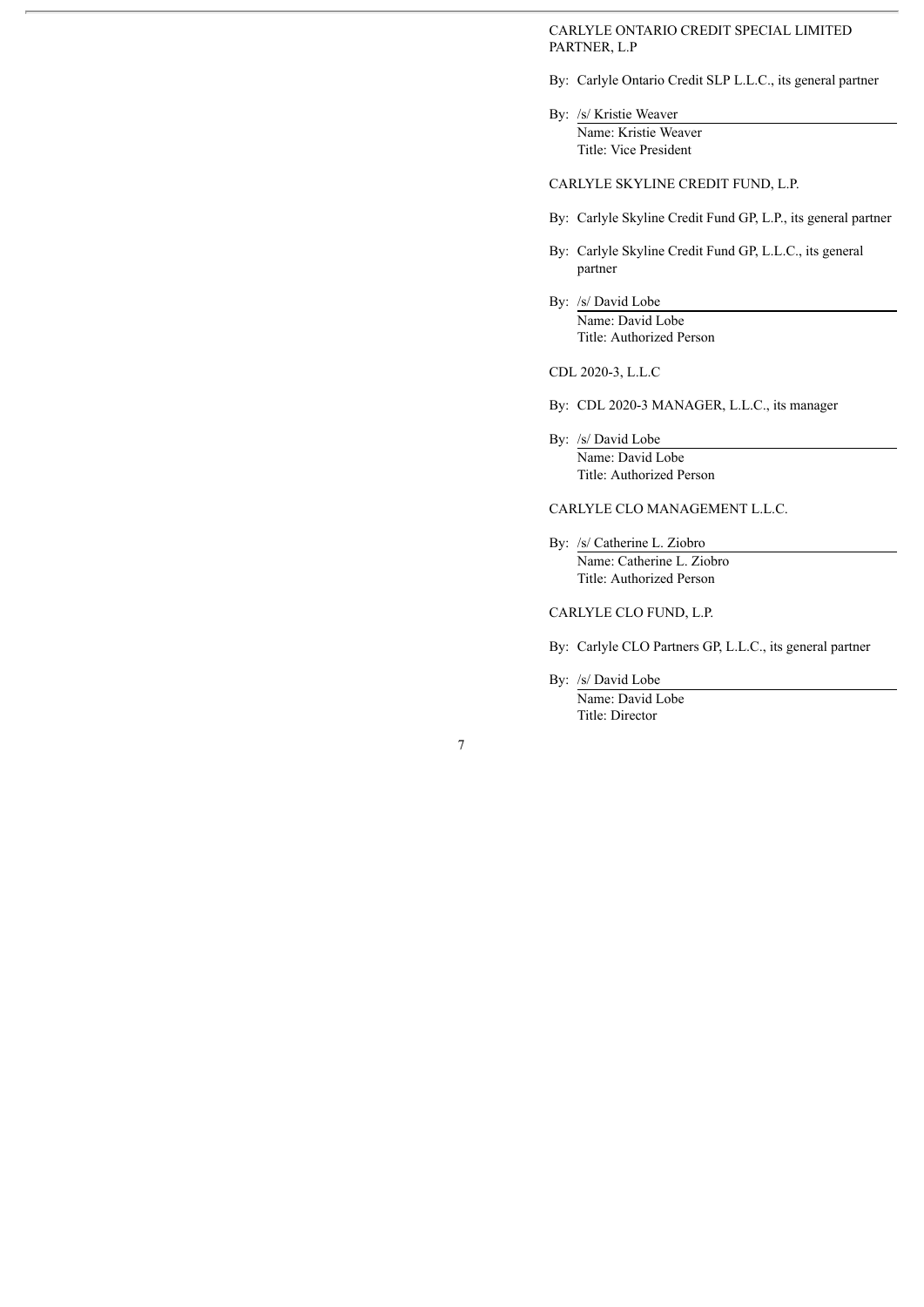CARLYLE ONTARIO CREDIT SPECIAL LIMITED PARTNER, L.P

- By: Carlyle Ontario Credit SLP L.L.C., its general partner
- By: /s/ Kristie Weaver Name: Kristie Weaver Title: Vice President

CARLYLE SKYLINE CREDIT FUND, L.P.

- By: Carlyle Skyline Credit Fund GP, L.P., its general partner
- By: Carlyle Skyline Credit Fund GP, L.L.C., its general partner
- By: /s/ David Lobe Name: David Lobe Title: Authorized Person

CDL 2020-3, L.L.C

- By: CDL 2020-3 MANAGER, L.L.C., its manager
- By: /s/ David Lobe Name: David Lobe Title: Authorized Person

#### CARLYLE CLO MANAGEMENT L.L.C.

By: /s/ Catherine L. Ziobro Name: Catherine L. Ziobro Title: Authorized Person

#### CARLYLE CLO FUND, L.P.

By: Carlyle CLO Partners GP, L.L.C., its general partner

By: /s/ David Lobe

Name: David Lobe Title: Director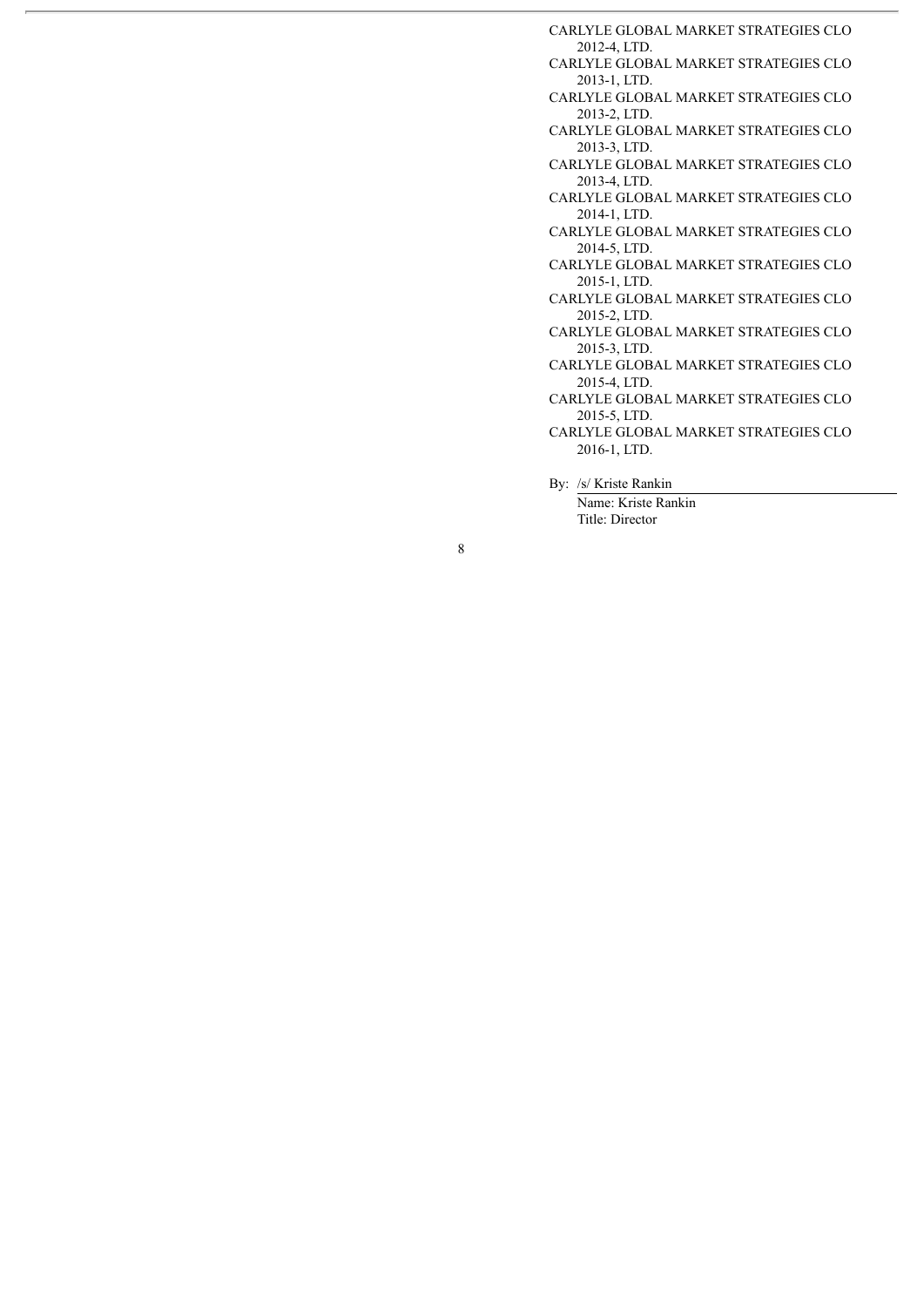CARLYLE GLOBAL MARKET STRATEGIES CLO 2012-4, LTD. CARLYLE GLOBAL MARKET STRATEGIES CLO 2013-1, LTD. CARLYLE GLOBAL MARKET STRATEGIES CLO 2013-2, LTD. CARLYLE GLOBAL MARKET STRATEGIES CLO 2013-3, LTD. CARLYLE GLOBAL MARKET STRATEGIES CLO 2013-4, LTD. CARLYLE GLOBAL MARKET STRATEGIES CLO 2014-1, LTD. CARLYLE GLOBAL MARKET STRATEGIES CLO 2014-5, LTD. CARLYLE GLOBAL MARKET STRATEGIES CLO 2015-1, LTD. CARLYLE GLOBAL MARKET STRATEGIES CLO 2015-2, LTD. CARLYLE GLOBAL MARKET STRATEGIES CLO 2015-3, LTD. CARLYLE GLOBAL MARKET STRATEGIES CLO 2015-4, LTD. CARLYLE GLOBAL MARKET STRATEGIES CLO 2015-5, LTD. CARLYLE GLOBAL MARKET STRATEGIES CLO 2016-1, LTD. By: /s/ Kriste Rankin

Name: Kriste Rankin Title: Director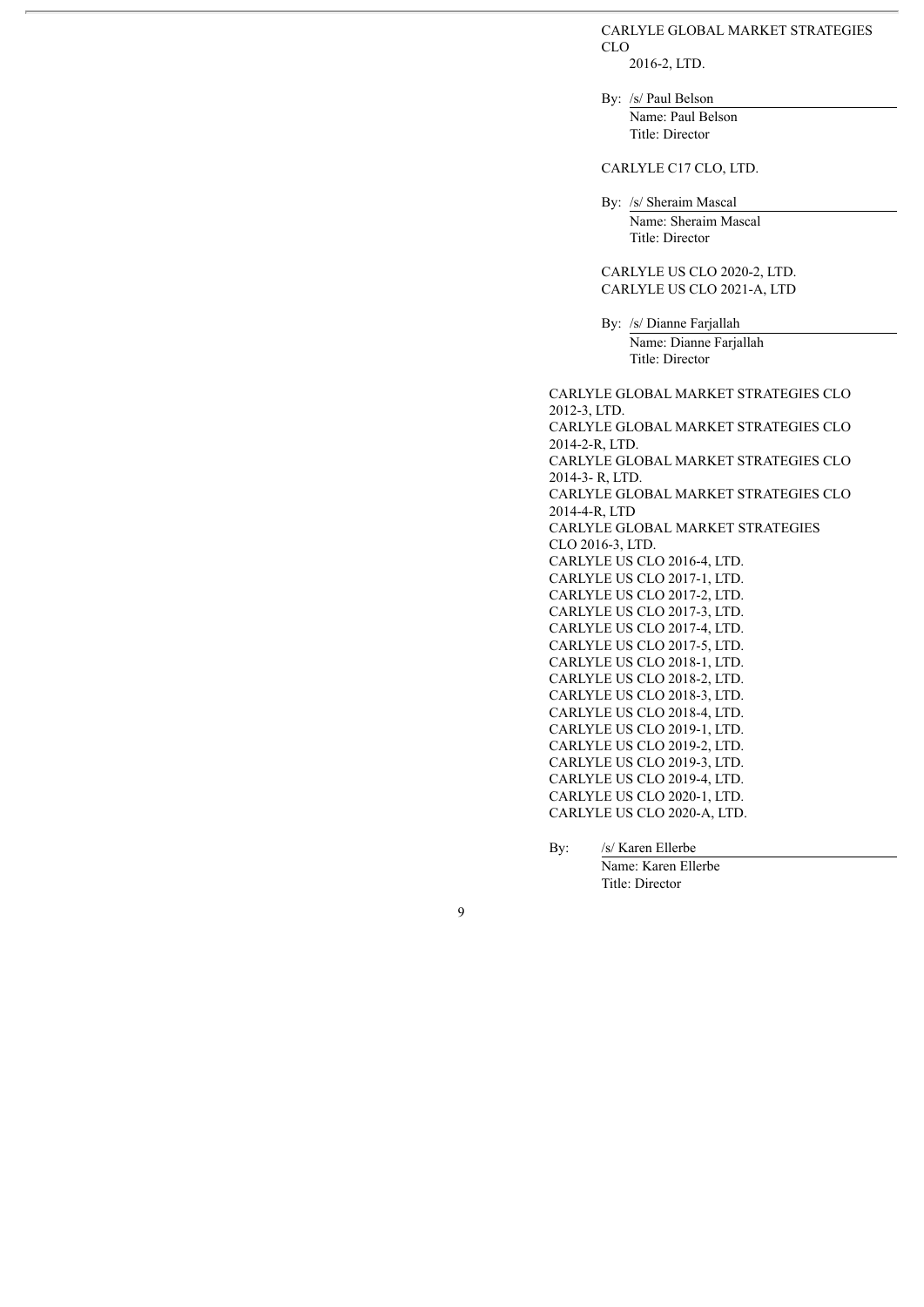#### CARLYLE GLOBAL MARKET STRATEGIES CLO

2016-2, LTD.

By: /s/ Paul Belson Name: Paul Belson Title: Director

# CARLYLE C17 CLO, LTD.

By: /s/ Sheraim Mascal Name: Sheraim Mascal Title: Director

CARLYLE US CLO 2020-2, LTD. CARLYLE US CLO 2021-A, LTD

By: /s/ Dianne Farjallah Name: Dianne Farjallah Title: Director

CARLYLE GLOBAL MARKET STRATEGIES CLO 2012-3, LTD. CARLYLE GLOBAL MARKET STRATEGIES CLO 2014-2-R, LTD. CARLYLE GLOBAL MARKET STRATEGIES CLO 2014-3- R, LTD. CARLYLE GLOBAL MARKET STRATEGIES CLO 2014-4-R, LTD CARLYLE GLOBAL MARKET STRATEGIES CLO 2016-3, LTD. CARLYLE US CLO 2016-4, LTD. CARLYLE US CLO 2017-1, LTD. CARLYLE US CLO 2017-2, LTD. CARLYLE US CLO 2017-3, LTD. CARLYLE US CLO 2017-4, LTD. CARLYLE US CLO 2017-5, LTD. CARLYLE US CLO 2018-1, LTD. CARLYLE US CLO 2018-2, LTD. CARLYLE US CLO 2018-3, LTD. CARLYLE US CLO 2018-4, LTD. CARLYLE US CLO 2019-1, LTD. CARLYLE US CLO 2019-2, LTD. CARLYLE US CLO 2019-3, LTD. CARLYLE US CLO 2019-4, LTD. CARLYLE US CLO 2020-1, LTD. CARLYLE US CLO 2020-A, LTD.

By: /s/ Karen Ellerbe

Name: Karen Ellerbe Title: Director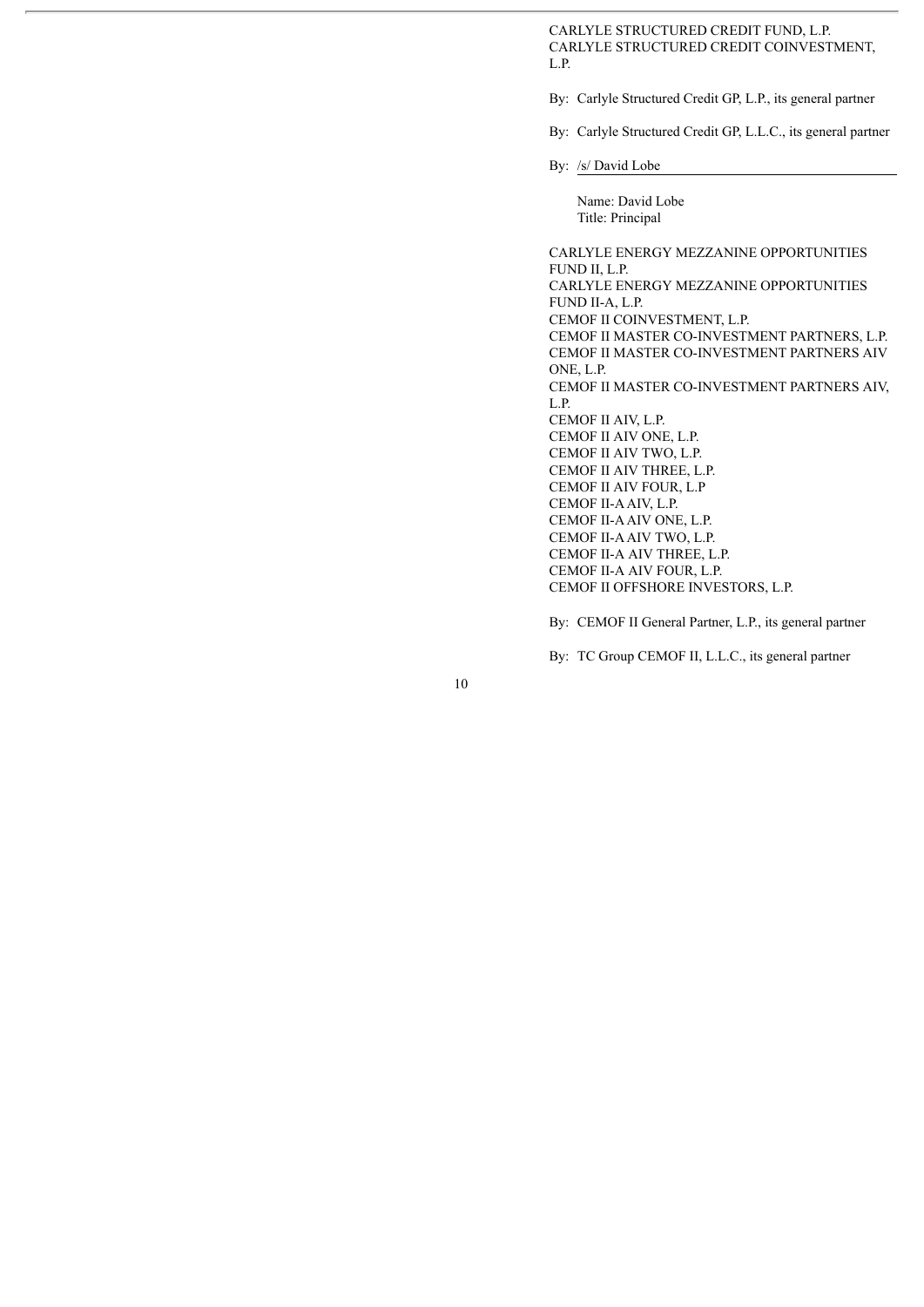CARLYLE STRUCTURED CREDIT FUND, L.P. CARLYLE STRUCTURED CREDIT COINVESTMENT, L.P.

By: Carlyle Structured Credit GP, L.P., its general partner

By: Carlyle Structured Credit GP, L.L.C., its general partner

By: /s/ David Lobe

Name: David Lobe Title: Principal

CARLYLE ENERGY MEZZANINE OPPORTUNITIES FUND II, L.P. CARLYLE ENERGY MEZZANINE OPPORTUNITIES FUND II-A, L.P. CEMOF II COINVESTMENT, L.P. CEMOF II MASTER CO-INVESTMENT PARTNERS, L.P. CEMOF II MASTER CO-INVESTMENT PARTNERS AIV ONE, L.P. CEMOF II MASTER CO-INVESTMENT PARTNERS AIV, L.P. CEMOF II AIV, L.P. CEMOF II AIV ONE, L.P. CEMOF II AIV TWO, L.P. CEMOF II AIV THREE, L.P. CEMOF II AIV FOUR, L.P CEMOF II-AAIV, L.P. CEMOF II-AAIV ONE, L.P. CEMOF II-AAIV TWO, L.P. CEMOF II-A AIV THREE, L.P. CEMOF II-A AIV FOUR, L.P. CEMOF II OFFSHORE INVESTORS, L.P.

By: CEMOF II General Partner, L.P., its general partner

By: TC Group CEMOF II, L.L.C., its general partner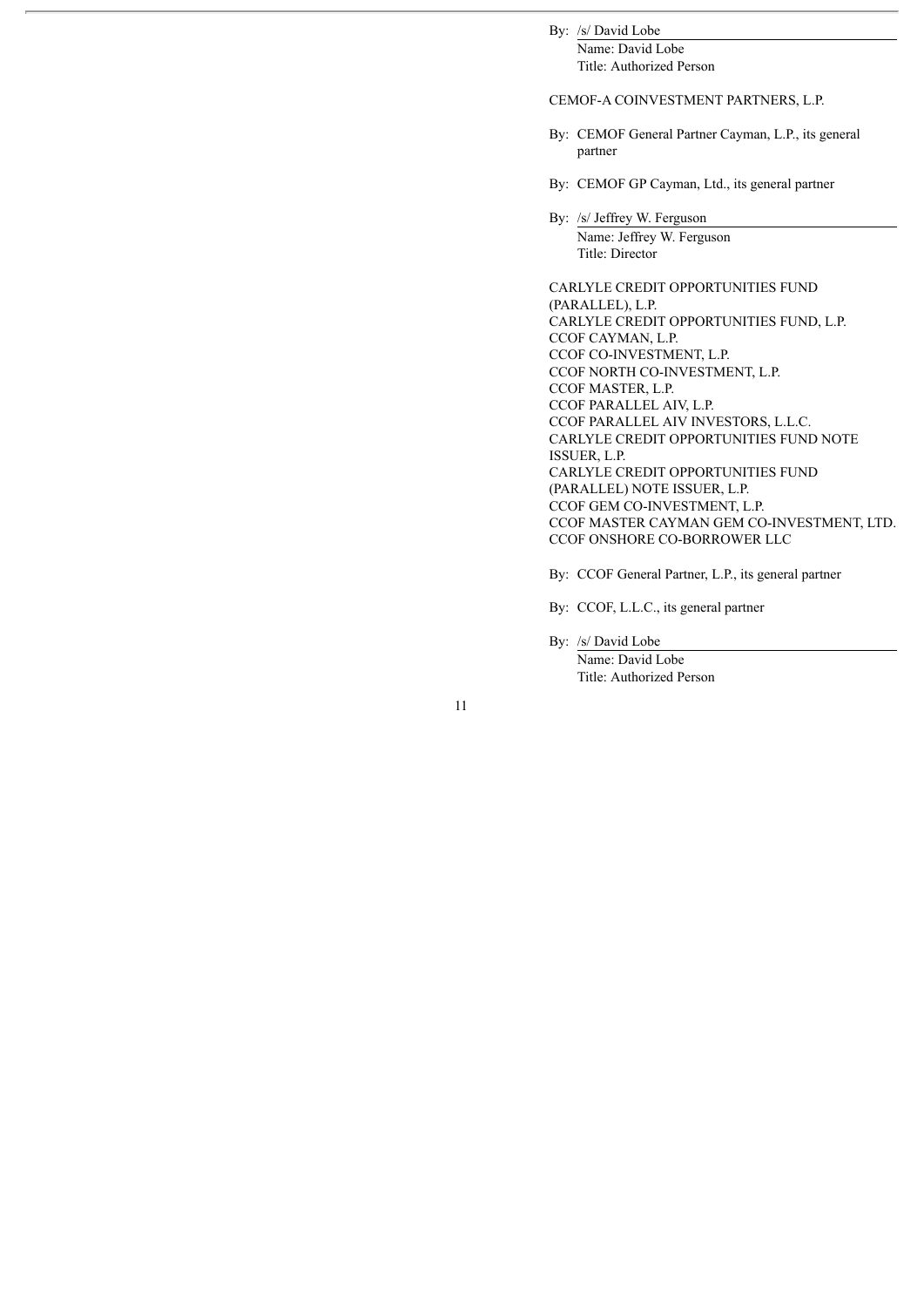# By: /s/ David Lobe

Name: David Lobe Title: Authorized Person

#### CEMOF-A COINVESTMENT PARTNERS, L.P.

- By: CEMOF General Partner Cayman, L.P., its general partner
- By: CEMOF GP Cayman, Ltd., its general partner

By: /s/ Jeffrey W. Ferguson Name: Jeffrey W. Ferguson Title: Director

CARLYLE CREDIT OPPORTUNITIES FUND (PARALLEL), L.P. CARLYLE CREDIT OPPORTUNITIES FUND, L.P. CCOF CAYMAN, L.P. CCOF CO-INVESTMENT, L.P. CCOF NORTH CO-INVESTMENT, L.P. CCOF MASTER, L.P. CCOF PARALLEL AIV, L.P. CCOF PARALLEL AIV INVESTORS, L.L.C. CARLYLE CREDIT OPPORTUNITIES FUND NOTE ISSUER, L.P. CARLYLE CREDIT OPPORTUNITIES FUND (PARALLEL) NOTE ISSUER, L.P. CCOF GEM CO-INVESTMENT, L.P. CCOF MASTER CAYMAN GEM CO-INVESTMENT, LTD. CCOF ONSHORE CO-BORROWER LLC

By: CCOF General Partner, L.P., its general partner

By: CCOF, L.L.C., its general partner

By: /s/ David Lobe

Name: David Lobe Title: Authorized Person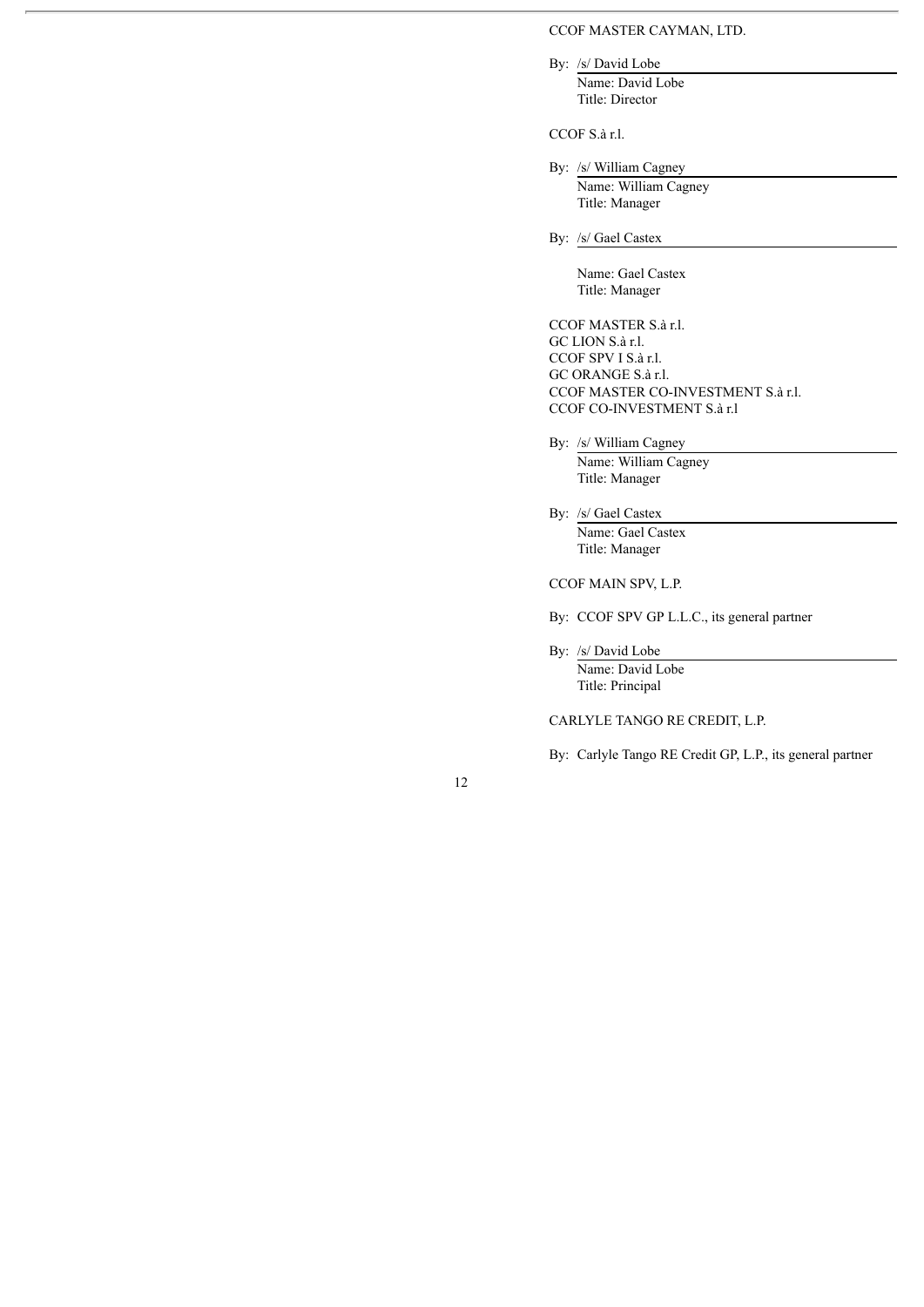### CCOF MASTER CAYMAN, LTD.

By: /s/ David Lobe

Name: David Lobe Title: Director

CCOF S.à r.l.

By: /s/ William Cagney

Name: William Cagney Title: Manager

By: /s/ Gael Castex

Name: Gael Castex Title: Manager

CCOF MASTER S.à r.l. GC LION S.à r.l. CCOF SPV I S.à r.l. GC ORANGE S.à r.l. CCOF MASTER CO-INVESTMENT S.à r.l. CCOF CO-INVESTMENT S.à r.l

By: /s/ William Cagney

Name: William Cagney Title: Manager

By: /s/ Gael Castex Name: Gael Castex Title: Manager

CCOF MAIN SPV, L.P.

By: CCOF SPV GP L.L.C., its general partner

By: /s/ David Lobe

Name: David Lobe Title: Principal

CARLYLE TANGO RE CREDIT, L.P.

By: Carlyle Tango RE Credit GP, L.P., its general partner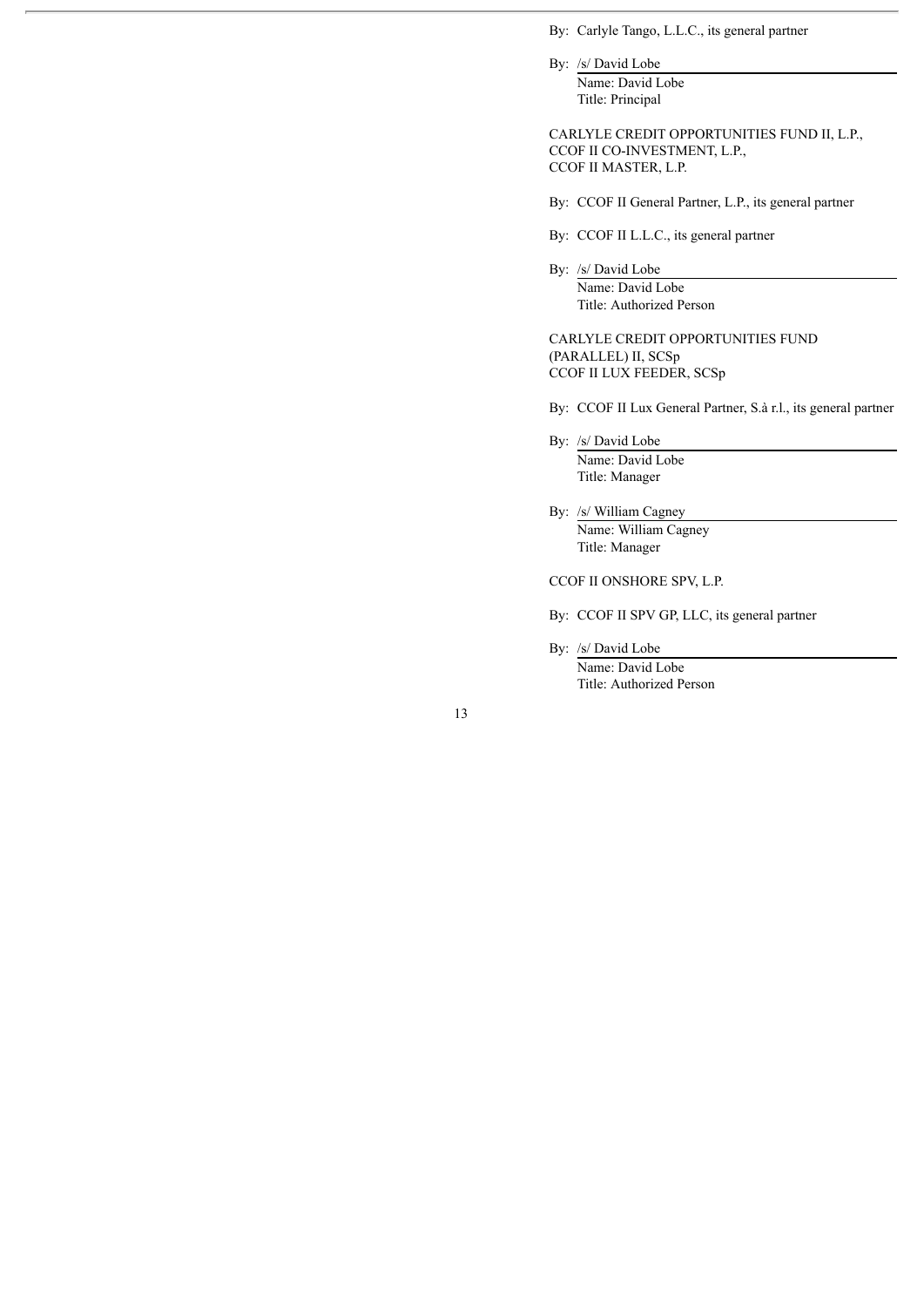By: Carlyle Tango, L.L.C., its general partner

By: /s/ David Lobe

Name: David Lobe Title: Principal

CARLYLE CREDIT OPPORTUNITIES FUND II, L.P., CCOF II CO-INVESTMENT, L.P., CCOF II MASTER, L.P.

- By: CCOF II General Partner, L.P., its general partner
- By: CCOF II L.L.C., its general partner
- By: /s/ David Lobe Name: David Lobe Title: Authorized Person

CARLYLE CREDIT OPPORTUNITIES FUND (PARALLEL) II, SCSp CCOF II LUX FEEDER, SCSp

By: CCOF II Lux General Partner, S.à r.l., its general partner

By: /s/ David Lobe Name: David Lobe

Title: Manager

By: /s/ William Cagney Name: William Cagney Title: Manager

CCOF II ONSHORE SPV, L.P.

- By: CCOF II SPV GP, LLC, its general partner
- By: /s/ David Lobe

Name: David Lobe Title: Authorized Person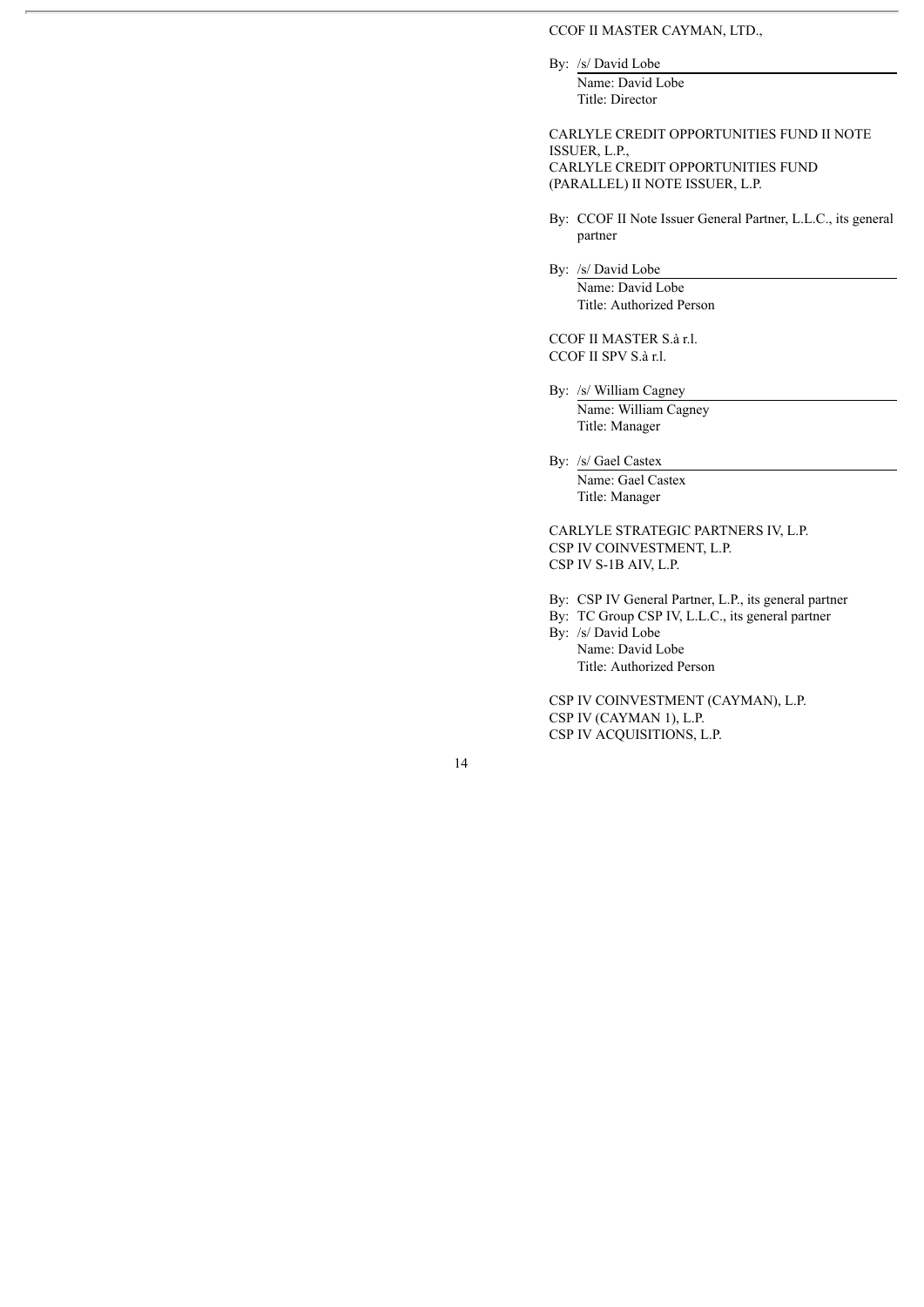### CCOF II MASTER CAYMAN, LTD.,

By: /s/ David Lobe

Name: David Lobe Title: Director

CARLYLE CREDIT OPPORTUNITIES FUND II NOTE ISSUER, L.P., CARLYLE CREDIT OPPORTUNITIES FUND (PARALLEL) II NOTE ISSUER, L.P.

By: CCOF II Note Issuer General Partner, L.L.C., its general partner

By: /s/ David Lobe

Name: David Lobe Title: Authorized Person

CCOF II MASTER S.à r.l. CCOF II SPV S.à r.l.

By: /s/ William Cagney Name: William Cagney Title: Manager

By: /s/ Gael Castex Name: Gael Castex Title: Manager

CARLYLE STRATEGIC PARTNERS IV, L.P. CSP IV COINVESTMENT, L.P. CSP IV S-1B AIV, L.P.

By: CSP IV General Partner, L.P., its general partner

By: TC Group CSP IV, L.L.C., its general partner By: /s/ David Lobe

Name: David Lobe Title: Authorized Person

CSP IV COINVESTMENT (CAYMAN), L.P. CSP IV (CAYMAN 1), L.P. CSP IV ACQUISITIONS, L.P.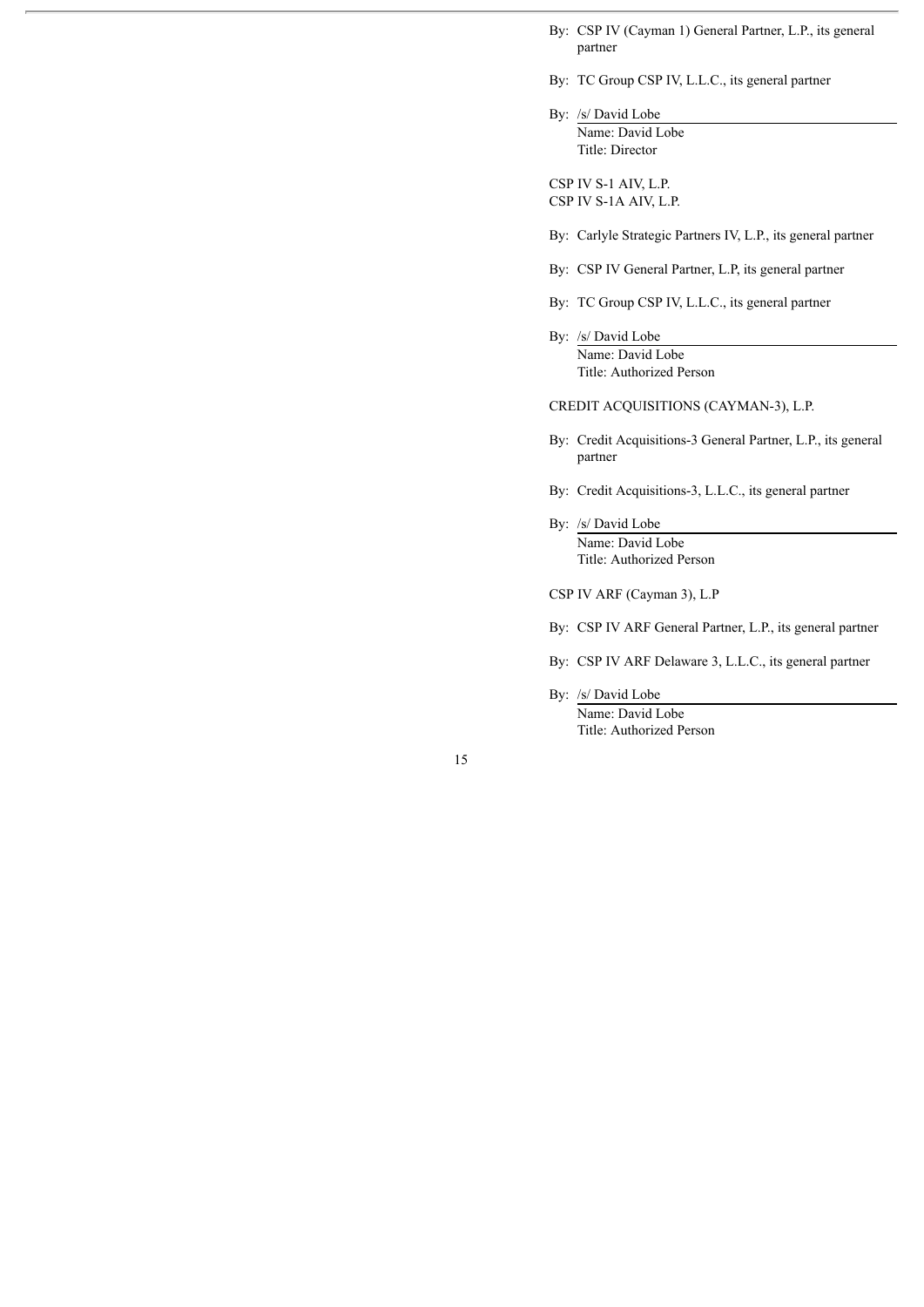- By: CSP IV (Cayman 1) General Partner, L.P., its general partner
- By: TC Group CSP IV, L.L.C., its general partner

By: /s/ David Lobe Name: David Lobe Title: Director

CSP IV S-1 AIV, L.P. CSP IV S-1A AIV, L.P.

By: Carlyle Strategic Partners IV, L.P., its general partner

- By: CSP IV General Partner, L.P, its general partner
- By: TC Group CSP IV, L.L.C., its general partner
- By: /s/ David Lobe Name: David Lobe Title: Authorized Person

CREDIT ACQUISITIONS (CAYMAN-3), L.P.

- By: Credit Acquisitions-3 General Partner, L.P., its general partner
- By: Credit Acquisitions-3, L.L.C., its general partner
- By: /s/ David Lobe Name: David Lobe Title: Authorized Person

CSP IV ARF (Cayman 3), L.P

- By: CSP IV ARF General Partner, L.P., its general partner
- By: CSP IV ARF Delaware 3, L.L.C., its general partner

By: /s/ David Lobe

Name: David Lobe Title: Authorized Person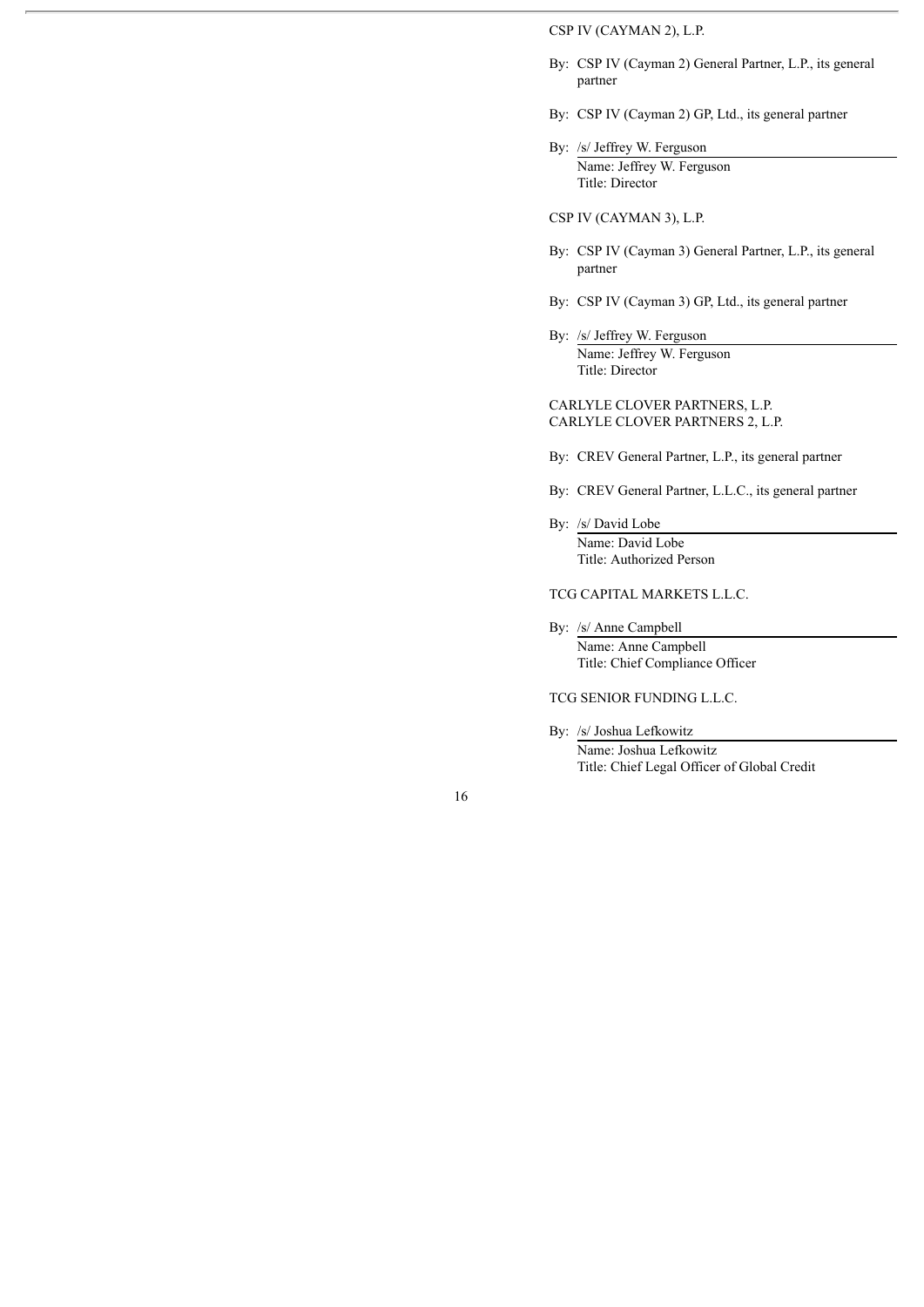## CSP IV (CAYMAN 2), L.P.

- By: CSP IV (Cayman 2) General Partner, L.P., its general partner
- By: CSP IV (Cayman 2) GP, Ltd., its general partner
- By: /s/ Jeffrey W. Ferguson Name: Jeffrey W. Ferguson Title: Director

#### CSP IV (CAYMAN 3), L.P.

- By: CSP IV (Cayman 3) General Partner, L.P., its general partner
- By: CSP IV (Cayman 3) GP, Ltd., its general partner
- By: /s/ Jeffrey W. Ferguson Name: Jeffrey W. Ferguson Title: Director

### CARLYLE CLOVER PARTNERS, L.P. CARLYLE CLOVER PARTNERS 2, L.P.

- By: CREV General Partner, L.P., its general partner
- By: CREV General Partner, L.L.C., its general partner
- By: /s/ David Lobe Name: David Lobe Title: Authorized Person

TCG CAPITAL MARKETS L.L.C.

- By: /s/ Anne Campbell Name: Anne Campbell Title: Chief Compliance Officer
- TCG SENIOR FUNDING L.L.C.
- By: /s/ Joshua Lefkowitz Name: Joshua Lefkowitz Title: Chief Legal Officer of Global Credit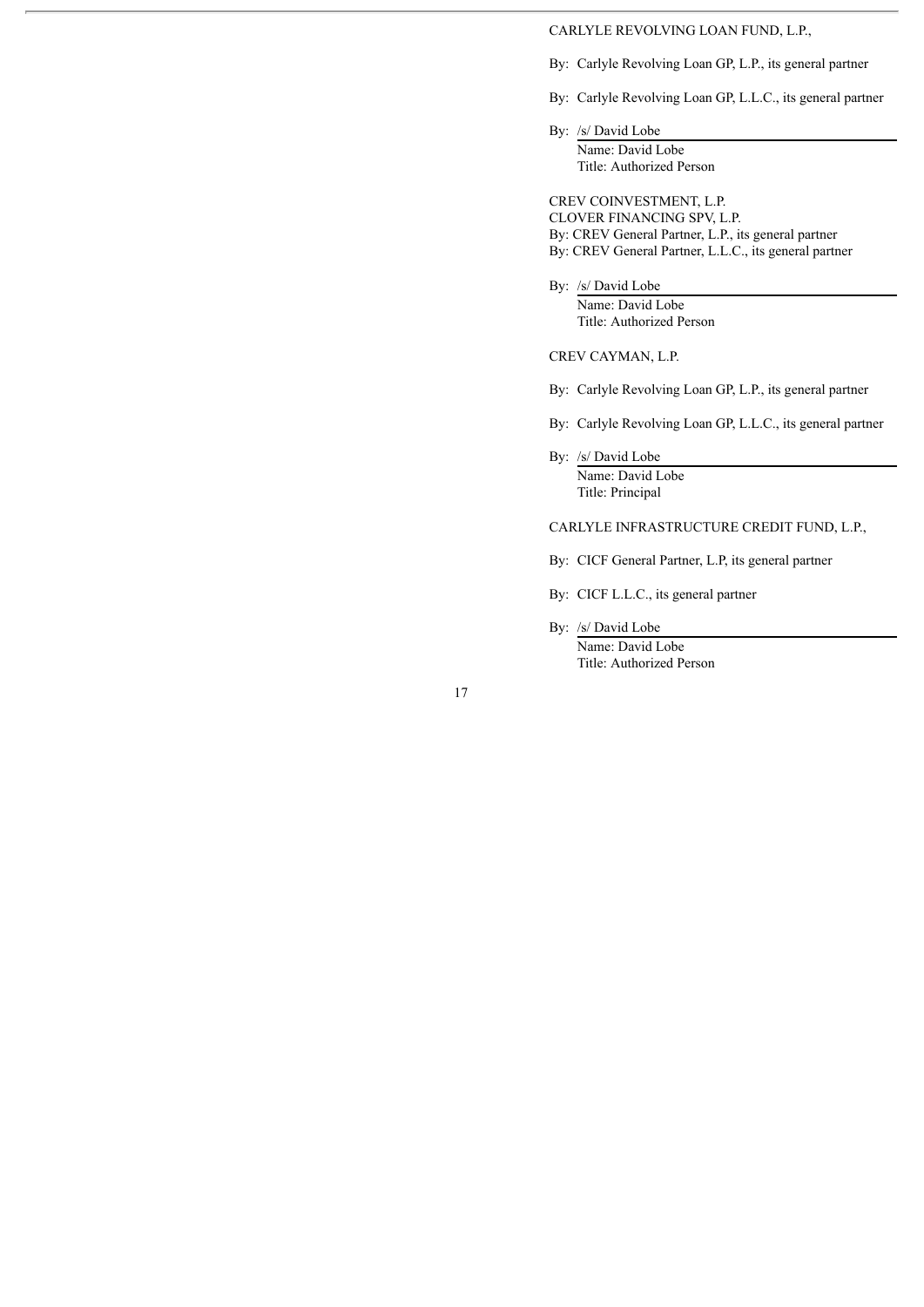### CARLYLE REVOLVING LOAN FUND, L.P.,

By: Carlyle Revolving Loan GP, L.P., its general partner

By: Carlyle Revolving Loan GP, L.L.C., its general partner

By: /s/ David Lobe Name: David Lobe Title: Authorized Person

CREV COINVESTMENT, L.P. CLOVER FINANCING SPV, L.P. By: CREV General Partner, L.P., its general partner By: CREV General Partner, L.L.C., its general partner

By: /s/ David Lobe Name: David Lobe Title: Authorized Person

CREV CAYMAN, L.P.

By: Carlyle Revolving Loan GP, L.P., its general partner

By: Carlyle Revolving Loan GP, L.L.C., its general partner

By: /s/ David Lobe Name: David Lobe Title: Principal

### CARLYLE INFRASTRUCTURE CREDIT FUND, L.P.,

By: CICF General Partner, L.P, its general partner

By: CICF L.L.C., its general partner

By: /s/ David Lobe

Name: David Lobe Title: Authorized Person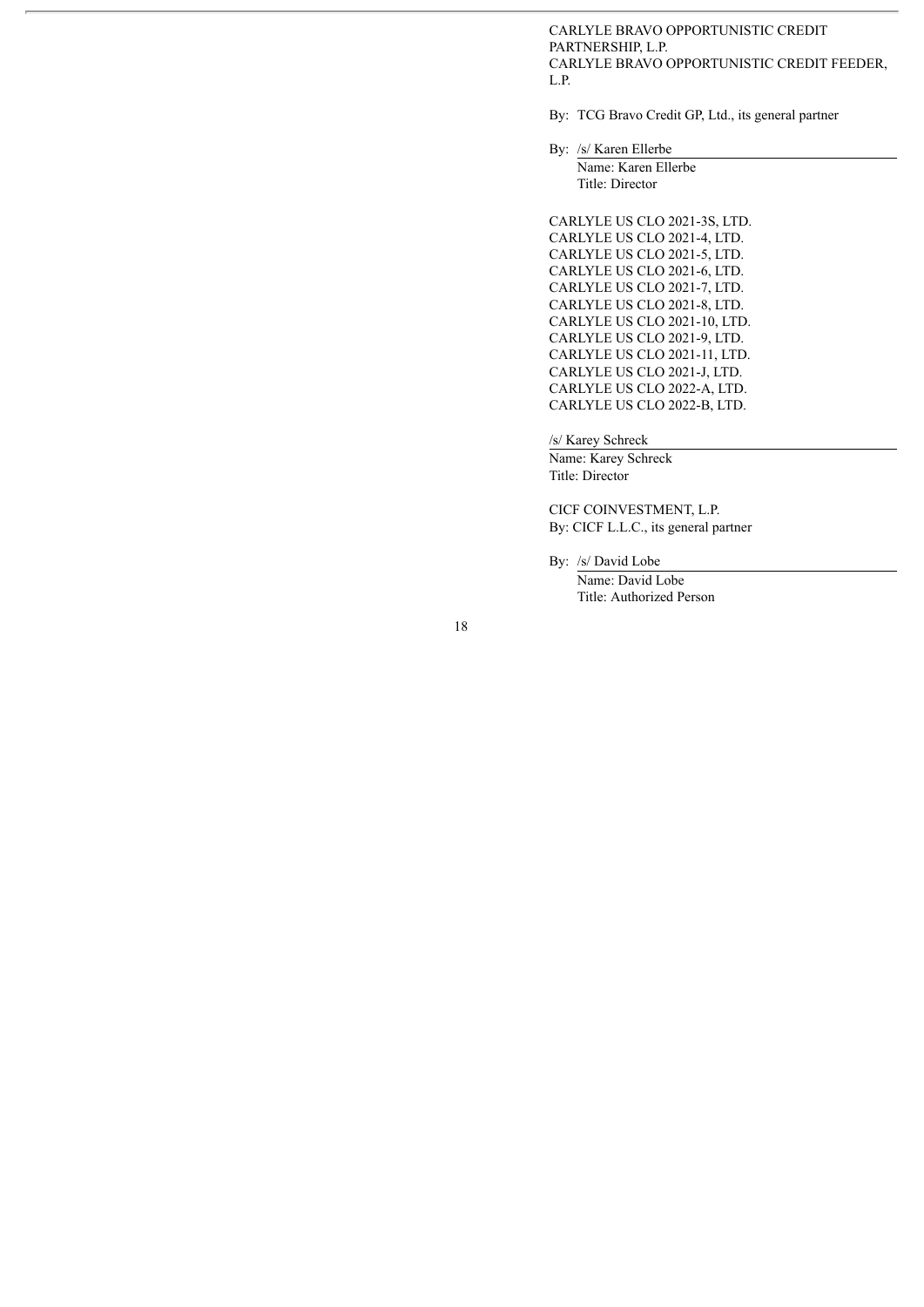CARLYLE BRAVO OPPORTUNISTIC CREDIT PARTNERSHIP, L.P. CARLYLE BRAVO OPPORTUNISTIC CREDIT FEEDER, L.P.

By: TCG Bravo Credit GP, Ltd., its general partner

By: /s/ Karen Ellerbe

Name: Karen Ellerbe Title: Director

CARLYLE US CLO 2021-3S, LTD. CARLYLE US CLO 2021-4, LTD. CARLYLE US CLO 2021-5, LTD. CARLYLE US CLO 2021-6, LTD. CARLYLE US CLO 2021-7, LTD. CARLYLE US CLO 2021-8, LTD. CARLYLE US CLO 2021-10, LTD. CARLYLE US CLO 2021-9, LTD. CARLYLE US CLO 2021-11, LTD. CARLYLE US CLO 2021-J, LTD. CARLYLE US CLO 2022-A, LTD. CARLYLE US CLO 2022-B, LTD.

/s/ Karey Schreck

Name: Karey Schreck Title: Director

CICF COINVESTMENT, L.P. By: CICF L.L.C., its general partner

By: /s/ David Lobe Name: David Lobe

Title: Authorized Person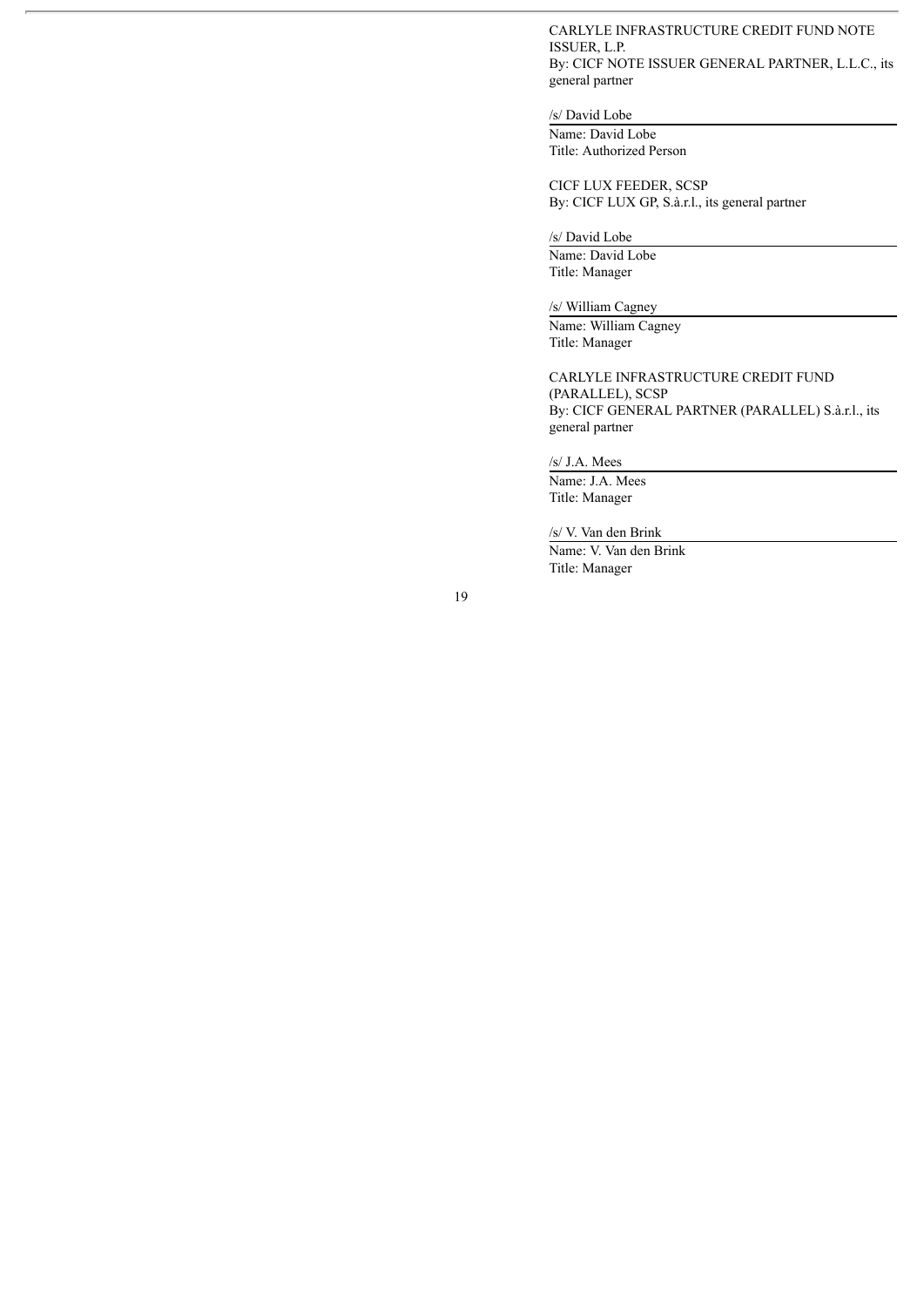### CARLYLE INFRASTRUCTURE CREDIT FUND NOTE ISSUER, L.P. By: CICF NOTE ISSUER GENERAL PARTNER, L.L.C., its general partner

### /s/ David Lobe

Name: David Lobe Title: Authorized Person

CICF LUX FEEDER, SCSP By: CICF LUX GP, S.à.r.l., its general partner

/s/ David Lobe

Name: David Lobe Title: Manager

/s/ William Cagney

Name: William Cagney Title: Manager

CARLYLE INFRASTRUCTURE CREDIT FUND (PARALLEL), SCSP By: CICF GENERAL PARTNER (PARALLEL) S.à.r.l., its general partner

/s/ J.A. Mees

Name: J.A. Mees Title: Manager

/s/ V. Van den Brink

Name: V. Van den Brink Title: Manager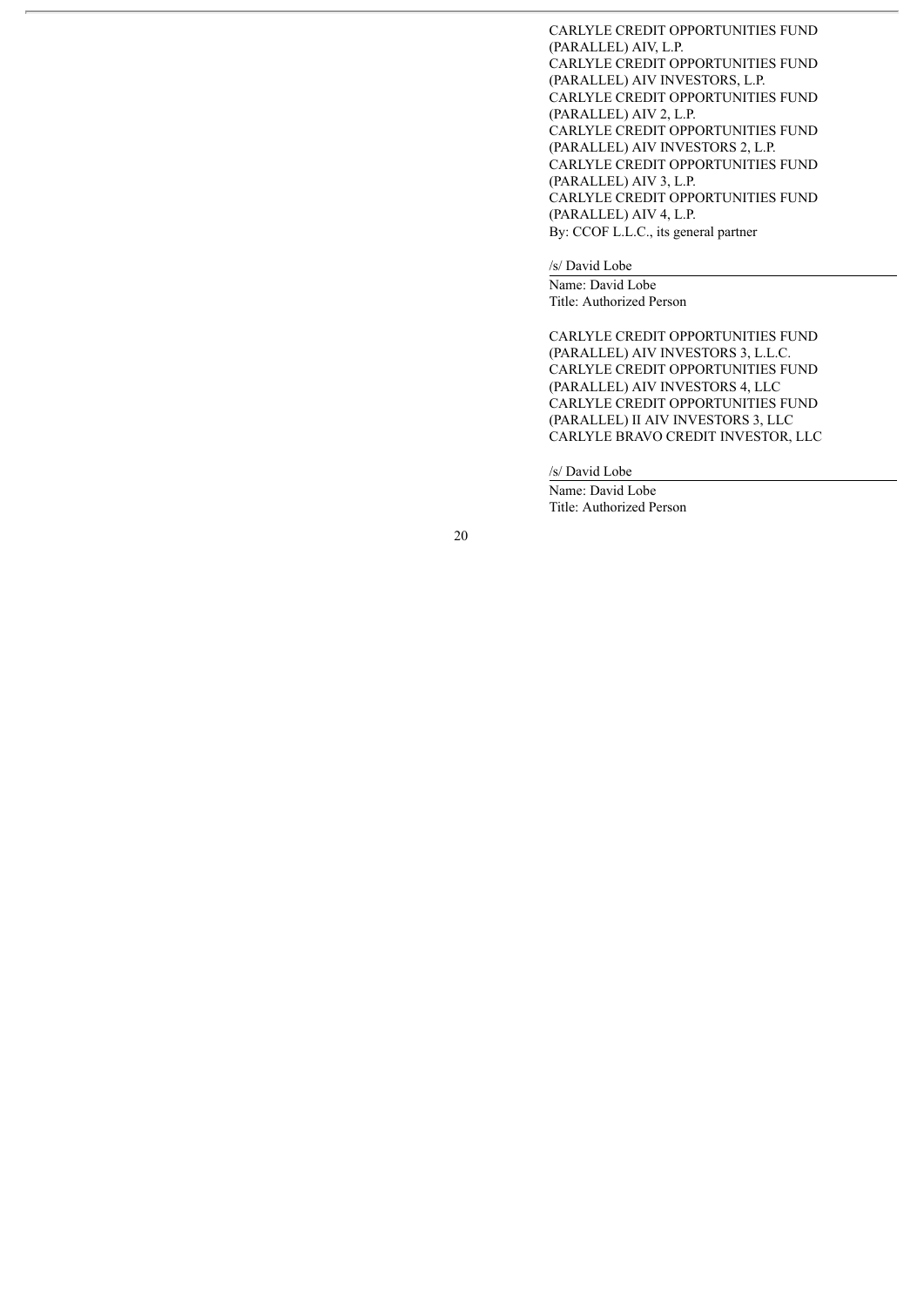CARLYLE CREDIT OPPORTUNITIES FUND (PARALLEL) AIV, L.P. CARLYLE CREDIT OPPORTUNITIES FUND (PARALLEL) AIV INVESTORS, L.P. CARLYLE CREDIT OPPORTUNITIES FUND (PARALLEL) AIV 2, L.P. CARLYLE CREDIT OPPORTUNITIES FUND (PARALLEL) AIV INVESTORS 2, L.P. CARLYLE CREDIT OPPORTUNITIES FUND (PARALLEL) AIV 3, L.P. CARLYLE CREDIT OPPORTUNITIES FUND (PARALLEL) AIV 4, L.P. By: CCOF L.L.C., its general partner

/s/ David Lobe

Name: David Lobe Title: Authorized Person

CARLYLE CREDIT OPPORTUNITIES FUND (PARALLEL) AIV INVESTORS 3, L.L.C. CARLYLE CREDIT OPPORTUNITIES FUND (PARALLEL) AIV INVESTORS 4, LLC CARLYLE CREDIT OPPORTUNITIES FUND (PARALLEL) II AIV INVESTORS 3, LLC CARLYLE BRAVO CREDIT INVESTOR, LLC

/s/ David Lobe

Name: David Lobe Title: Authorized Person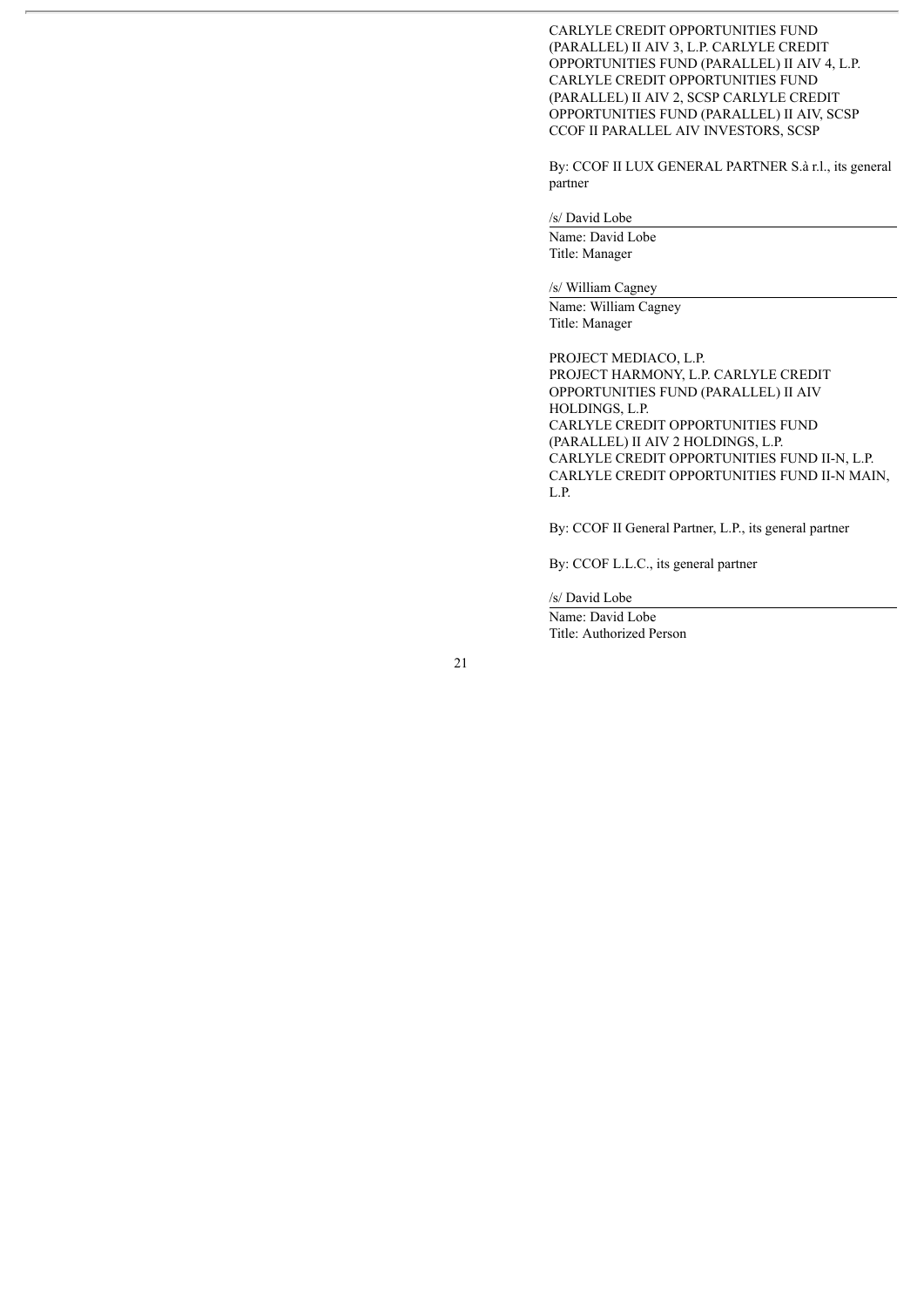CARLYLE CREDIT OPPORTUNITIES FUND (PARALLEL) II AIV 3, L.P. CARLYLE CREDIT OPPORTUNITIES FUND (PARALLEL) II AIV 4, L.P. CARLYLE CREDIT OPPORTUNITIES FUND (PARALLEL) II AIV 2, SCSP CARLYLE CREDIT OPPORTUNITIES FUND (PARALLEL) II AIV, SCSP CCOF II PARALLEL AIV INVESTORS, SCSP

By: CCOF II LUX GENERAL PARTNER S.à r.l., its general partner

# /s/ David Lobe

Name: David Lobe Title: Manager

/s/ William Cagney

Name: William Cagney Title: Manager

PROJECT MEDIACO, L.P. PROJECT HARMONY, L.P. CARLYLE CREDIT OPPORTUNITIES FUND (PARALLEL) II AIV HOLDINGS, L.P. CARLYLE CREDIT OPPORTUNITIES FUND (PARALLEL) II AIV 2 HOLDINGS, L.P. CARLYLE CREDIT OPPORTUNITIES FUND II-N, L.P. CARLYLE CREDIT OPPORTUNITIES FUND II-N MAIN, L.P.

By: CCOF II General Partner, L.P., its general partner

By: CCOF L.L.C., its general partner

/s/ David Lobe

Name: David Lobe Title: Authorized Person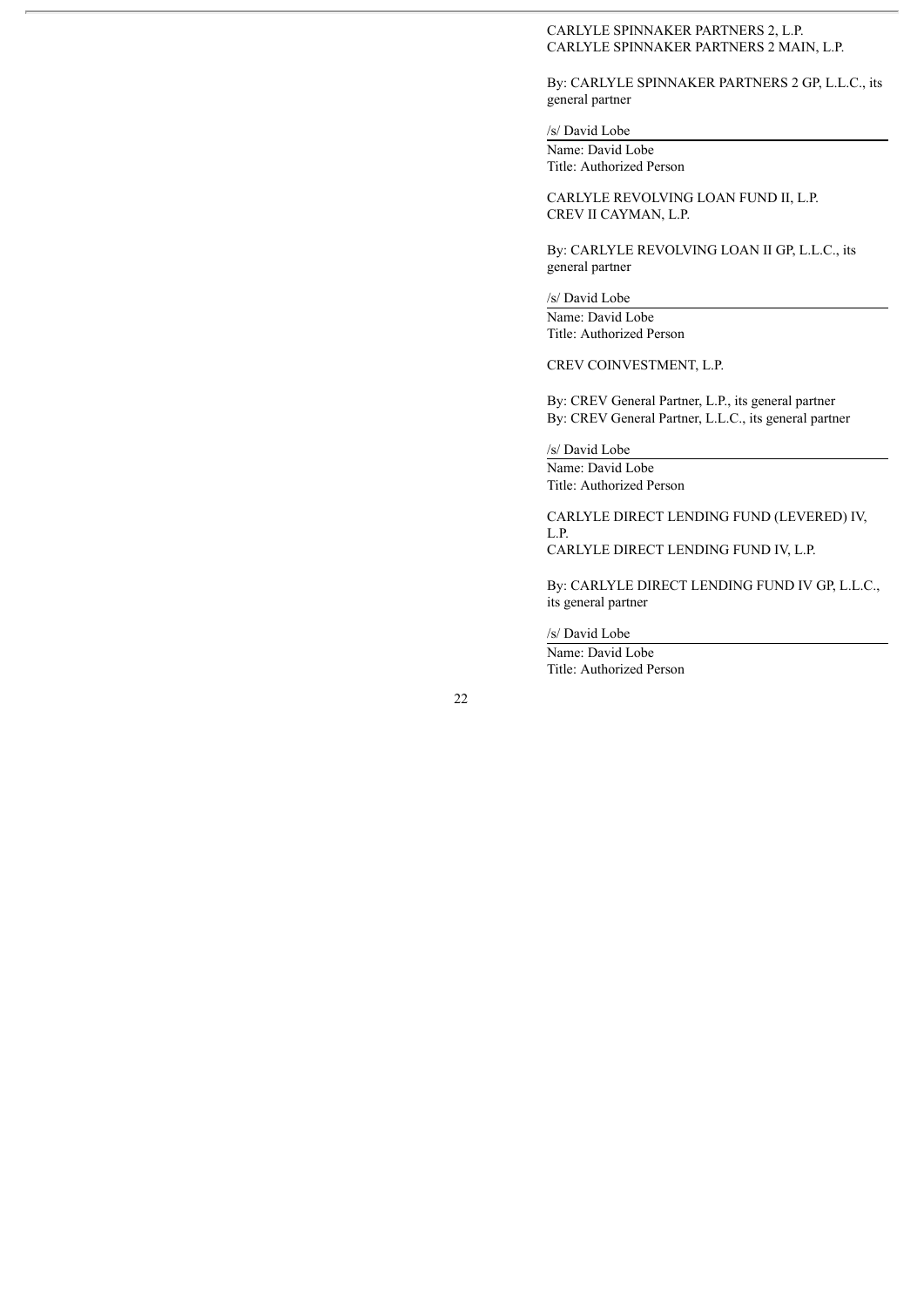### CARLYLE SPINNAKER PARTNERS 2, L.P. CARLYLE SPINNAKER PARTNERS 2 MAIN, L.P.

By: CARLYLE SPINNAKER PARTNERS 2 GP, L.L.C., its general partner

#### /s/ David Lobe

Name: David Lobe Title: Authorized Person

CARLYLE REVOLVING LOAN FUND II, L.P. CREV II CAYMAN, L.P.

By: CARLYLE REVOLVING LOAN II GP, L.L.C., its general partner

/s/ David Lobe Name: David Lobe Title: Authorized Person

CREV COINVESTMENT, L.P.

By: CREV General Partner, L.P., its general partner By: CREV General Partner, L.L.C., its general partner

/s/ David Lobe

Name: David Lobe Title: Authorized Person

CARLYLE DIRECT LENDING FUND (LEVERED) IV, L.P.

CARLYLE DIRECT LENDING FUND IV, L.P.

By: CARLYLE DIRECT LENDING FUND IV GP, L.L.C., its general partner

/s/ David Lobe

Name: David Lobe Title: Authorized Person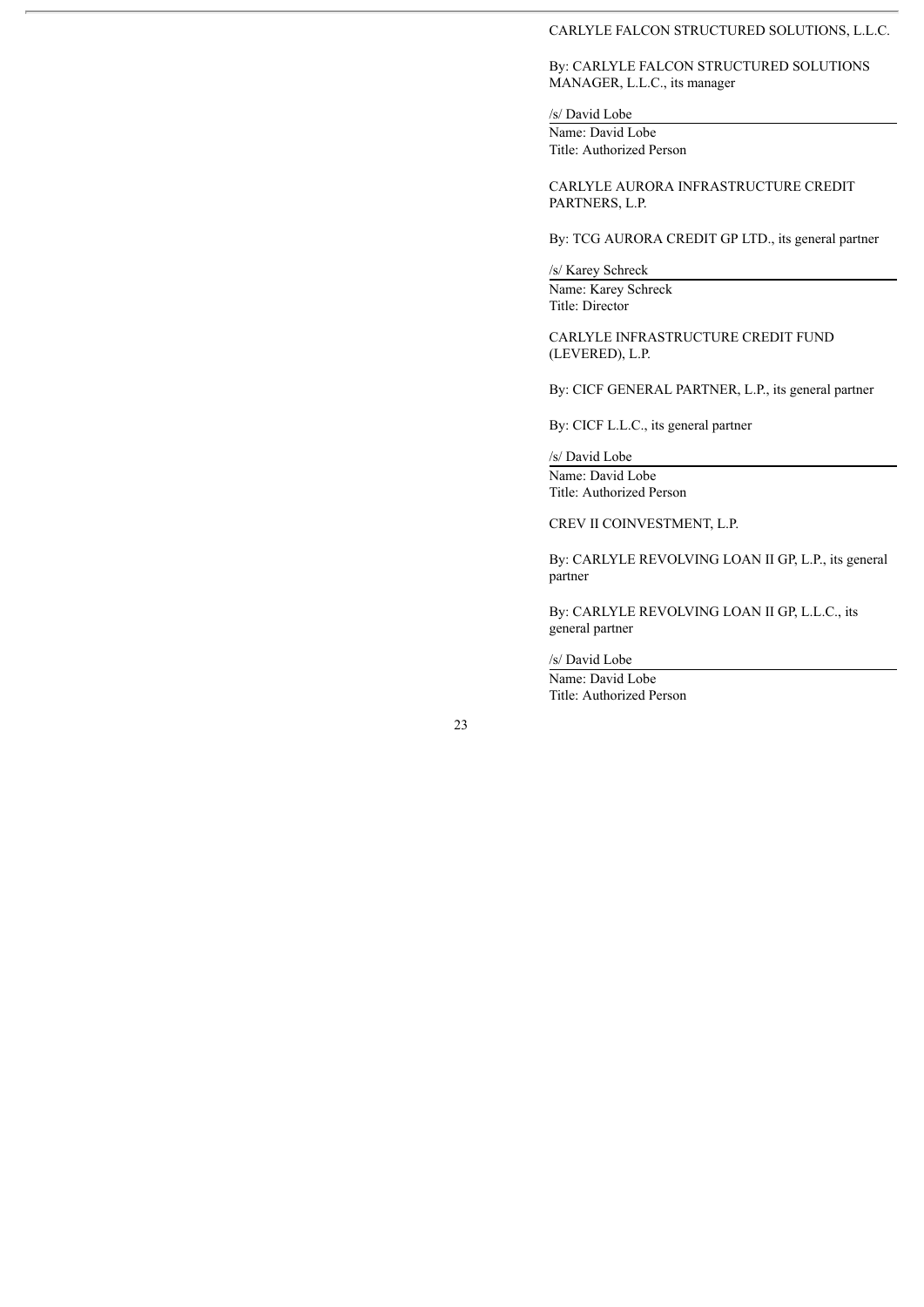#### CARLYLE FALCON STRUCTURED SOLUTIONS, L.L.C.

### By: CARLYLE FALCON STRUCTURED SOLUTIONS MANAGER, L.L.C., its manager

#### /s/ David Lobe

Name: David Lobe Title: Authorized Person

CARLYLE AURORA INFRASTRUCTURE CREDIT PARTNERS, L.P.

By: TCG AURORA CREDIT GP LTD., its general partner

/s/ Karey Schreck

Name: Karey Schreck Title: Director

CARLYLE INFRASTRUCTURE CREDIT FUND (LEVERED), L.P.

By: CICF GENERAL PARTNER, L.P., its general partner

By: CICF L.L.C., its general partner

/s/ David Lobe Name: David Lobe Title: Authorized Person

CREV II COINVESTMENT, L.P.

By: CARLYLE REVOLVING LOAN II GP, L.P., its general partner

By: CARLYLE REVOLVING LOAN II GP, L.L.C., its general partner

/s/ David Lobe

Name: David Lobe Title: Authorized Person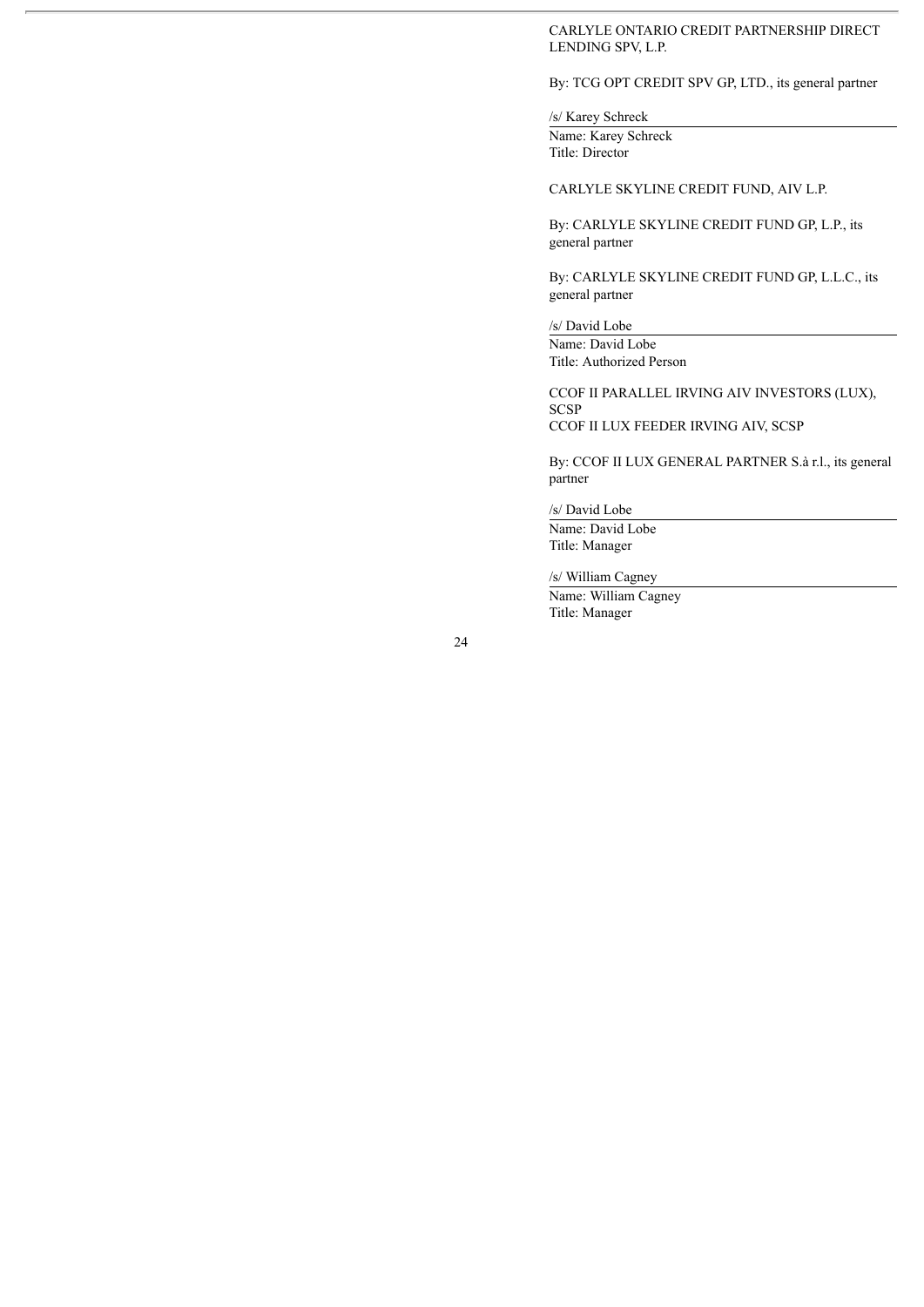CARLYLE ONTARIO CREDIT PARTNERSHIP DIRECT LENDING SPV, L.P.

## By: TCG OPT CREDIT SPV GP, LTD., its general partner

/s/ Karey Schreck Name: Karey Schreck

Title: Director

## CARLYLE SKYLINE CREDIT FUND, AIV L.P.

By: CARLYLE SKYLINE CREDIT FUND GP, L.P., its general partner

By: CARLYLE SKYLINE CREDIT FUND GP, L.L.C., its general partner

/s/ David Lobe Name: David Lobe

Title: Authorized Person CCOF II PARALLEL IRVING AIV INVESTORS (LUX),

**SCSP** CCOF II LUX FEEDER IRVING AIV, SCSP

By: CCOF II LUX GENERAL PARTNER S.à r.l., its general partner

/s/ David Lobe

Name: David Lobe Title: Manager

/s/ William Cagney

Name: William Cagney Title: Manager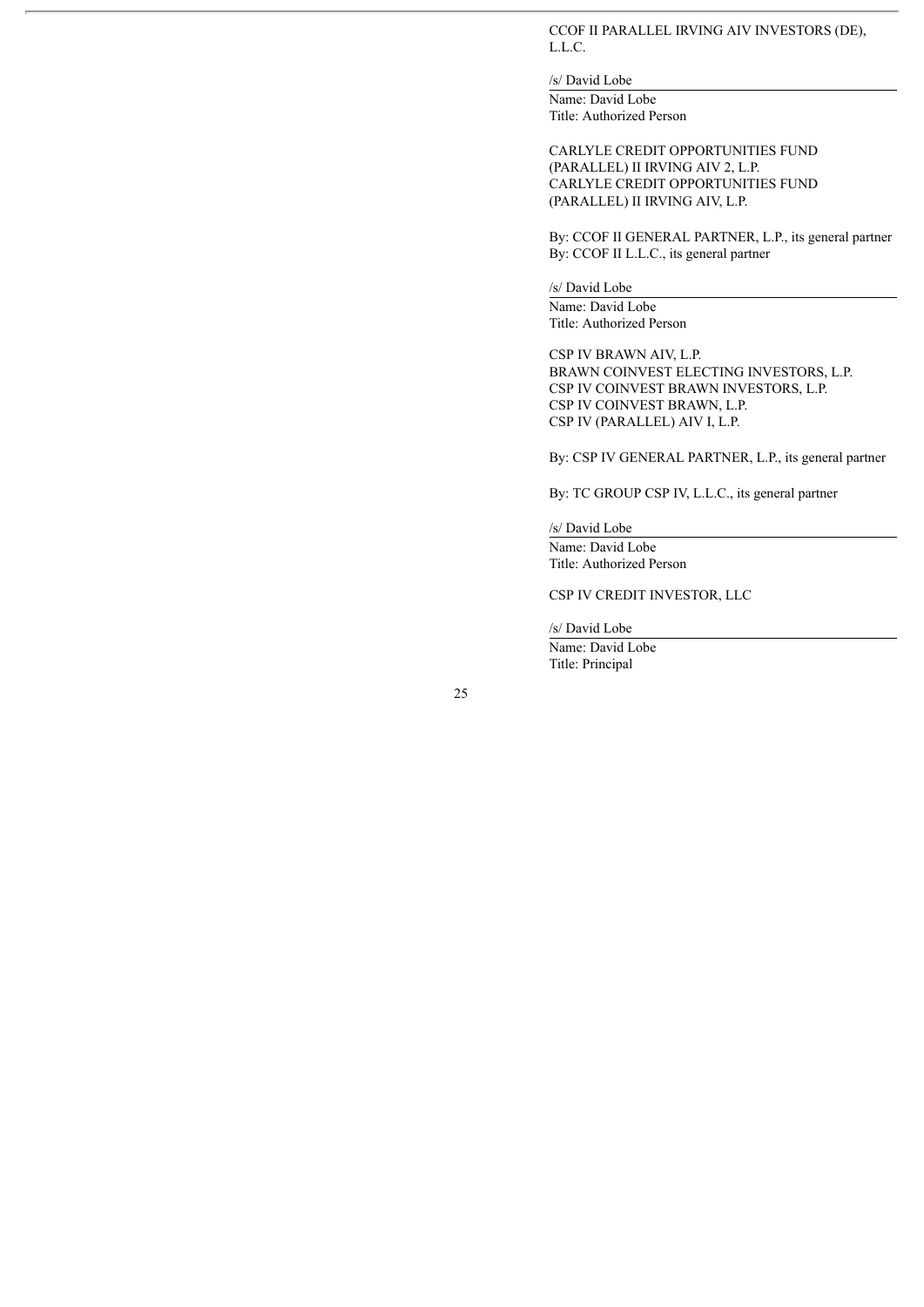CCOF II PARALLEL IRVING AIV INVESTORS (DE), L.L.C.

/s/ David Lobe Name: David Lobe Title: Authorized Person

CARLYLE CREDIT OPPORTUNITIES FUND (PARALLEL) II IRVING AIV 2, L.P. CARLYLE CREDIT OPPORTUNITIES FUND (PARALLEL) II IRVING AIV, L.P.

By: CCOF II GENERAL PARTNER, L.P., its general partner By: CCOF II L.L.C., its general partner

/s/ David Lobe

Name: David Lobe Title: Authorized Person

CSP IV BRAWN AIV, L.P. BRAWN COINVEST ELECTING INVESTORS, L.P. CSP IV COINVEST BRAWN INVESTORS, L.P. CSP IV COINVEST BRAWN, L.P. CSP IV (PARALLEL) AIV I, L.P.

By: CSP IV GENERAL PARTNER, L.P., its general partner

By: TC GROUP CSP IV, L.L.C., its general partner

/s/ David Lobe Name: David Lobe Title: Authorized Person

CSP IV CREDIT INVESTOR, LLC

/s/ David Lobe Name: David Lobe

Title: Principal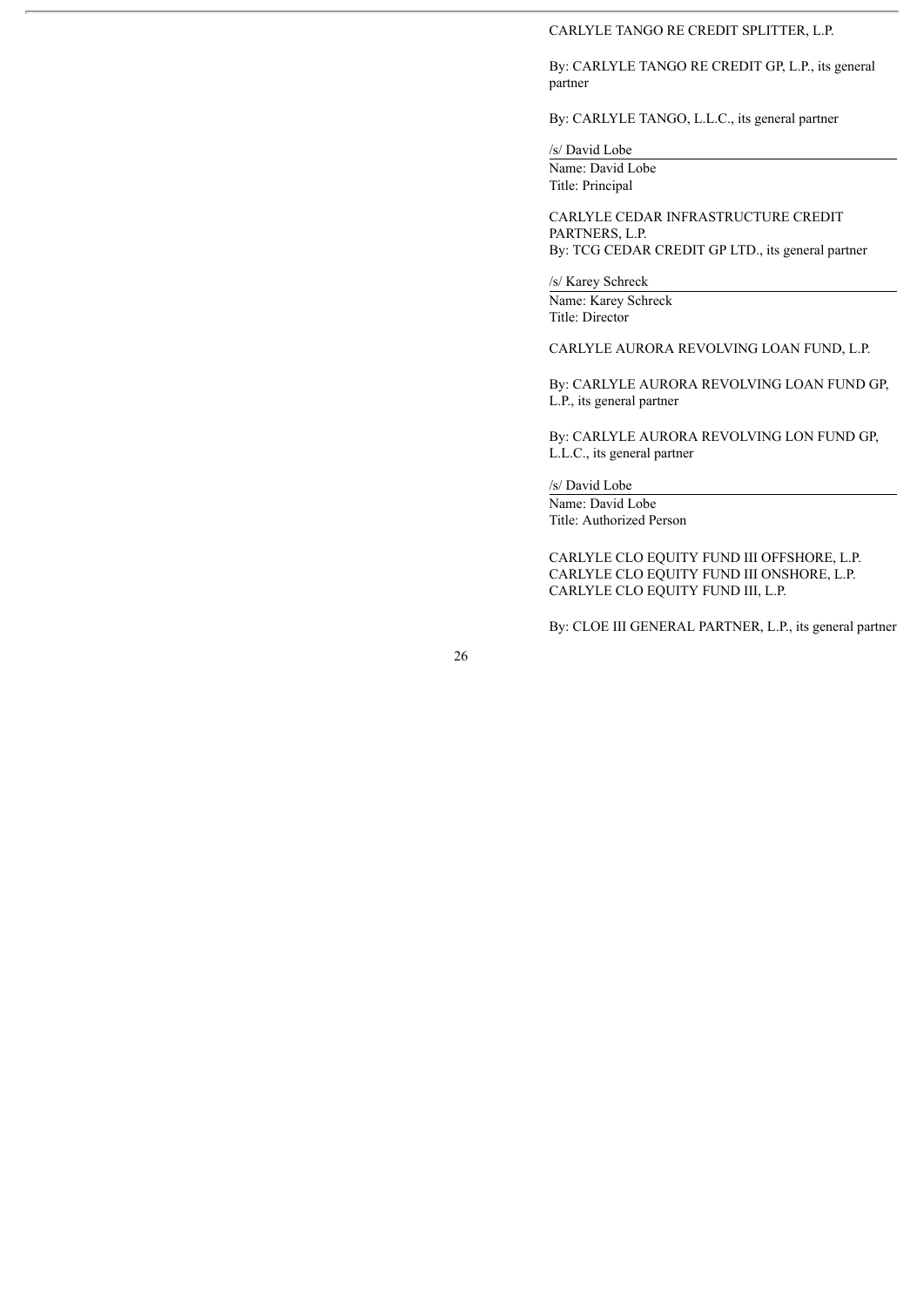#### CARLYLE TANGO RE CREDIT SPLITTER, L.P.

By: CARLYLE TANGO RE CREDIT GP, L.P., its general partner

By: CARLYLE TANGO, L.L.C., its general partner

/s/ David Lobe

Name: David Lobe Title: Principal

CARLYLE CEDAR INFRASTRUCTURE CREDIT PARTNERS, L.P. By: TCG CEDAR CREDIT GP LTD., its general partner

/s/ Karey Schreck

Name: Karey Schreck Title: Director

CARLYLE AURORA REVOLVING LOAN FUND, L.P.

By: CARLYLE AURORA REVOLVING LOAN FUND GP, L.P., its general partner

By: CARLYLE AURORA REVOLVING LON FUND GP, L.L.C., its general partner

/s/ David Lobe

Name: David Lobe Title: Authorized Person

CARLYLE CLO EQUITY FUND III OFFSHORE, L.P. CARLYLE CLO EQUITY FUND III ONSHORE, L.P. CARLYLE CLO EQUITY FUND III, L.P.

By: CLOE III GENERAL PARTNER, L.P., its general partner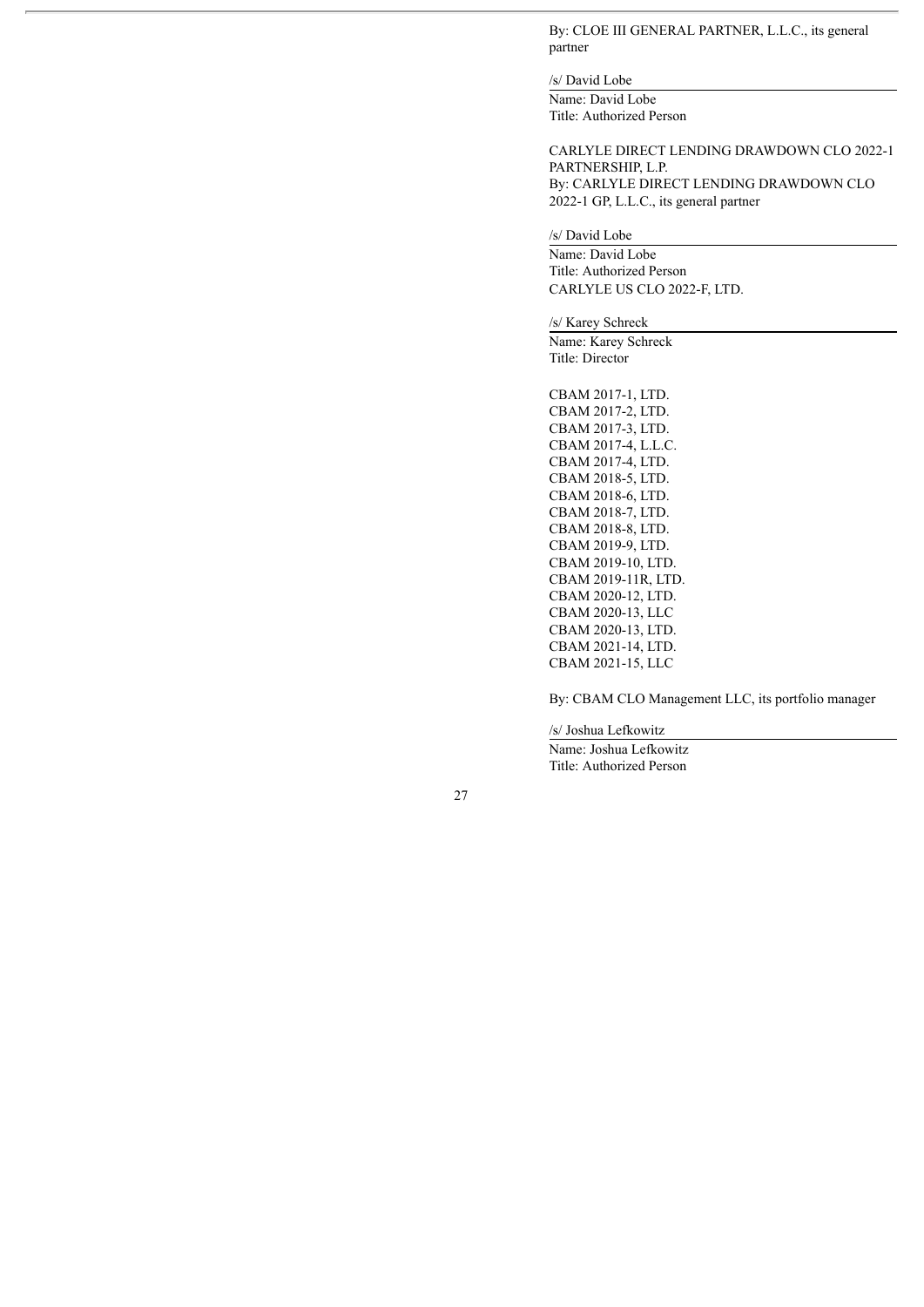By: CLOE III GENERAL PARTNER, L.L.C., its general partner

/s/ David Lobe Name: David Lobe Title: Authorized Person

CARLYLE DIRECT LENDING DRAWDOWN CLO 2022-1 PARTNERSHIP, L.P. By: CARLYLE DIRECT LENDING DRAWDOWN CLO 2022-1 GP, L.L.C., its general partner

/s/ David Lobe

Name: David Lobe Title: Authorized Person CARLYLE US CLO 2022-F, LTD.

/s/ Karey Schreck

Name: Karey Schreck Title: Director

CBAM 2017-1, LTD. CBAM 2017-2, LTD. CBAM 2017-3, LTD. CBAM 2017-4, L.L.C. CBAM 2017-4, LTD. CBAM 2018-5, LTD. CBAM 2018-6, LTD. CBAM 2018-7, LTD. CBAM 2018-8, LTD. CBAM 2019-9, LTD. CBAM 2019-10, LTD. CBAM 2019-11R, LTD. CBAM 2020-12, LTD. CBAM 2020-13, LLC CBAM 2020-13, LTD. CBAM 2021-14, LTD. CBAM 2021-15, LLC

By: CBAM CLO Management LLC, its portfolio manager

/s/ Joshua Lefkowitz

Name: Joshua Lefkowitz Title: Authorized Person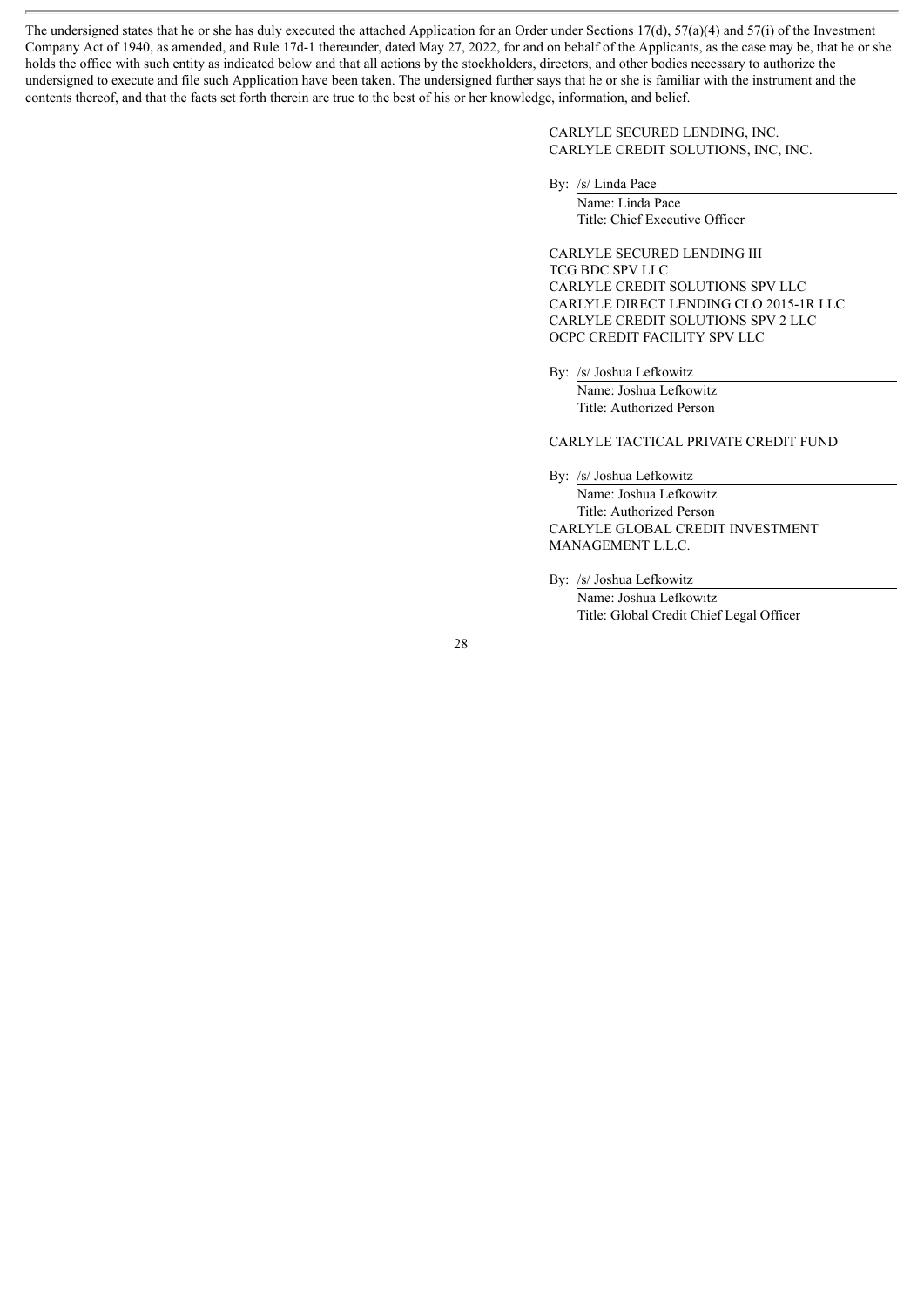The undersigned states that he or she has duly executed the attached Application for an Order under Sections 17(d), 57(a)(4) and 57(i) of the Investment Company Act of 1940, as amended, and Rule 17d-1 thereunder, dated May 27, 2022, for and on behalf of the Applicants, as the case may be, that he or she holds the office with such entity as indicated below and that all actions by the stockholders, directors, and other bodies necessary to authorize the undersigned to execute and file such Application have been taken. The undersigned further says that he or she is familiar with the instrument and the contents thereof, and that the facts set forth therein are true to the best of his or her knowledge, information, and belief.

> CARLYLE SECURED LENDING, INC. CARLYLE CREDIT SOLUTIONS, INC, INC.

By: /s/ Linda Pace

Name: Linda Pace Title: Chief Executive Officer

CARLYLE SECURED LENDING III TCG BDC SPV LLC CARLYLE CREDIT SOLUTIONS SPV LLC CARLYLE DIRECT LENDING CLO 2015-1R LLC CARLYLE CREDIT SOLUTIONS SPV 2 LLC OCPC CREDIT FACILITY SPV LLC

By: /s/ Joshua Lefkowitz Name: Joshua Lefkowitz Title: Authorized Person

# CARLYLE TACTICAL PRIVATE CREDIT FUND

By: /s/ Joshua Lefkowitz Name: Joshua Lefkowitz Title: Authorized Person CARLYLE GLOBAL CREDIT INVESTMENT MANAGEMENT L.L.C.

By: /s/ Joshua Lefkowitz

Name: Joshua Lefkowitz Title: Global Credit Chief Legal Officer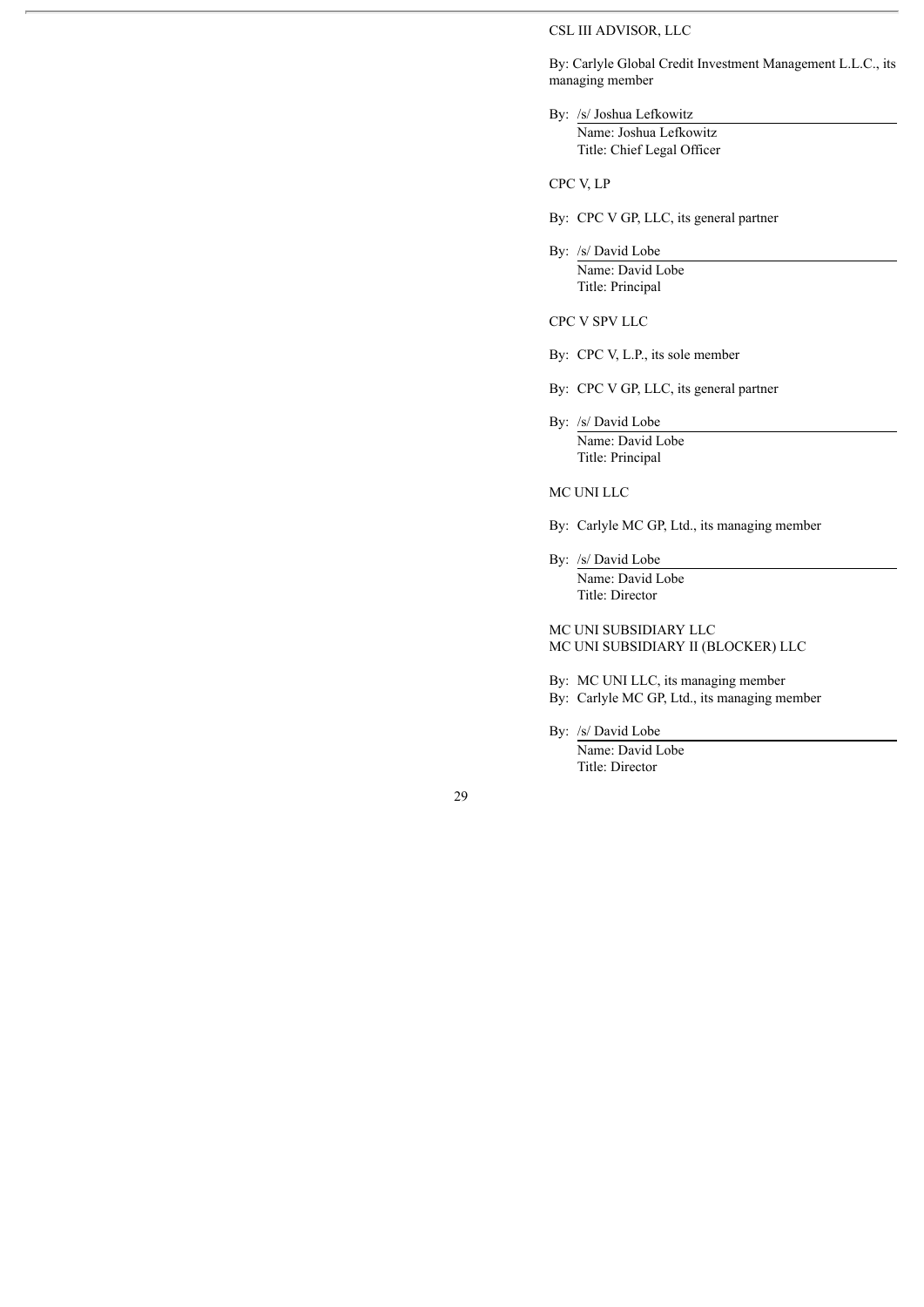### CSL III ADVISOR, LLC

By: Carlyle Global Credit Investment Management L.L.C., its managing member

By: /s/ Joshua Lefkowitz Name: Joshua Lefkowitz Title: Chief Legal Officer

CPC V, LP

- By: CPC V GP, LLC, its general partner
- By: /s/ David Lobe

Name: David Lobe Title: Principal

CPC V SPV LLC

- By: CPC V, L.P., its sole member
- By: CPC V GP, LLC, its general partner
- By: /s/ David Lobe Name: David Lobe Title: Principal

MC UNI LLC

By: Carlyle MC GP, Ltd., its managing member

By: /s/ David Lobe Name: David Lobe Title: Director

MC UNI SUBSIDIARY LLC MC UNI SUBSIDIARY II (BLOCKER) LLC

By: MC UNI LLC, its managing member

- By: Carlyle MC GP, Ltd., its managing member
- By: /s/ David Lobe Name: David Lobe Title: Director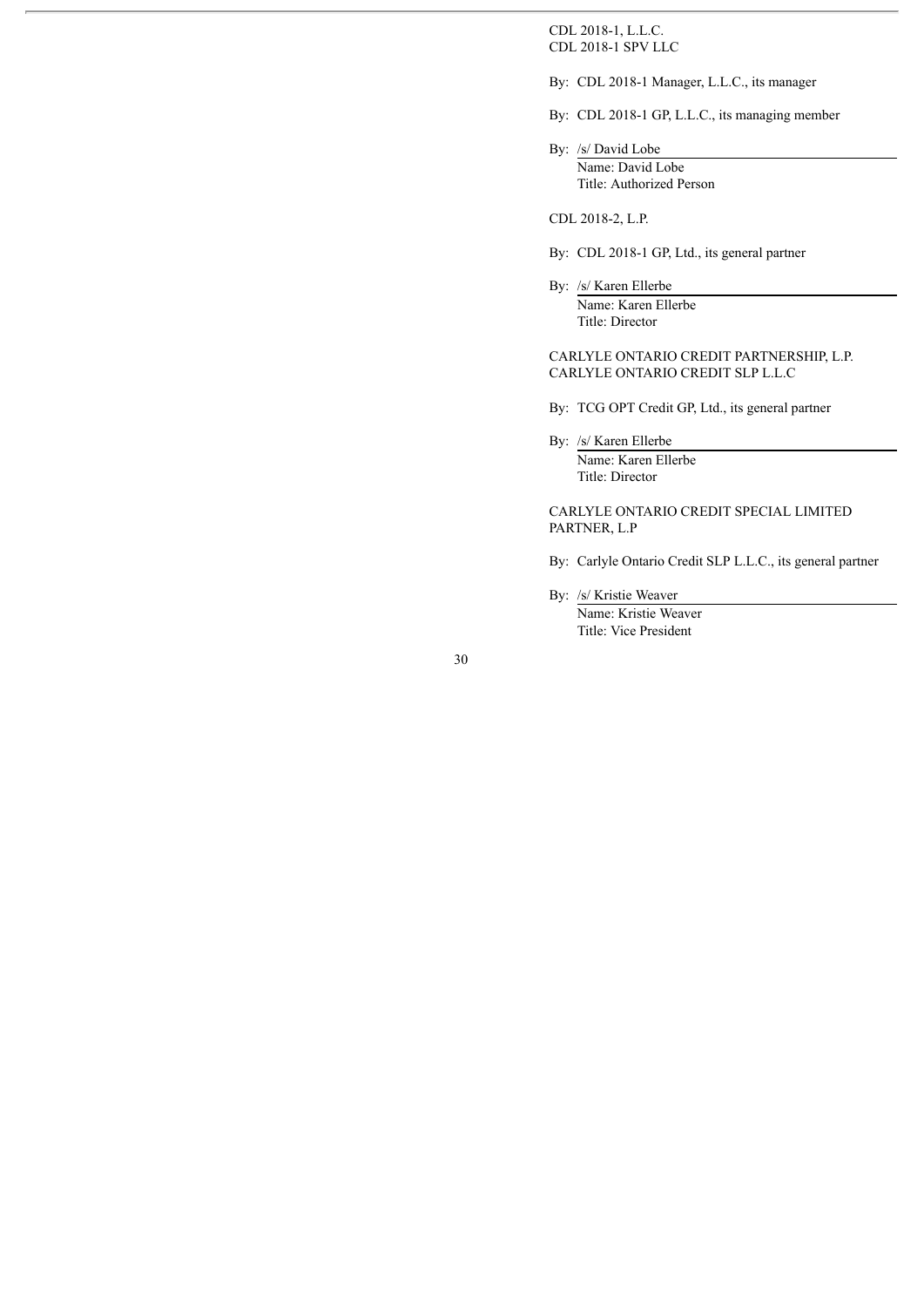CDL 2018-1, L.L.C. CDL 2018-1 SPV LLC

By: CDL 2018-1 Manager, L.L.C., its manager

By: CDL 2018-1 GP, L.L.C., its managing member

By: /s/ David Lobe Name: David Lobe Title: Authorized Person

CDL 2018-2, L.P.

- By: CDL 2018-1 GP, Ltd., its general partner
- By: /s/ Karen Ellerbe Name: Karen Ellerbe Title: Director

CARLYLE ONTARIO CREDIT PARTNERSHIP, L.P. CARLYLE ONTARIO CREDIT SLP L.L.C

By: TCG OPT Credit GP, Ltd., its general partner

By: /s/ Karen Ellerbe

Name: Karen Ellerbe Title: Director

CARLYLE ONTARIO CREDIT SPECIAL LIMITED PARTNER, L.P

- By: Carlyle Ontario Credit SLP L.L.C., its general partner
- By: /s/ Kristie Weaver Name: Kristie Weaver

Title: Vice President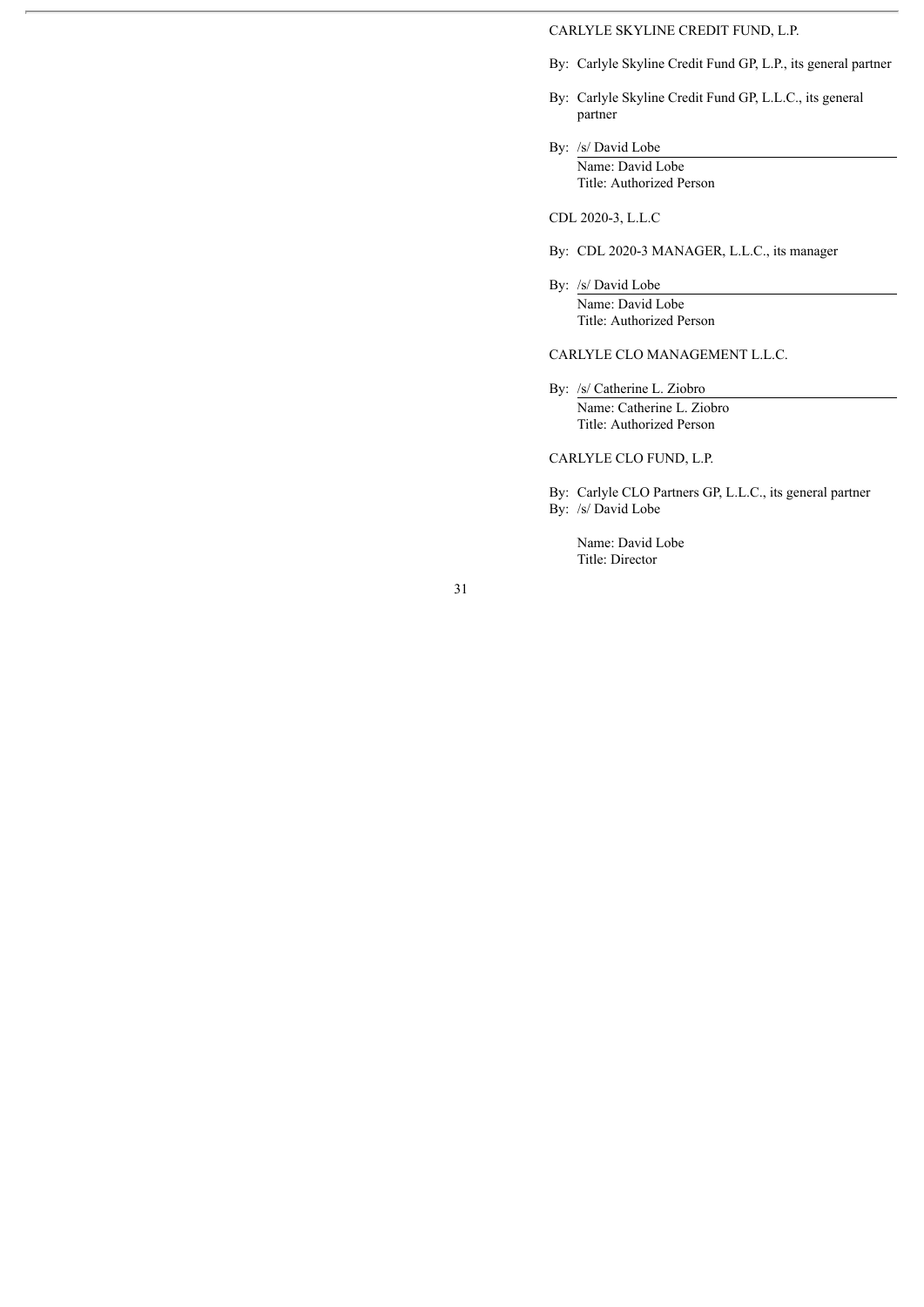# CARLYLE SKYLINE CREDIT FUND, L.P.

- By: Carlyle Skyline Credit Fund GP, L.P., its general partner
- By: Carlyle Skyline Credit Fund GP, L.L.C., its general partner
- By: /s/ David Lobe Name: David Lobe Title: Authorized Person

CDL 2020-3, L.L.C

- By: CDL 2020-3 MANAGER, L.L.C., its manager
- By: /s/ David Lobe Name: David Lobe Title: Authorized Person

## CARLYLE CLO MANAGEMENT L.L.C.

By: /s/ Catherine L. Ziobro Name: Catherine L. Ziobro Title: Authorized Person

CARLYLE CLO FUND, L.P.

By: Carlyle CLO Partners GP, L.L.C., its general partner By: /s/ David Lobe

Name: David Lobe Title: Director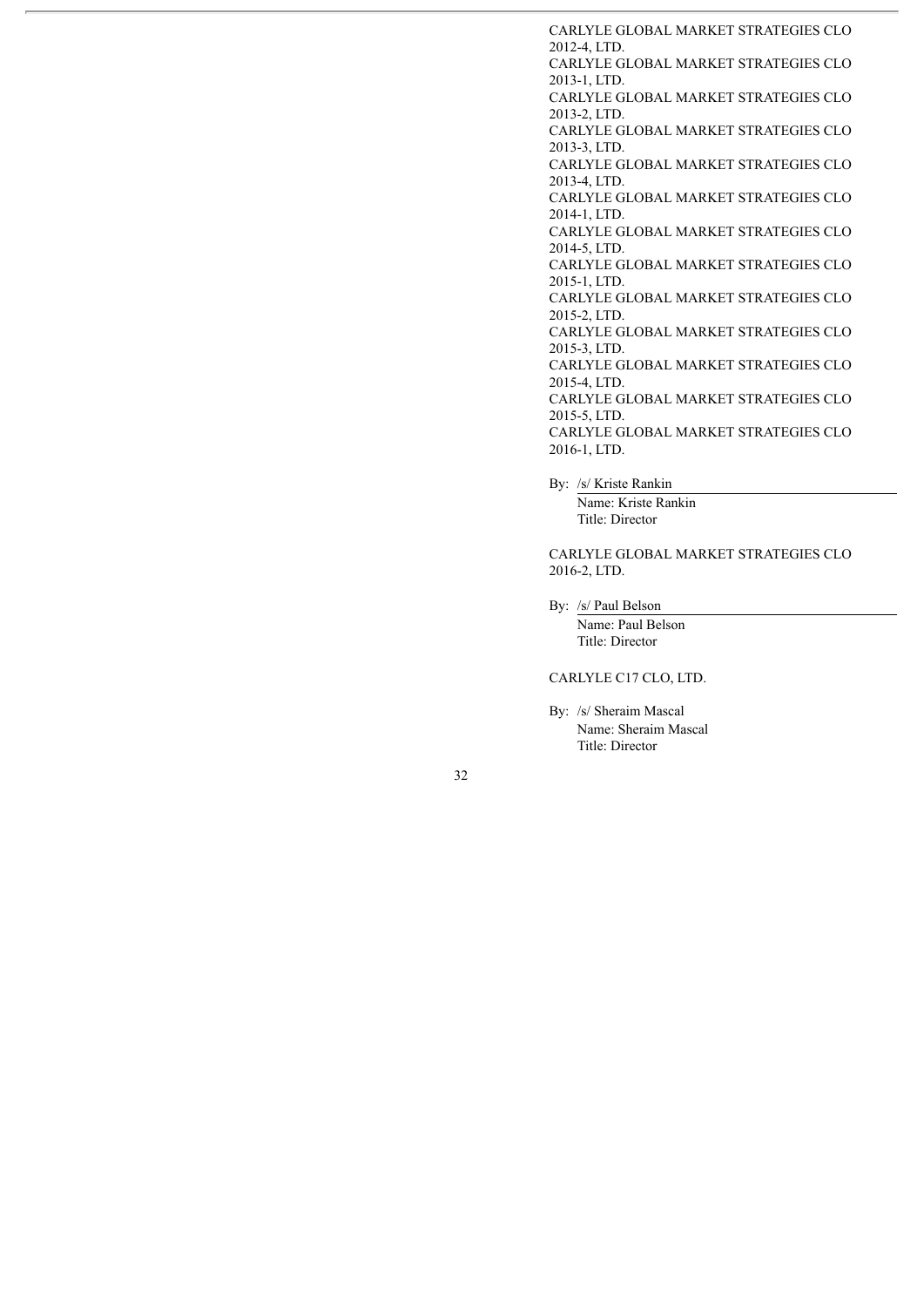CARLYLE GLOBAL MARKET STRATEGIES CLO 2012-4, LTD. CARLYLE GLOBAL MARKET STRATEGIES CLO 2013-1, LTD. CARLYLE GLOBAL MARKET STRATEGIES CLO 2013-2, LTD. CARLYLE GLOBAL MARKET STRATEGIES CLO 2013-3, LTD. CARLYLE GLOBAL MARKET STRATEGIES CLO 2013-4, LTD. CARLYLE GLOBAL MARKET STRATEGIES CLO 2014-1, LTD. CARLYLE GLOBAL MARKET STRATEGIES CLO 2014-5, LTD. CARLYLE GLOBAL MARKET STRATEGIES CLO 2015-1, LTD. CARLYLE GLOBAL MARKET STRATEGIES CLO 2015-2, LTD. CARLYLE GLOBAL MARKET STRATEGIES CLO 2015-3, LTD. CARLYLE GLOBAL MARKET STRATEGIES CLO 2015-4, LTD. CARLYLE GLOBAL MARKET STRATEGIES CLO 2015-5, LTD. CARLYLE GLOBAL MARKET STRATEGIES CLO 2016-1, LTD.

By: /s/ Kriste Rankin

Name: Kriste Rankin Title: Director

CARLYLE GLOBAL MARKET STRATEGIES CLO 2016-2, LTD.

By: /s/ Paul Belson

Name: Paul Belson Title: Director

# CARLYLE C17 CLO, LTD.

By: /s/ Sheraim Mascal Name: Sheraim Mascal Title: Director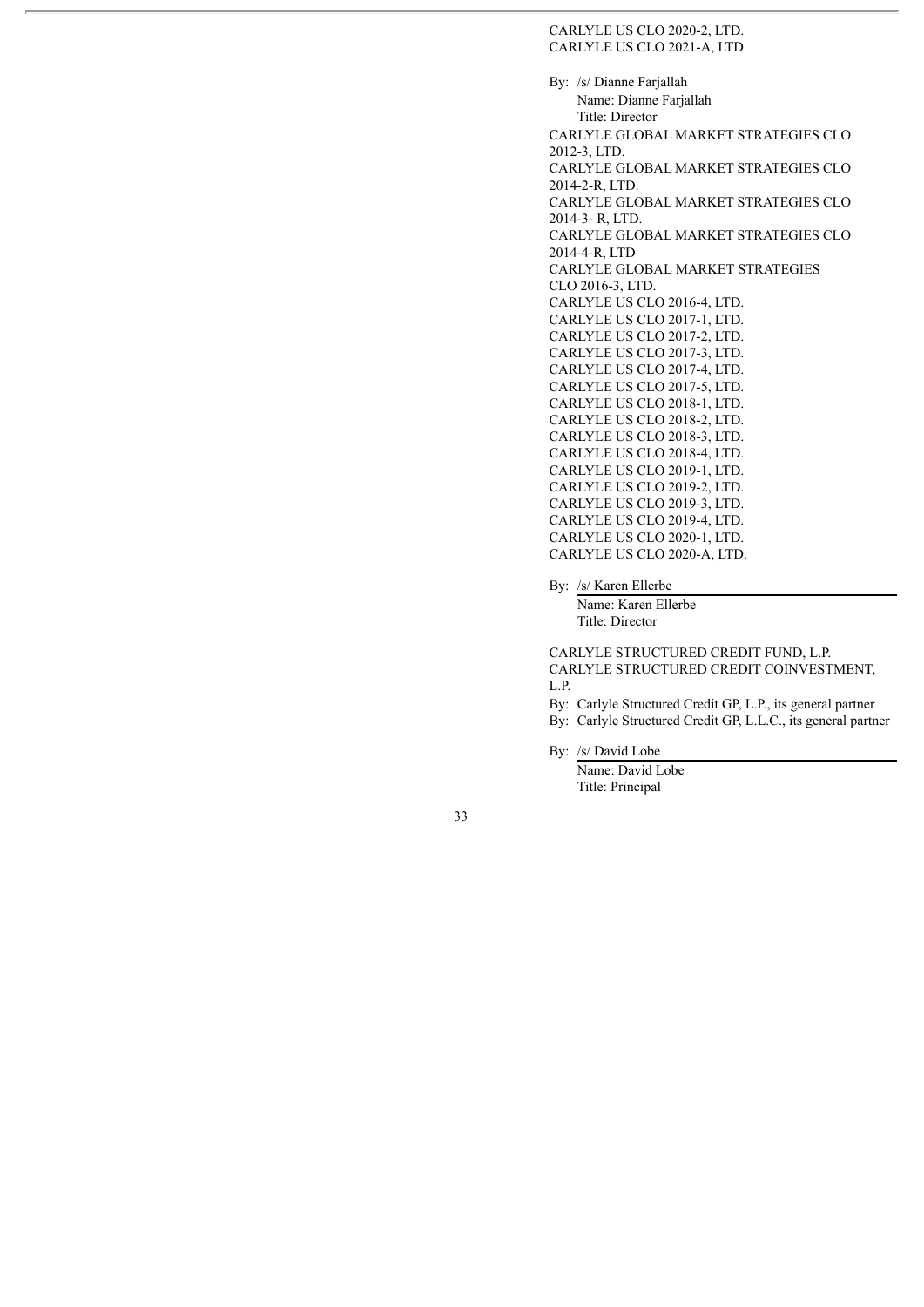CARLYLE US CLO 2020-2, LTD. CARLYLE US CLO 2021-A, LTD

By: /s/ Dianne Farjallah Name: Dianne Farjallah Title: Director CARLYLE GLOBAL MARKET STRATEGIES CLO 2012-3, LTD. CARLYLE GLOBAL MARKET STRATEGIES CLO 2014-2-R, LTD. CARLYLE GLOBAL MARKET STRATEGIES CLO 2014-3- R, LTD. CARLYLE GLOBAL MARKET STRATEGIES CLO 2014-4-R, LTD CARLYLE GLOBAL MARKET STRATEGIES CLO 2016-3, LTD. CARLYLE US CLO 2016-4, LTD. CARLYLE US CLO 2017-1, LTD. CARLYLE US CLO 2017-2, LTD. CARLYLE US CLO 2017-3, LTD. CARLYLE US CLO 2017-4, LTD. CARLYLE US CLO 2017-5, LTD. CARLYLE US CLO 2018-1, LTD. CARLYLE US CLO 2018-2, LTD. CARLYLE US CLO 2018-3, LTD. CARLYLE US CLO 2018-4, LTD. CARLYLE US CLO 2019-1, LTD. CARLYLE US CLO 2019-2, LTD. CARLYLE US CLO 2019-3, LTD. CARLYLE US CLO 2019-4, LTD. CARLYLE US CLO 2020-1, LTD. CARLYLE US CLO 2020-A, LTD.

By: /s/ Karen Ellerbe

Name: Karen Ellerbe Title: Director

CARLYLE STRUCTURED CREDIT FUND, L.P. CARLYLE STRUCTURED CREDIT COINVESTMENT, L.P.

By: Carlyle Structured Credit GP, L.P., its general partner

By: Carlyle Structured Credit GP, L.L.C., its general partner

By: /s/ David Lobe

Name: David Lobe Title: Principal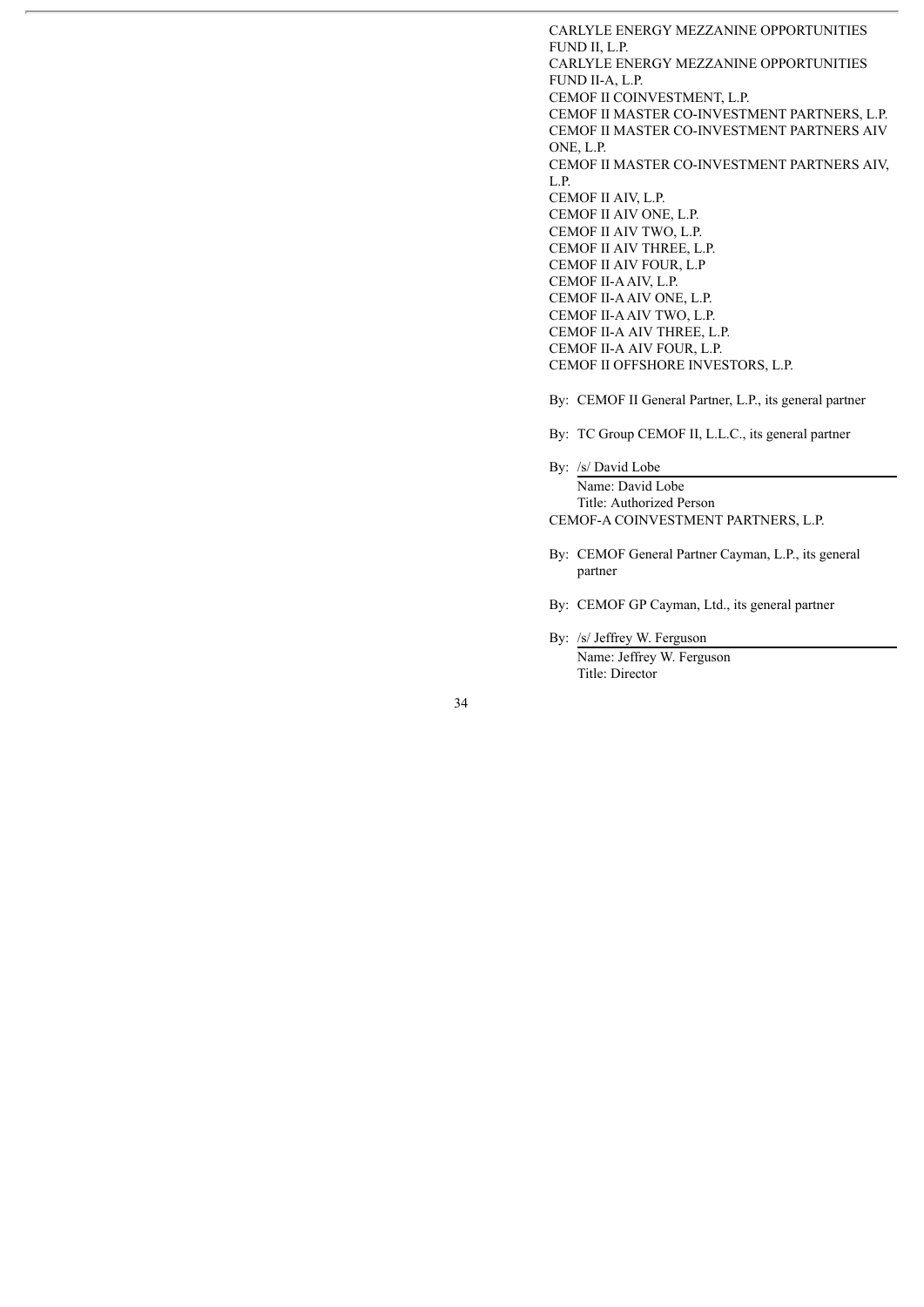CARLYLE ENERGY MEZZANINE OPPORTUNITIES FUND II, L.P. CARLYLE ENERGY MEZZANINE OPPORTUNITIES FUND II-A, L.P. CEMOF II COINVESTMENT, L.P. CEMOF II MASTER CO-INVESTMENT PARTNERS, L.P. CEMOF II MASTER CO-INVESTMENT PARTNERS AIV ONE, L.P. CEMOF II MASTER CO-INVESTMENT PARTNERS AIV, L.P. CEMOF II AIV, L.P. CEMOF II AIV ONE, L.P. CEMOF II AIV TWO, L.P. CEMOF II AIV THREE, L.P. CEMOF II AIV FOUR, L.P CEMOF II-AAIV, L.P. CEMOF II-AAIV ONE, L.P. CEMOF II-AAIV TWO, L.P. CEMOF II-A AIV THREE, L.P. CEMOF II-A AIV FOUR, L.P. CEMOF II OFFSHORE INVESTORS, L.P.

By: CEMOF II General Partner, L.P., its general partner

By: TC Group CEMOF II, L.L.C., its general partner

By: /s/ David Lobe

Name: David Lobe Title: Authorized Person CEMOF-A COINVESTMENT PARTNERS, L.P.

- By: CEMOF General Partner Cayman, L.P., its general partner
- By: CEMOF GP Cayman, Ltd., its general partner

By: /s/ Jeffrey W. Ferguson

Name: Jeffrey W. Ferguson Title: Director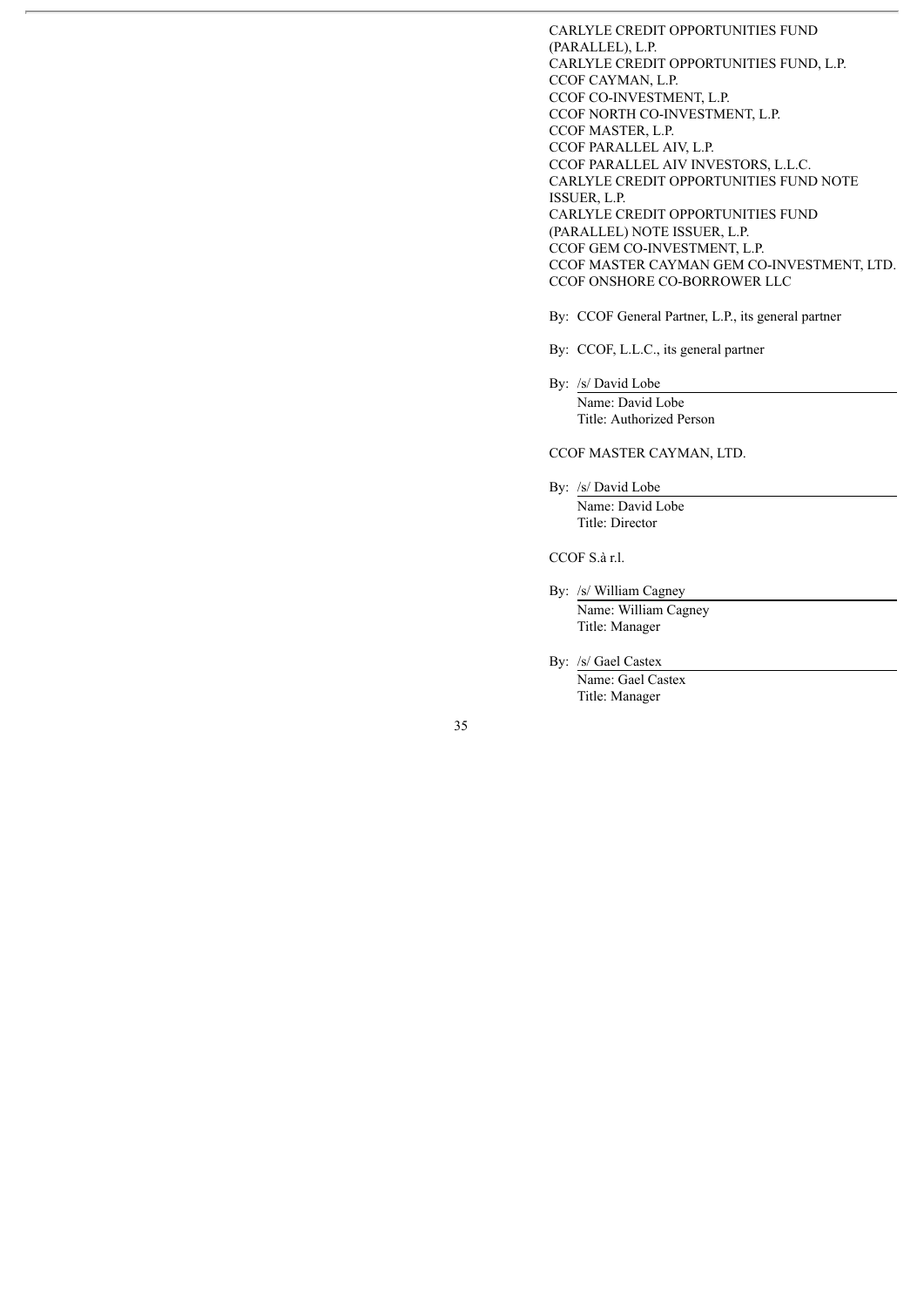CARLYLE CREDIT OPPORTUNITIES FUND (PARALLEL), L.P. CARLYLE CREDIT OPPORTUNITIES FUND, L.P. CCOF CAYMAN, L.P. CCOF CO-INVESTMENT, L.P. CCOF NORTH CO-INVESTMENT, L.P. CCOF MASTER, L.P. CCOF PARALLEL AIV, L.P. CCOF PARALLEL AIV INVESTORS, L.L.C. CARLYLE CREDIT OPPORTUNITIES FUND NOTE ISSUER, L.P. CARLYLE CREDIT OPPORTUNITIES FUND (PARALLEL) NOTE ISSUER, L.P. CCOF GEM CO-INVESTMENT, L.P. CCOF MASTER CAYMAN GEM CO-INVESTMENT, LTD. CCOF ONSHORE CO-BORROWER LLC

By: CCOF General Partner, L.P., its general partner

By: CCOF, L.L.C., its general partner

By: /s/ David Lobe

Name: David Lobe Title: Authorized Person

CCOF MASTER CAYMAN, LTD.

By: /s/ David Lobe Name: David Lobe Title: Director

CCOF S.à r.l.

By: /s/ William Cagney Name: William Cagney Title: Manager

By: /s/ Gael Castex

Name: Gael Castex Title: Manager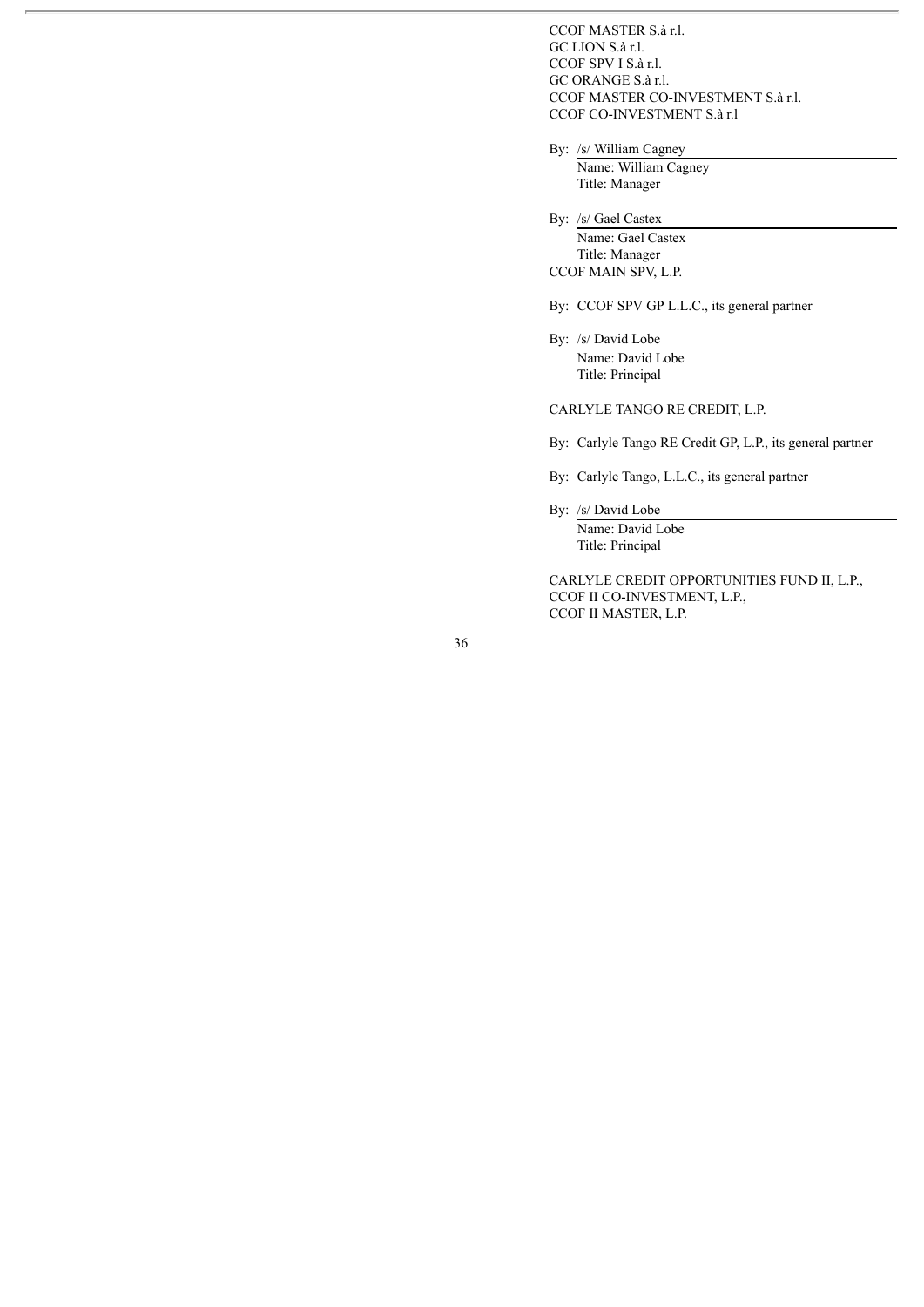CCOF MASTER S.à r.l. GC LION S.à r.l. CCOF SPV I S.à r.l. GC ORANGE S.à r.l. CCOF MASTER CO-INVESTMENT S.à r.l. CCOF CO-INVESTMENT S.à r.l

By: /s/ William Cagney

Name: William Cagney Title: Manager

By: /s/ Gael Castex

Name: Gael Castex Title: Manager CCOF MAIN SPV, L.P.

By: CCOF SPV GP L.L.C., its general partner

By: /s/ David Lobe Name: David Lobe Title: Principal

CARLYLE TANGO RE CREDIT, L.P.

By: Carlyle Tango RE Credit GP, L.P., its general partner

By: Carlyle Tango, L.L.C., its general partner

By: /s/ David Lobe

Name: David Lobe Title: Principal

CARLYLE CREDIT OPPORTUNITIES FUND II, L.P., CCOF II CO-INVESTMENT, L.P., CCOF II MASTER, L.P.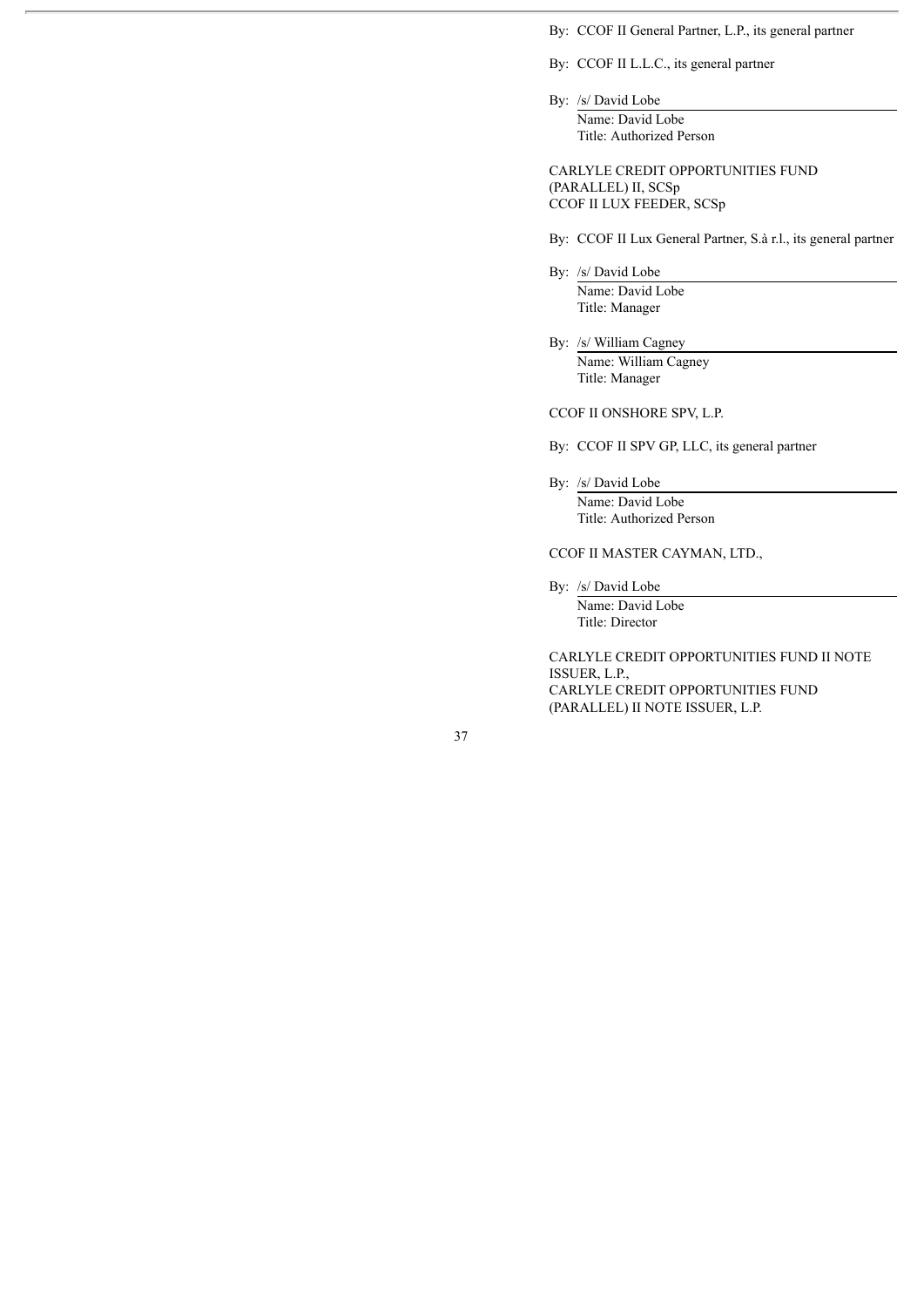By: CCOF II General Partner, L.P., its general partner

By: CCOF II L.L.C., its general partner

By: /s/ David Lobe

Name: David Lobe Title: Authorized Person

CARLYLE CREDIT OPPORTUNITIES FUND (PARALLEL) II, SCSp CCOF II LUX FEEDER, SCSp

By: CCOF II Lux General Partner, S.à r.l., its general partner

By: /s/ David Lobe Name: David Lobe Title: Manager

By: /s/ William Cagney Name: William Cagney Title: Manager

CCOF II ONSHORE SPV, L.P.

By: CCOF II SPV GP, LLC, its general partner

By: /s/ David Lobe Name: David Lobe Title: Authorized Person

CCOF II MASTER CAYMAN, LTD.,

By: /s/ David Lobe Name: David Lobe Title: Director

CARLYLE CREDIT OPPORTUNITIES FUND II NOTE ISSUER, L.P., CARLYLE CREDIT OPPORTUNITIES FUND (PARALLEL) II NOTE ISSUER, L.P.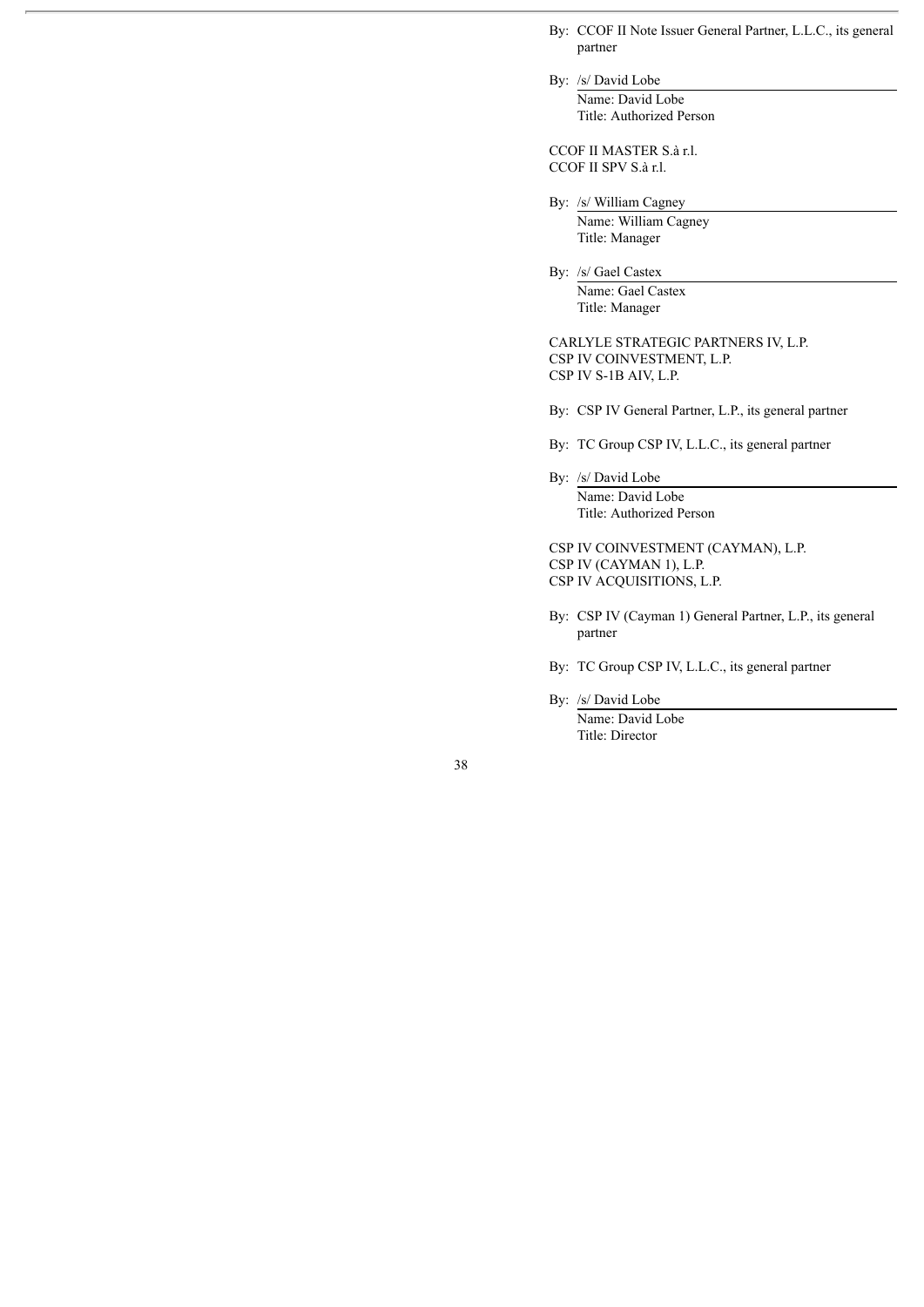- By: CCOF II Note Issuer General Partner, L.L.C., its general partner
- By: /s/ David Lobe Name: David Lobe Title: Authorized Person

CCOF II MASTER S.à r.l. CCOF II SPV S.à r.l.

- By: /s/ William Cagney
	- Name: William Cagney Title: Manager

By: /s/ Gael Castex Name: Gael Castex Title: Manager

CARLYLE STRATEGIC PARTNERS IV, L.P. CSP IV COINVESTMENT, L.P. CSP IV S-1B AIV, L.P.

By: CSP IV General Partner, L.P., its general partner

By: TC Group CSP IV, L.L.C., its general partner

By: /s/ David Lobe Name: David Lobe Title: Authorized Person

CSP IV COINVESTMENT (CAYMAN), L.P. CSP IV (CAYMAN 1), L.P. CSP IV ACQUISITIONS, L.P.

- By: CSP IV (Cayman 1) General Partner, L.P., its general partner
- By: TC Group CSP IV, L.L.C., its general partner

By: /s/ David Lobe Name: David Lobe Title: Director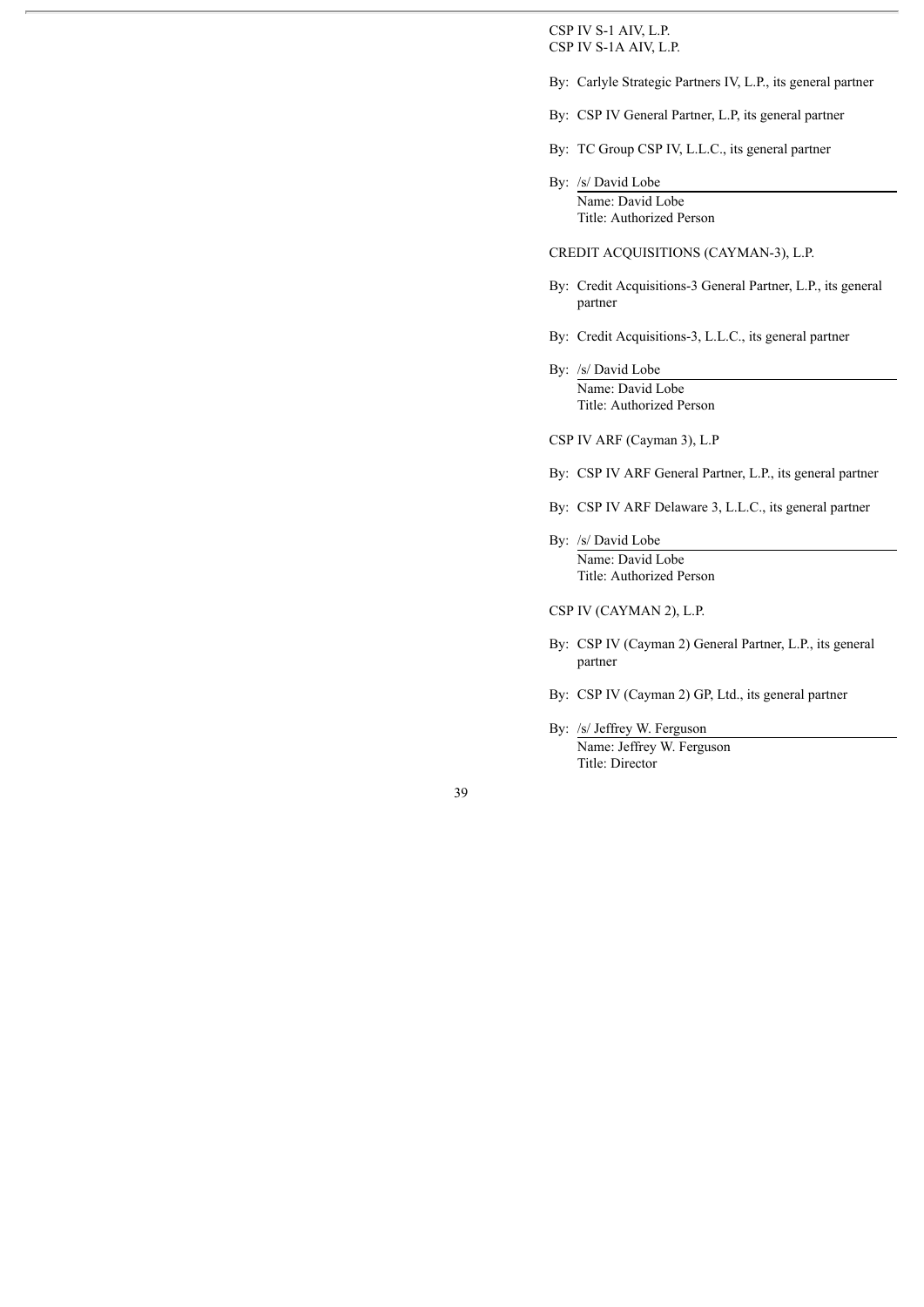CSP IV S-1 AIV, L.P. CSP IV S-1A AIV, L.P.

- By: Carlyle Strategic Partners IV, L.P., its general partner
- By: CSP IV General Partner, L.P, its general partner
- By: TC Group CSP IV, L.L.C., its general partner
- By: /s/ David Lobe Name: David Lobe Title: Authorized Person

### CREDIT ACQUISITIONS (CAYMAN-3), L.P.

- By: Credit Acquisitions-3 General Partner, L.P., its general partner
- By: Credit Acquisitions-3, L.L.C., its general partner
- By: /s/ David Lobe Name: David Lobe Title: Authorized Person

CSP IV ARF (Cayman 3), L.P

- By: CSP IV ARF General Partner, L.P., its general partner
- By: CSP IV ARF Delaware 3, L.L.C., its general partner
- By: /s/ David Lobe Name: David Lobe Title: Authorized Person

CSP IV (CAYMAN 2), L.P.

- By: CSP IV (Cayman 2) General Partner, L.P., its general partner
- By: CSP IV (Cayman 2) GP, Ltd., its general partner
- By: /s/ Jeffrey W. Ferguson Name: Jeffrey W. Ferguson Title: Director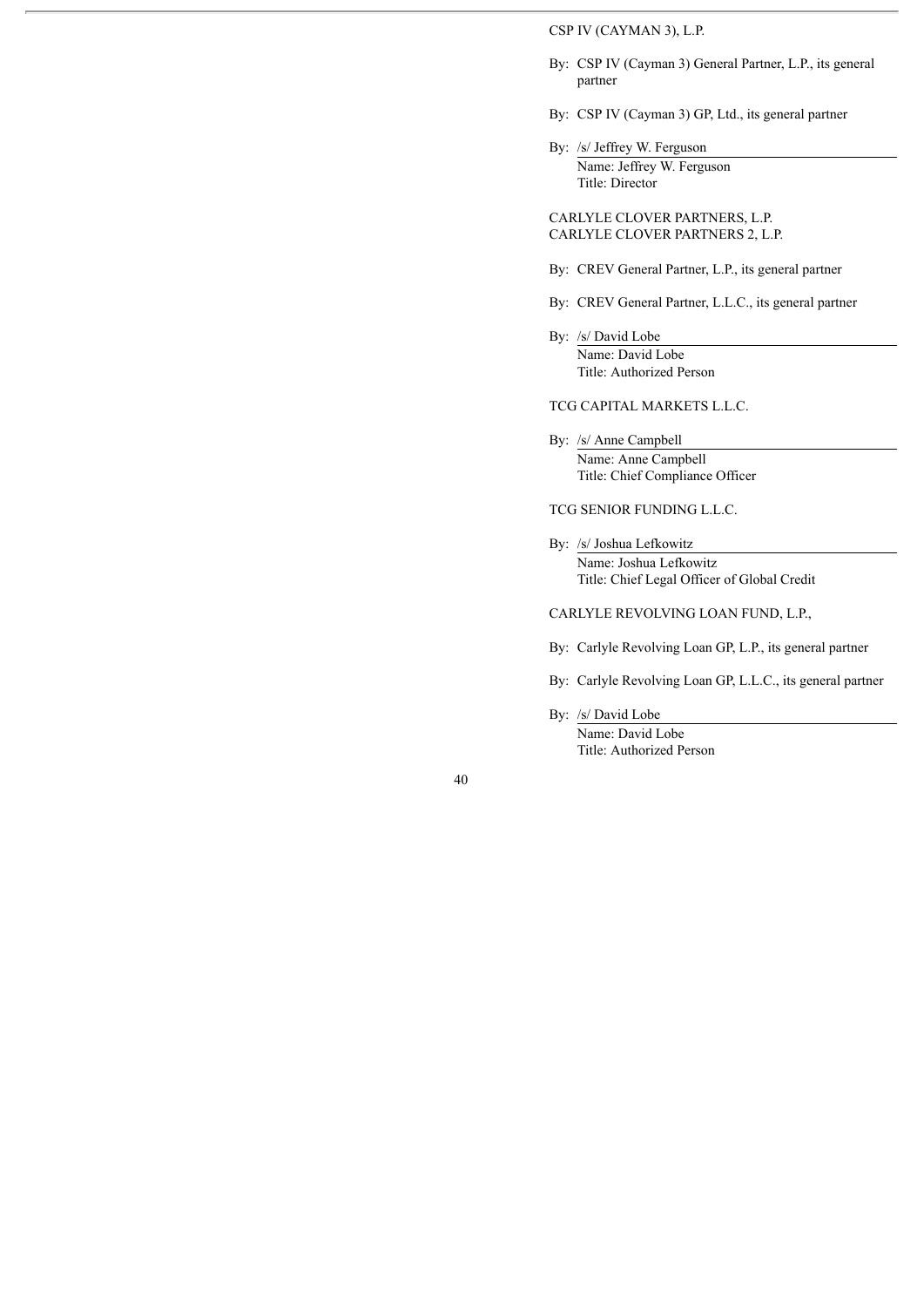## CSP IV (CAYMAN 3), L.P.

- By: CSP IV (Cayman 3) General Partner, L.P., its general partner
- By: CSP IV (Cayman 3) GP, Ltd., its general partner
- By: /s/ Jeffrey W. Ferguson Name: Jeffrey W. Ferguson Title: Director

CARLYLE CLOVER PARTNERS, L.P. CARLYLE CLOVER PARTNERS 2, L.P.

- By: CREV General Partner, L.P., its general partner
- By: CREV General Partner, L.L.C., its general partner
- By: /s/ David Lobe Name: David Lobe Title: Authorized Person

# TCG CAPITAL MARKETS L.L.C.

By: /s/ Anne Campbell Name: Anne Campbell Title: Chief Compliance Officer

TCG SENIOR FUNDING L.L.C.

By: /s/ Joshua Lefkowitz Name: Joshua Lefkowitz Title: Chief Legal Officer of Global Credit

CARLYLE REVOLVING LOAN FUND, L.P.,

- By: Carlyle Revolving Loan GP, L.P., its general partner
- By: Carlyle Revolving Loan GP, L.L.C., its general partner
- By: /s/ David Lobe Name: David Lobe

Title: Authorized Person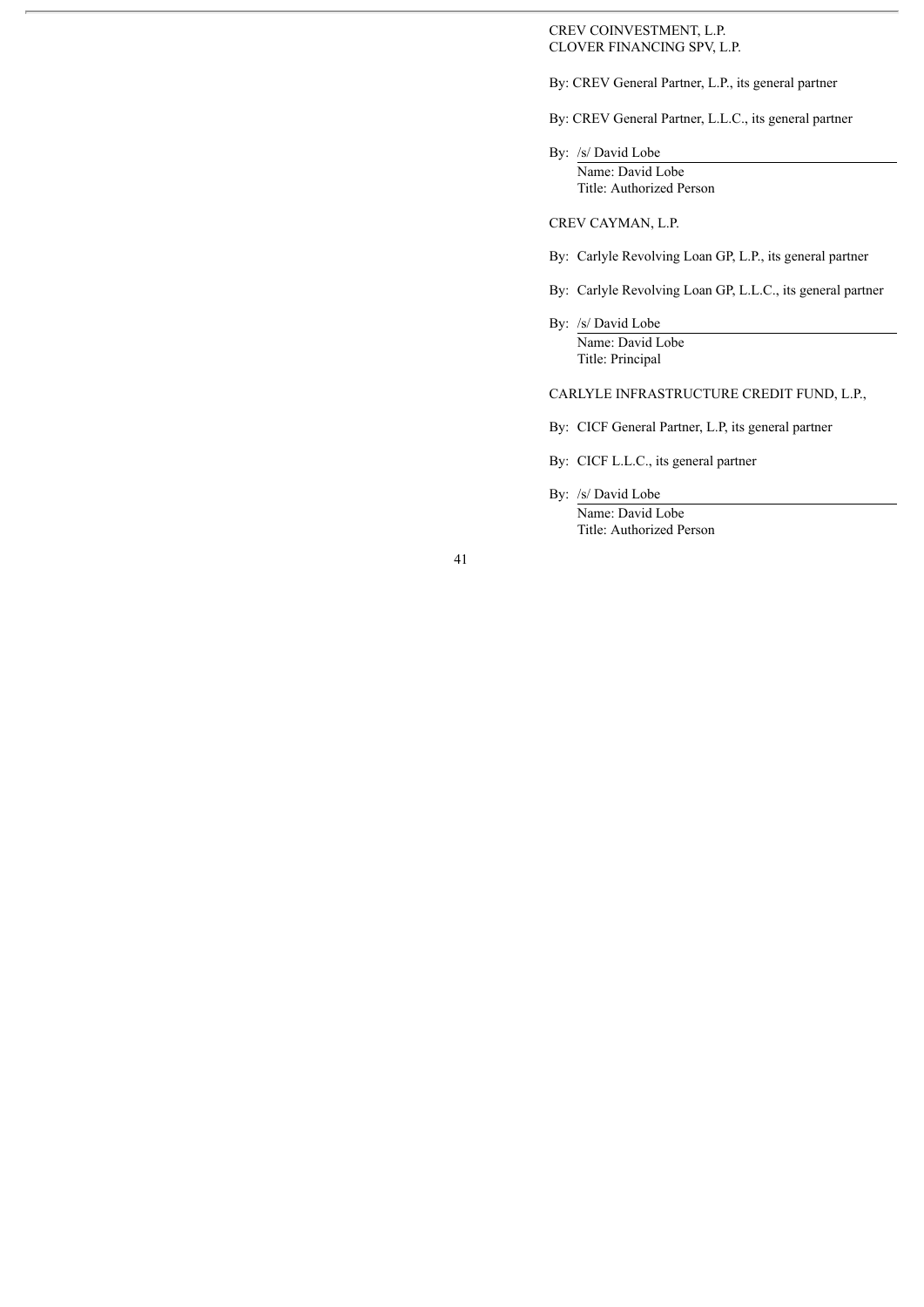### CREV COINVESTMENT, L.P. CLOVER FINANCING SPV, L.P.

By: CREV General Partner, L.P., its general partner

By: CREV General Partner, L.L.C., its general partner

By: /s/ David Lobe Name: David Lobe Title: Authorized Person

CREV CAYMAN, L.P.

- By: Carlyle Revolving Loan GP, L.P., its general partner
- By: Carlyle Revolving Loan GP, L.L.C., its general partner
- By: /s/ David Lobe Name: David Lobe Title: Principal

CARLYLE INFRASTRUCTURE CREDIT FUND, L.P.,

- By: CICF General Partner, L.P, its general partner
- By: CICF L.L.C., its general partner
- By: /s/ David Lobe Name: David Lobe Title: Authorized Person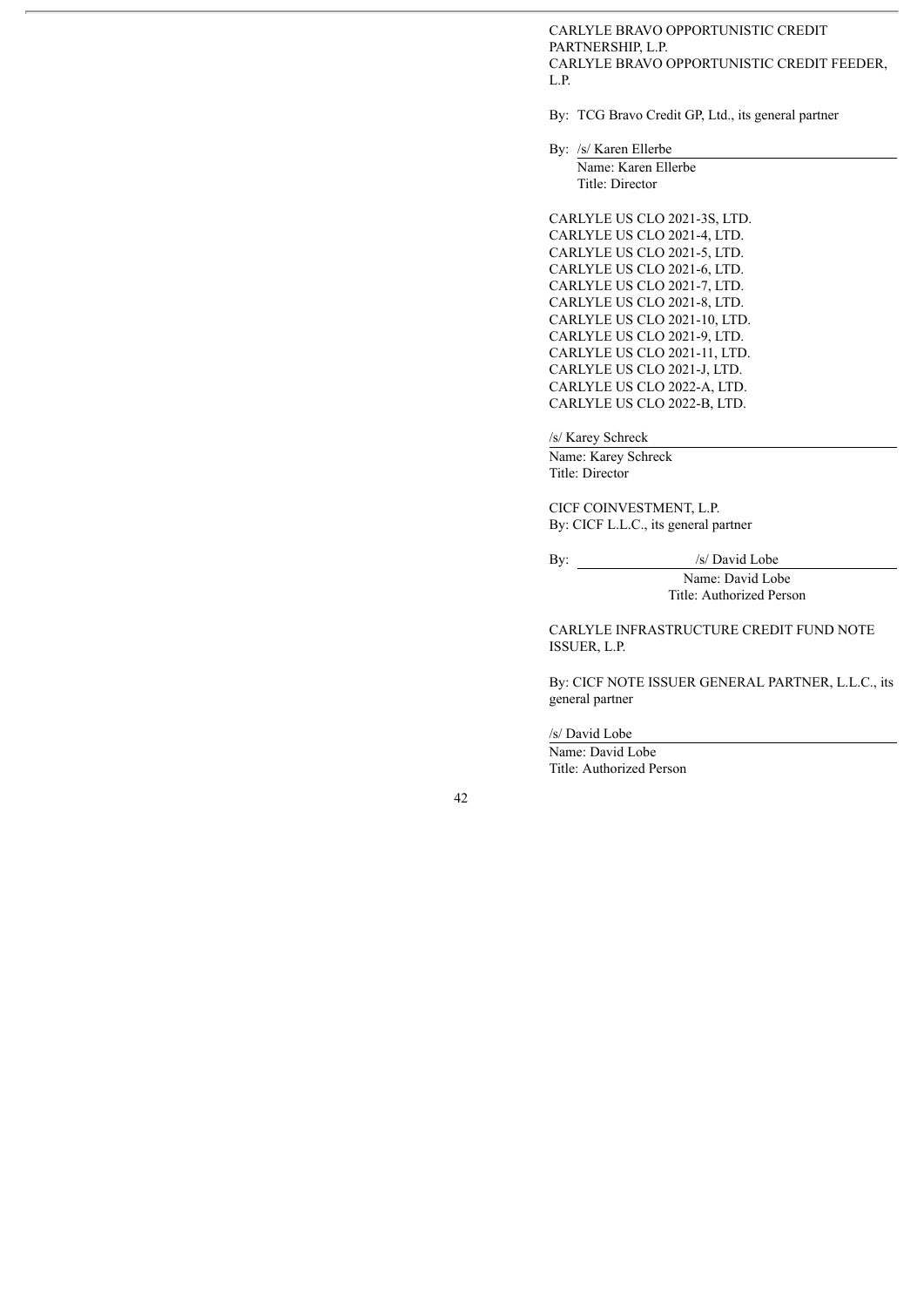CARLYLE BRAVO OPPORTUNISTIC CREDIT PARTNERSHIP, L.P. CARLYLE BRAVO OPPORTUNISTIC CREDIT FEEDER, L.P.

By: TCG Bravo Credit GP, Ltd., its general partner

By: /s/ Karen Ellerbe

Name: Karen Ellerbe Title: Director

CARLYLE US CLO 2021-3S, LTD. CARLYLE US CLO 2021-4, LTD. CARLYLE US CLO 2021-5, LTD. CARLYLE US CLO 2021-6, LTD. CARLYLE US CLO 2021-7, LTD. CARLYLE US CLO 2021-8, LTD. CARLYLE US CLO 2021-10, LTD. CARLYLE US CLO 2021-9, LTD. CARLYLE US CLO 2021-11, LTD. CARLYLE US CLO 2021-J, LTD. CARLYLE US CLO 2022-A, LTD. CARLYLE US CLO 2022-B, LTD.

/s/ Karey Schreck

Name: Karey Schreck Title: Director

CICF COINVESTMENT, L.P. By: CICF L.L.C., its general partner

By: /s/ David Lobe

Name: David Lobe Title: Authorized Person

CARLYLE INFRASTRUCTURE CREDIT FUND NOTE ISSUER, L.P.

By: CICF NOTE ISSUER GENERAL PARTNER, L.L.C., its general partner

/s/ David Lobe

Name: David Lobe Title: Authorized Person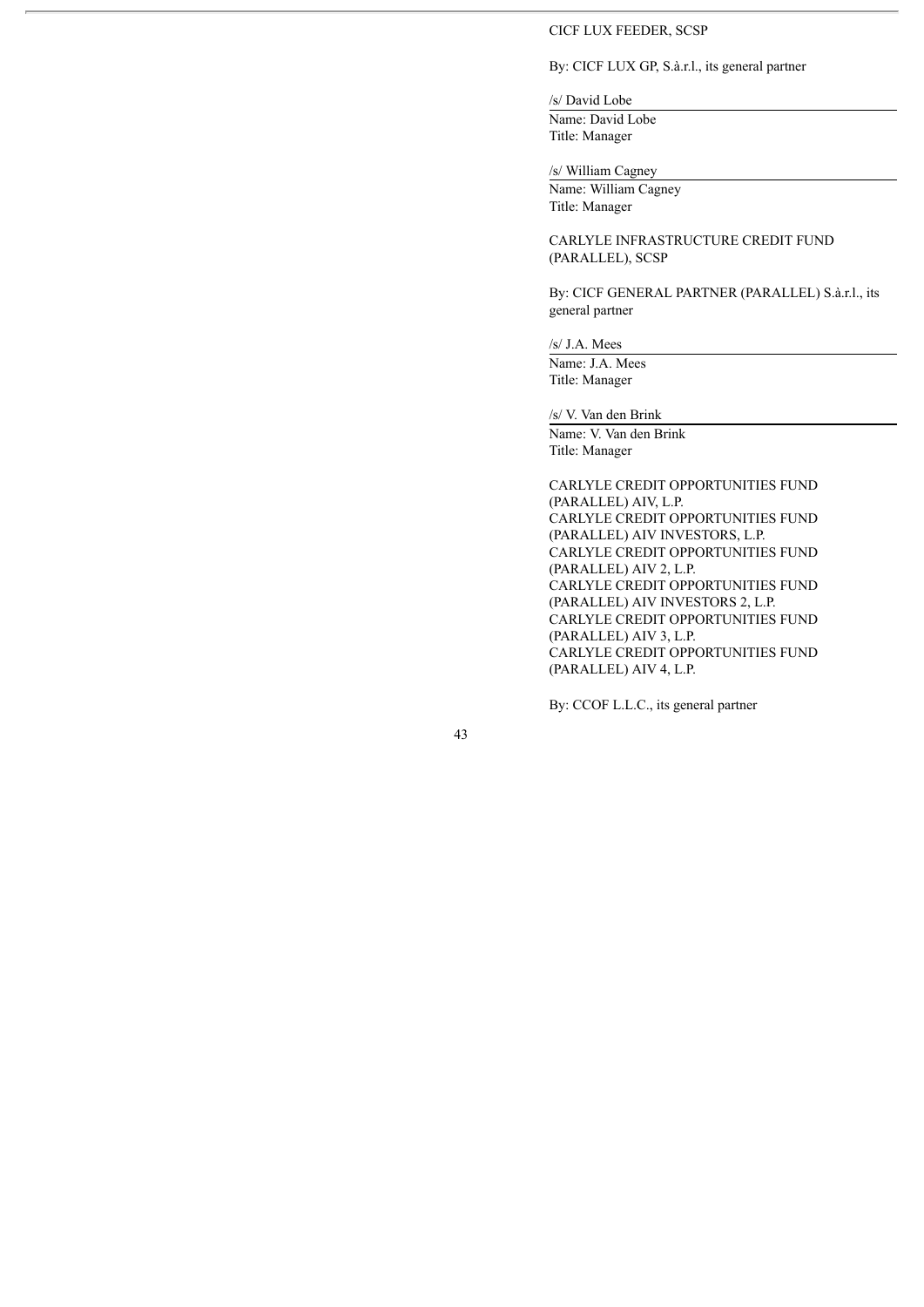#### CICF LUX FEEDER, SCSP

# By: CICF LUX GP, S.à.r.l., its general partner

/s/ David Lobe

Name: David Lobe Title: Manager

/s/ William Cagney

Name: William Cagney Title: Manager

CARLYLE INFRASTRUCTURE CREDIT FUND (PARALLEL), SCSP

By: CICF GENERAL PARTNER (PARALLEL) S.à.r.l., its general partner

/s/ J.A. Mees

Name: J.A. Mees Title: Manager

/s/ V. Van den Brink

Name: V. Van den Brink Title: Manager

CARLYLE CREDIT OPPORTUNITIES FUND (PARALLEL) AIV, L.P. CARLYLE CREDIT OPPORTUNITIES FUND (PARALLEL) AIV INVESTORS, L.P. CARLYLE CREDIT OPPORTUNITIES FUND (PARALLEL) AIV 2, L.P. CARLYLE CREDIT OPPORTUNITIES FUND (PARALLEL) AIV INVESTORS 2, L.P. CARLYLE CREDIT OPPORTUNITIES FUND (PARALLEL) AIV 3, L.P. CARLYLE CREDIT OPPORTUNITIES FUND (PARALLEL) AIV 4, L.P.

By: CCOF L.L.C., its general partner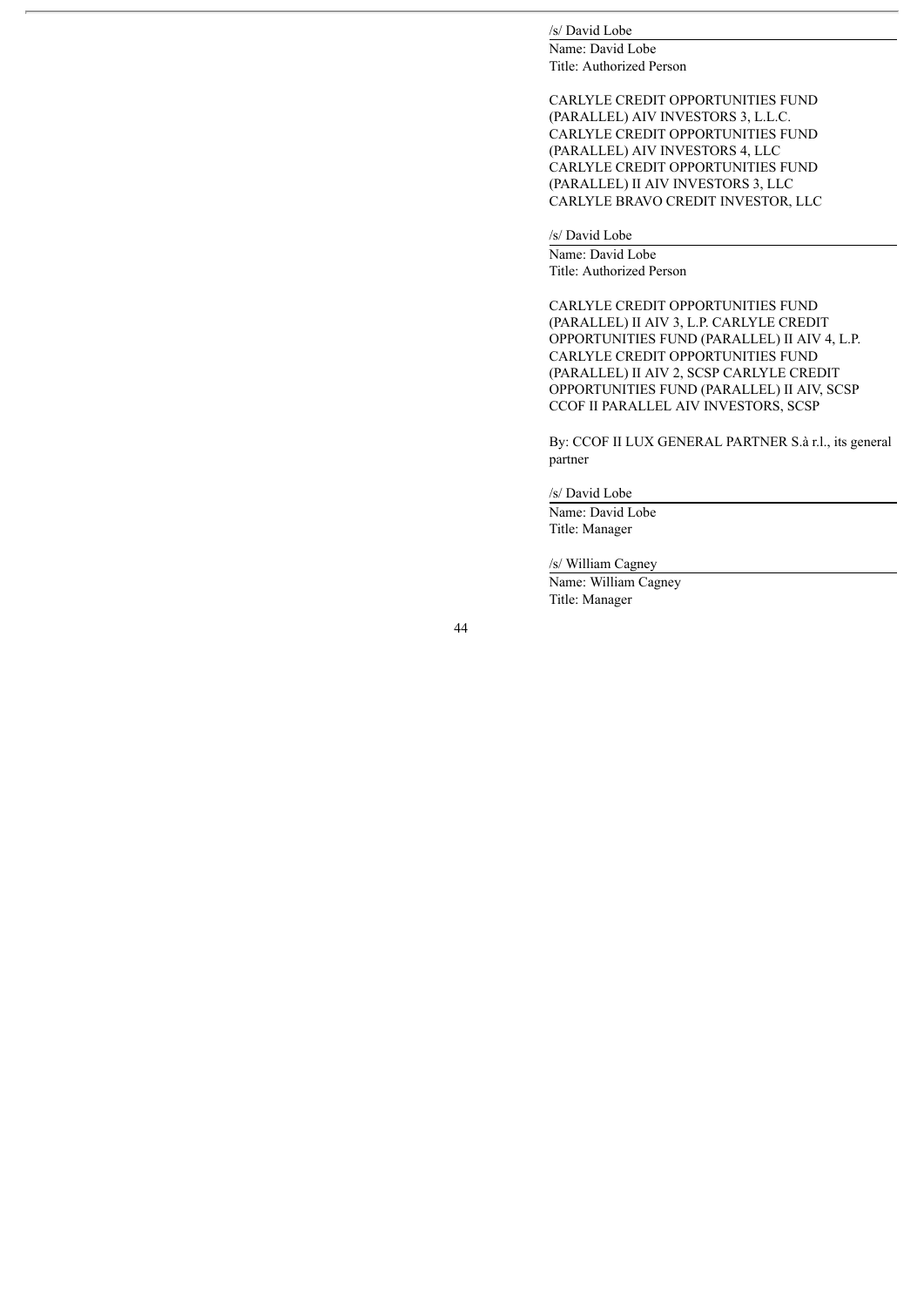## /s/ David Lobe

Name: David Lobe Title: Authorized Person

CARLYLE CREDIT OPPORTUNITIES FUND (PARALLEL) AIV INVESTORS 3, L.L.C. CARLYLE CREDIT OPPORTUNITIES FUND (PARALLEL) AIV INVESTORS 4, LLC CARLYLE CREDIT OPPORTUNITIES FUND (PARALLEL) II AIV INVESTORS 3, LLC CARLYLE BRAVO CREDIT INVESTOR, LLC

## /s/ David Lobe

Name: David Lobe Title: Authorized Person

CARLYLE CREDIT OPPORTUNITIES FUND (PARALLEL) II AIV 3, L.P. CARLYLE CREDIT OPPORTUNITIES FUND (PARALLEL) II AIV 4, L.P. CARLYLE CREDIT OPPORTUNITIES FUND (PARALLEL) II AIV 2, SCSP CARLYLE CREDIT OPPORTUNITIES FUND (PARALLEL) II AIV, SCSP CCOF II PARALLEL AIV INVESTORS, SCSP

By: CCOF II LUX GENERAL PARTNER S.à r.l., its general partner

/s/ David Lobe

Name: David Lobe Title: Manager

/s/ William Cagney

Name: William Cagney Title: Manager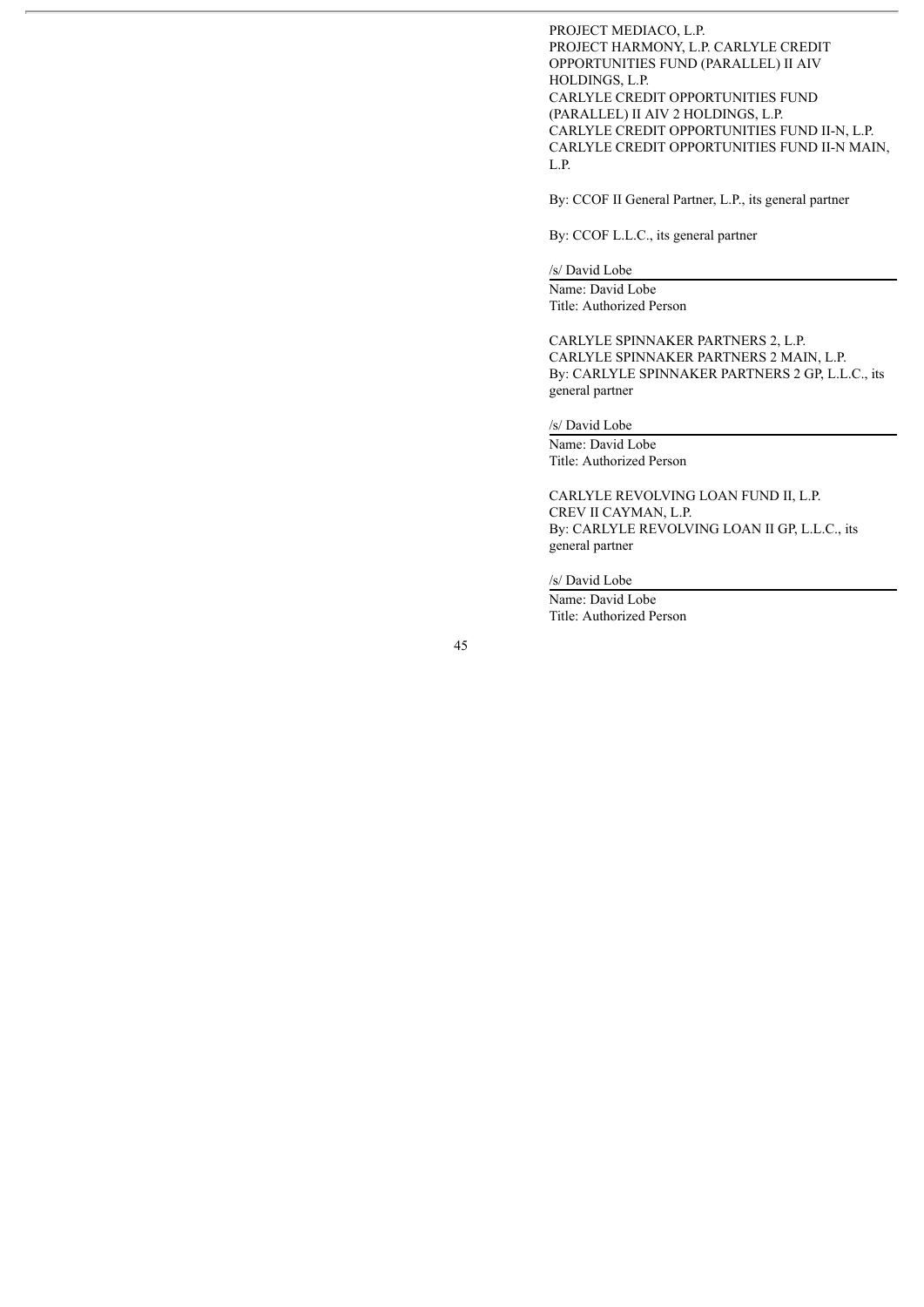PROJECT MEDIACO, L.P. PROJECT HARMONY, L.P. CARLYLE CREDIT OPPORTUNITIES FUND (PARALLEL) II AIV HOLDINGS, L.P. CARLYLE CREDIT OPPORTUNITIES FUND (PARALLEL) II AIV 2 HOLDINGS, L.P. CARLYLE CREDIT OPPORTUNITIES FUND II-N, L.P. CARLYLE CREDIT OPPORTUNITIES FUND II-N MAIN, L.P.

By: CCOF II General Partner, L.P., its general partner

By: CCOF L.L.C., its general partner

/s/ David Lobe

Name: David Lobe Title: Authorized Person

CARLYLE SPINNAKER PARTNERS 2, L.P. CARLYLE SPINNAKER PARTNERS 2 MAIN, L.P. By: CARLYLE SPINNAKER PARTNERS 2 GP, L.L.C., its general partner

/s/ David Lobe

Name: David Lobe Title: Authorized Person

CARLYLE REVOLVING LOAN FUND II, L.P. CREV II CAYMAN, L.P. By: CARLYLE REVOLVING LOAN II GP, L.L.C., its general partner

/s/ David Lobe

Name: David Lobe Title: Authorized Person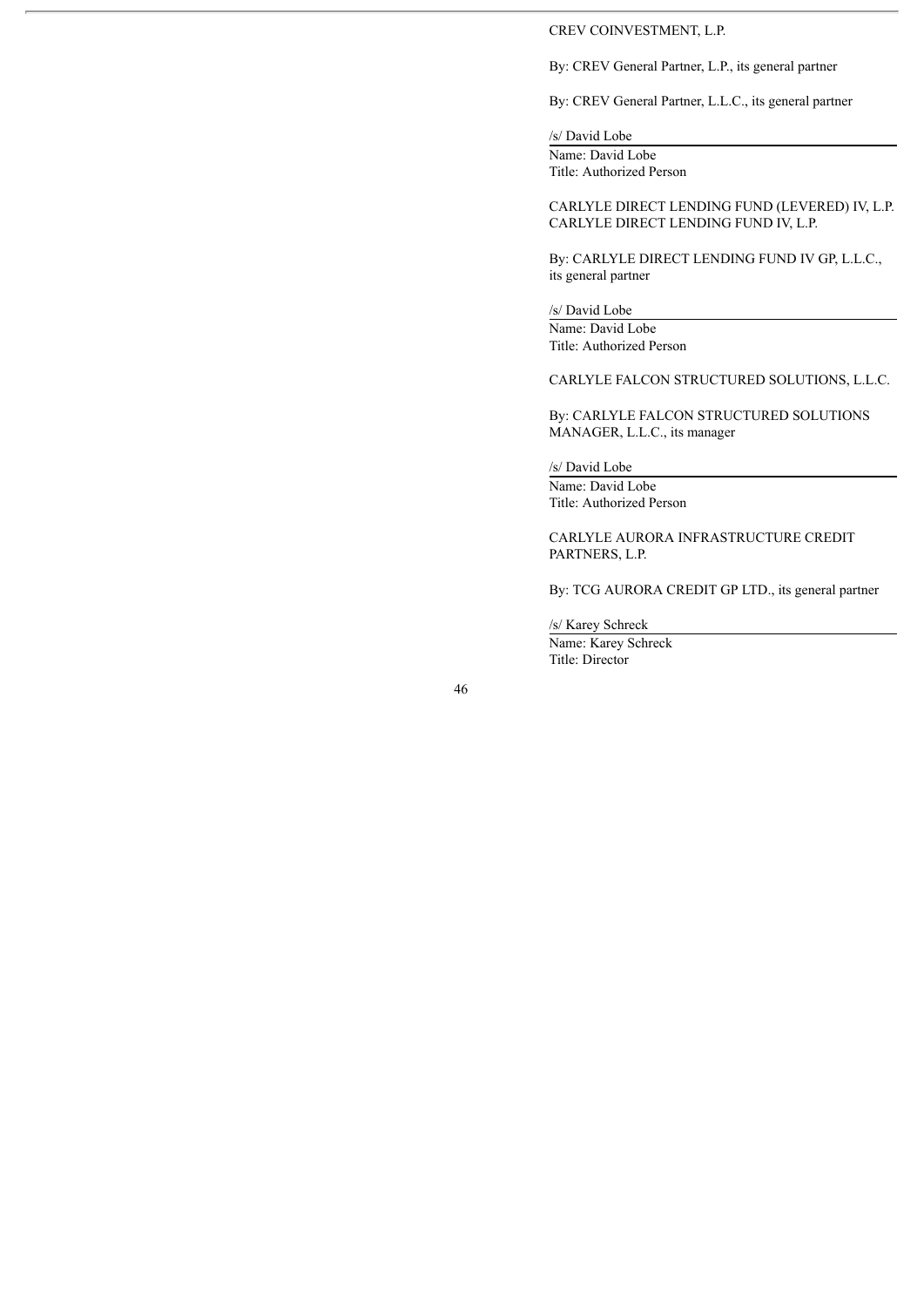#### CREV COINVESTMENT, L.P.

By: CREV General Partner, L.P., its general partner

By: CREV General Partner, L.L.C., its general partner

# /s/ David Lobe

Name: David Lobe Title: Authorized Person

CARLYLE DIRECT LENDING FUND (LEVERED) IV, L.P. CARLYLE DIRECT LENDING FUND IV, L.P.

By: CARLYLE DIRECT LENDING FUND IV GP, L.L.C., its general partner

/s/ David Lobe

Name: David Lobe Title: Authorized Person

CARLYLE FALCON STRUCTURED SOLUTIONS, L.L.C.

By: CARLYLE FALCON STRUCTURED SOLUTIONS MANAGER, L.L.C., its manager

/s/ David Lobe

Name: David Lobe Title: Authorized Person

CARLYLE AURORA INFRASTRUCTURE CREDIT PARTNERS, L.P.

By: TCG AURORA CREDIT GP LTD., its general partner

/s/ Karey Schreck

Name: Karey Schreck Title: Director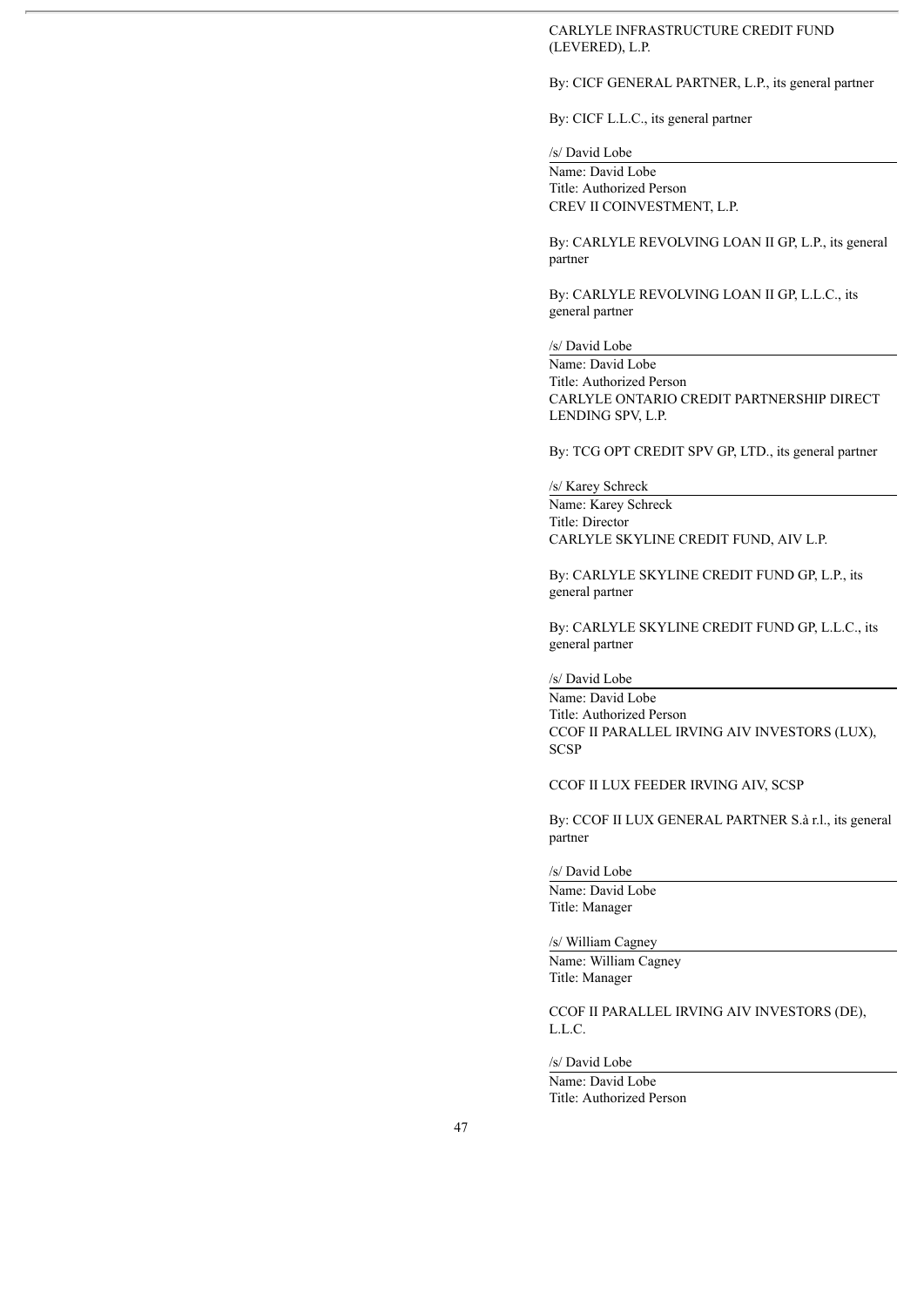### CARLYLE INFRASTRUCTURE CREDIT FUND (LEVERED), L.P.

By: CICF GENERAL PARTNER, L.P., its general partner

By: CICF L.L.C., its general partner

/s/ David Lobe

Name: David Lobe Title: Authorized Person CREV II COINVESTMENT, L.P.

By: CARLYLE REVOLVING LOAN II GP, L.P., its general partner

By: CARLYLE REVOLVING LOAN II GP, L.L.C., its general partner

/s/ David Lobe

Name: David Lobe Title: Authorized Person CARLYLE ONTARIO CREDIT PARTNERSHIP DIRECT LENDING SPV, L.P.

By: TCG OPT CREDIT SPV GP, LTD., its general partner

/s/ Karey Schreck Name: Karey Schreck Title: Director CARLYLE SKYLINE CREDIT FUND, AIV L.P.

By: CARLYLE SKYLINE CREDIT FUND GP, L.P., its general partner

By: CARLYLE SKYLINE CREDIT FUND GP, L.L.C., its general partner

/s/ David Lobe

Name: David Lobe Title: Authorized Person CCOF II PARALLEL IRVING AIV INVESTORS (LUX), **SCSP** 

CCOF II LUX FEEDER IRVING AIV, SCSP

By: CCOF II LUX GENERAL PARTNER S.à r.l., its general partner

/s/ David Lobe

Name: David Lobe Title: Manager

/s/ William Cagney

Name: William Cagney Title: Manager

CCOF II PARALLEL IRVING AIV INVESTORS (DE), L.L.C.

/s/ David Lobe

Name: David Lobe Title: Authorized Person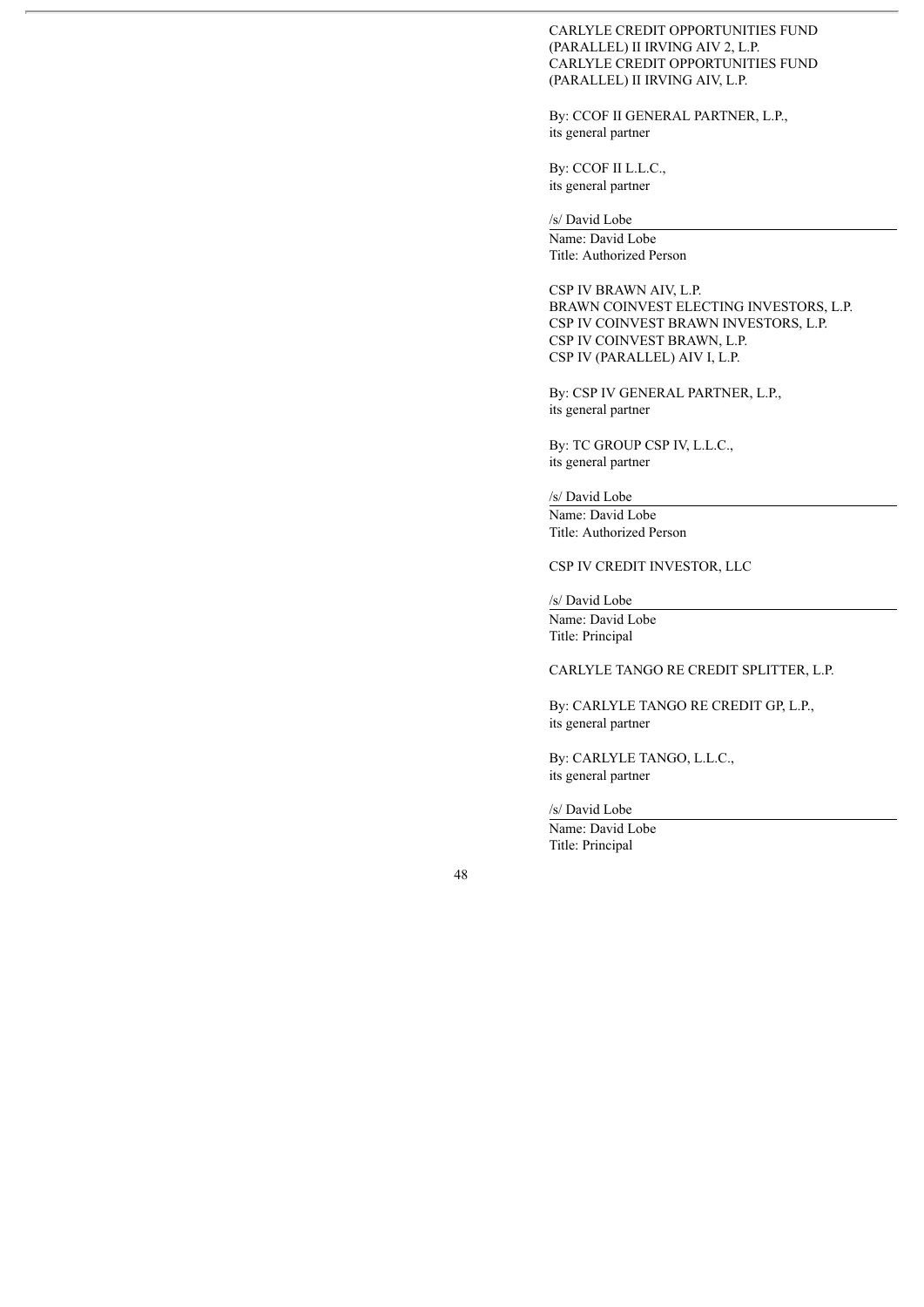CARLYLE CREDIT OPPORTUNITIES FUND (PARALLEL) II IRVING AIV 2, L.P. CARLYLE CREDIT OPPORTUNITIES FUND (PARALLEL) II IRVING AIV, L.P.

By: CCOF II GENERAL PARTNER, L.P., its general partner

By: CCOF II L.L.C., its general partner

/s/ David Lobe

Name: David Lobe Title: Authorized Person

CSP IV BRAWN AIV, L.P. BRAWN COINVEST ELECTING INVESTORS, L.P. CSP IV COINVEST BRAWN INVESTORS, L.P. CSP IV COINVEST BRAWN, L.P. CSP IV (PARALLEL) AIV I, L.P.

By: CSP IV GENERAL PARTNER, L.P., its general partner

By: TC GROUP CSP IV, L.L.C., its general partner

/s/ David Lobe

Name: David Lobe Title: Authorized Person

CSP IV CREDIT INVESTOR, LLC

/s/ David Lobe

Name: David Lobe Title: Principal

CARLYLE TANGO RE CREDIT SPLITTER, L.P.

By: CARLYLE TANGO RE CREDIT GP, L.P., its general partner

By: CARLYLE TANGO, L.L.C., its general partner

/s/ David Lobe

Name: David Lobe Title: Principal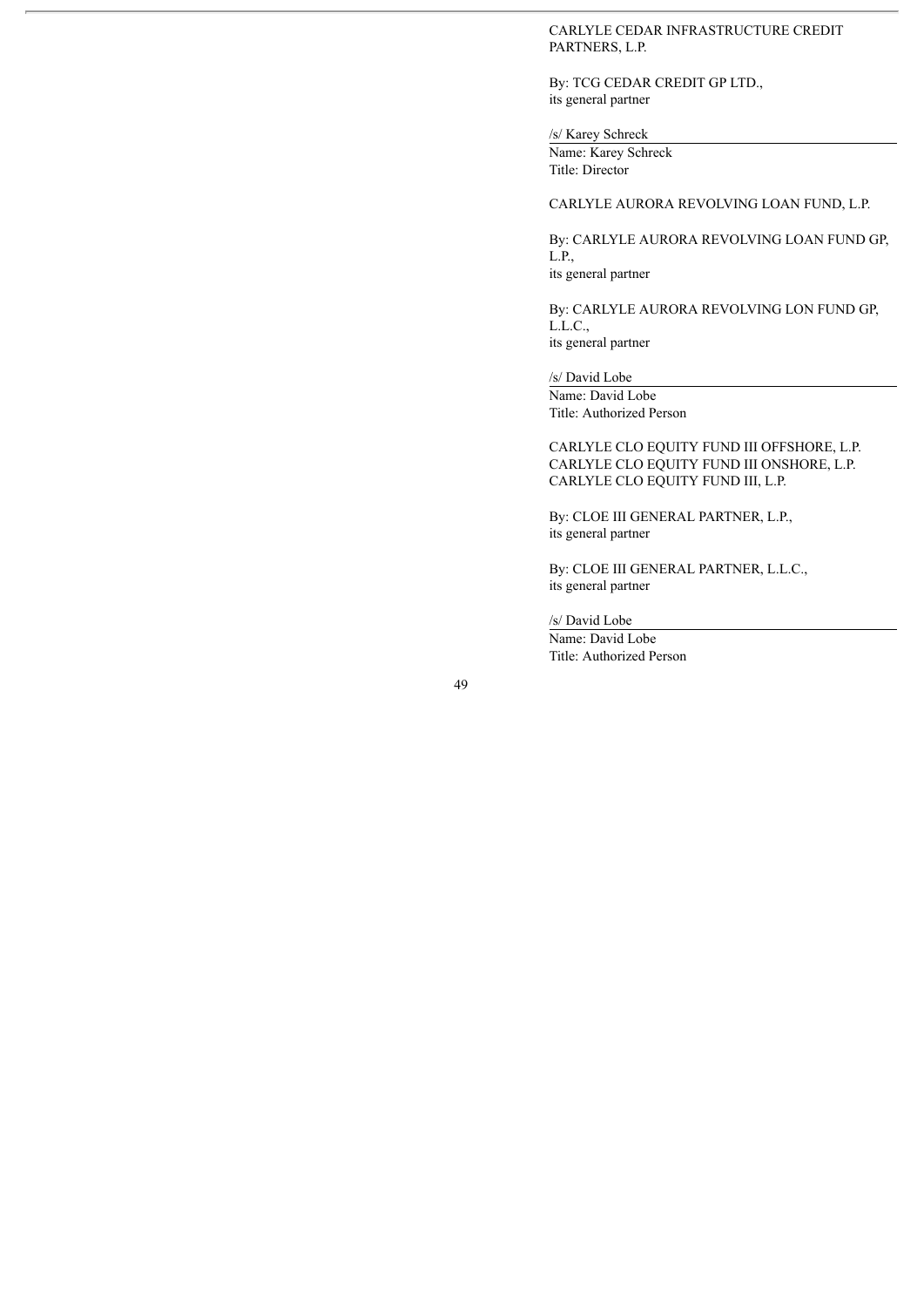## CARLYLE CEDAR INFRASTRUCTURE CREDIT PARTNERS, L.P.

By: TCG CEDAR CREDIT GP LTD., its general partner

## /s/ Karey Schreck

Name: Karey Schreck Title: Director

#### CARLYLE AURORA REVOLVING LOAN FUND, L.P.

By: CARLYLE AURORA REVOLVING LOAN FUND GP, L.P., its general partner

By: CARLYLE AURORA REVOLVING LON FUND GP, L.L.C., its general partner

/s/ David Lobe

Name: David Lobe

Title: Authorized Person

CARLYLE CLO EQUITY FUND III OFFSHORE, L.P. CARLYLE CLO EQUITY FUND III ONSHORE, L.P. CARLYLE CLO EQUITY FUND III, L.P.

By: CLOE III GENERAL PARTNER, L.P., its general partner

By: CLOE III GENERAL PARTNER, L.L.C., its general partner

/s/ David Lobe

Name: David Lobe Title: Authorized Person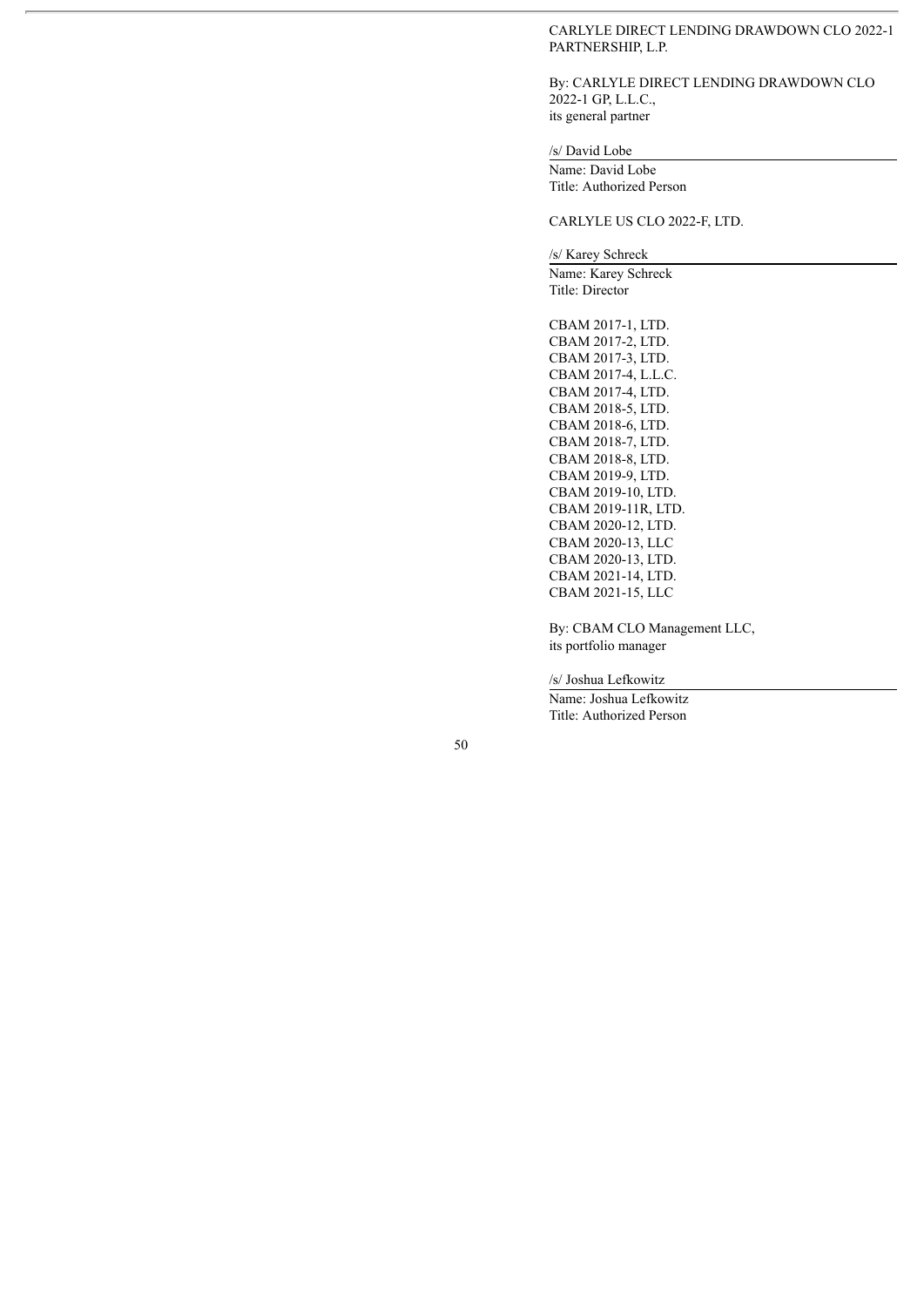#### CARLYLE DIRECT LENDING DRAWDOWN CLO 2022-1 PARTNERSHIP, L.P.

By: CARLYLE DIRECT LENDING DRAWDOWN CLO 2022-1 GP, L.L.C., its general partner

#### /s/ David Lobe

Name: David Lobe Title: Authorized Person

### CARLYLE US CLO 2022-F, LTD.

/s/ Karey Schreck

Name: Karey Schreck Title: Director

CBAM 2017-1, LTD. CBAM 2017-2, LTD. CBAM 2017-3, LTD. CBAM 2017-4, L.L.C. CBAM 2017-4, LTD. CBAM 2018-5, LTD. CBAM 2018-6, LTD. CBAM 2018-7, LTD. CBAM 2018-8, LTD. CBAM 2019-9, LTD. CBAM 2019-10, LTD. CBAM 2019-11R, LTD. CBAM 2020-12, LTD. CBAM 2020-13, LLC CBAM 2020-13, LTD. CBAM 2021-14, LTD. CBAM 2021-15, LLC

By: CBAM CLO Management LLC, its portfolio manager

/s/ Joshua Lefkowitz

Name: Joshua Lefkowitz Title: Authorized Person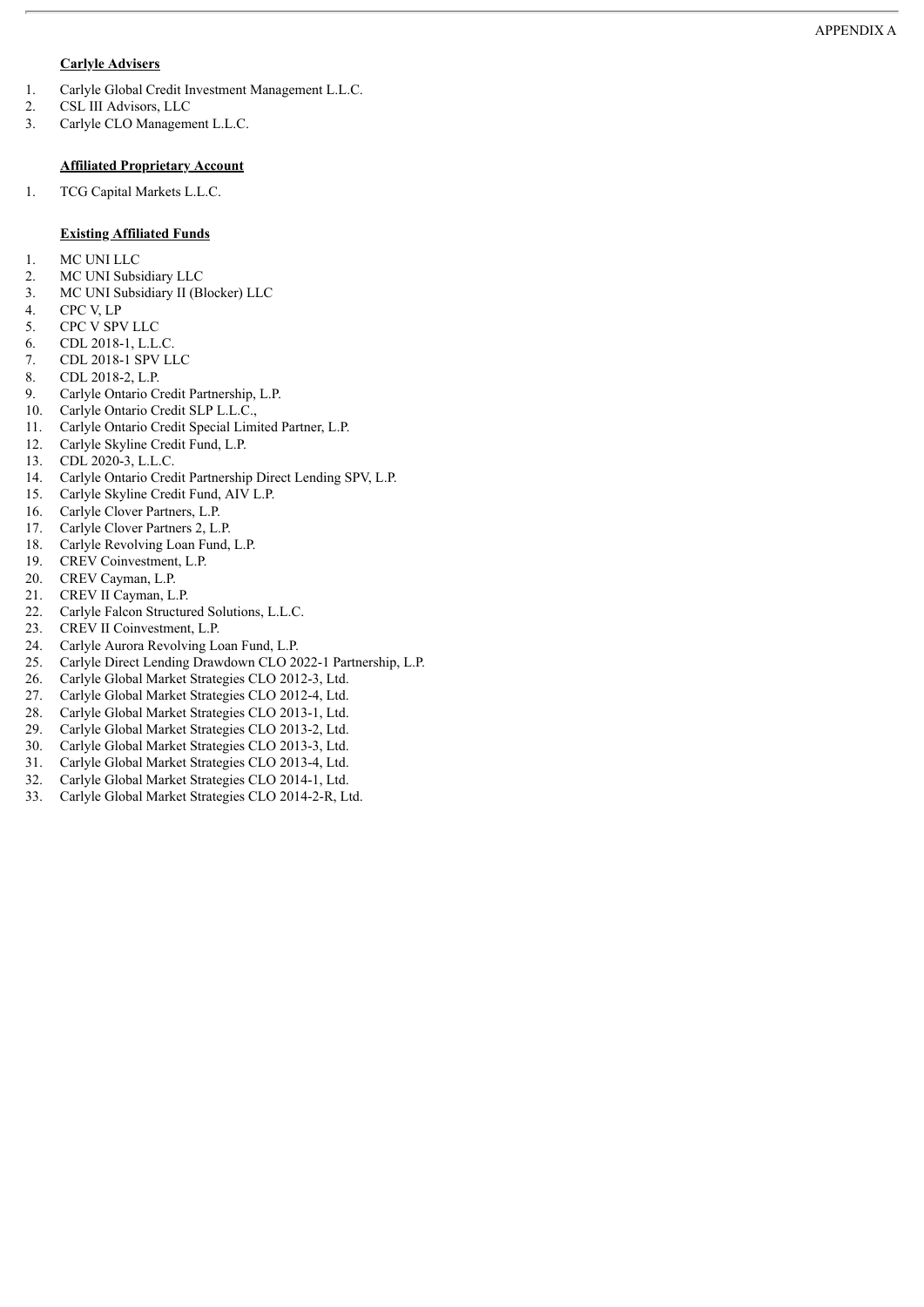### **Carlyle Advisers**

- 1. Carlyle Global Credit Investment Management L.L.C.
- 2. CSL III Advisors, LLC
- 3. Carlyle CLO Management L.L.C.

### **Affiliated Proprietary Account**

1. TCG Capital Markets L.L.C.

#### **Existing Affiliated Funds**

- 1. MC UNI LLC
- 2. MC UNI Subsidiary LLC
- 3. MC UNI Subsidiary II (Blocker) LLC
- 4. CPC V, LP
- 5. CPC V SPV LLC
- 6. CDL 2018-1, L.L.C.
- 7. CDL 2018-1 SPV LLC
- 8. CDL 2018-2, L.P.
- 9. Carlyle Ontario Credit Partnership, L.P.
- 10. Carlyle Ontario Credit SLP L.L.C.,
- 11. Carlyle Ontario Credit Special Limited Partner, L.P.
- 12. Carlyle Skyline Credit Fund, L.P.
- 13. CDL 2020-3, L.L.C.
- 14. Carlyle Ontario Credit Partnership Direct Lending SPV, L.P.
- 15. Carlyle Skyline Credit Fund, AIV L.P.
- 16. Carlyle Clover Partners, L.P.
- 17. Carlyle Clover Partners 2, L.P.
- 18. Carlyle Revolving Loan Fund, L.P.
- 19. CREV Coinvestment, L.P.
- 20. CREV Cayman, L.P.
- 21. CREV II Cayman, L.P.
- 22. Carlyle Falcon Structured Solutions, L.L.C.
- 23. CREV II Coinvestment, L.P.
- 24. Carlyle Aurora Revolving Loan Fund, L.P.
- 25. Carlyle Direct Lending Drawdown CLO 2022-1 Partnership, L.P.
- 26. Carlyle Global Market Strategies CLO 2012-3, Ltd.
- 27. Carlyle Global Market Strategies CLO 2012-4, Ltd.
- 28. Carlyle Global Market Strategies CLO 2013-1, Ltd.
- 29. Carlyle Global Market Strategies CLO 2013-2, Ltd.
- 30. Carlyle Global Market Strategies CLO 2013-3, Ltd.
- 31. Carlyle Global Market Strategies CLO 2013-4, Ltd.
- 32. Carlyle Global Market Strategies CLO 2014-1, Ltd.
- 33. Carlyle Global Market Strategies CLO 2014-2-R, Ltd.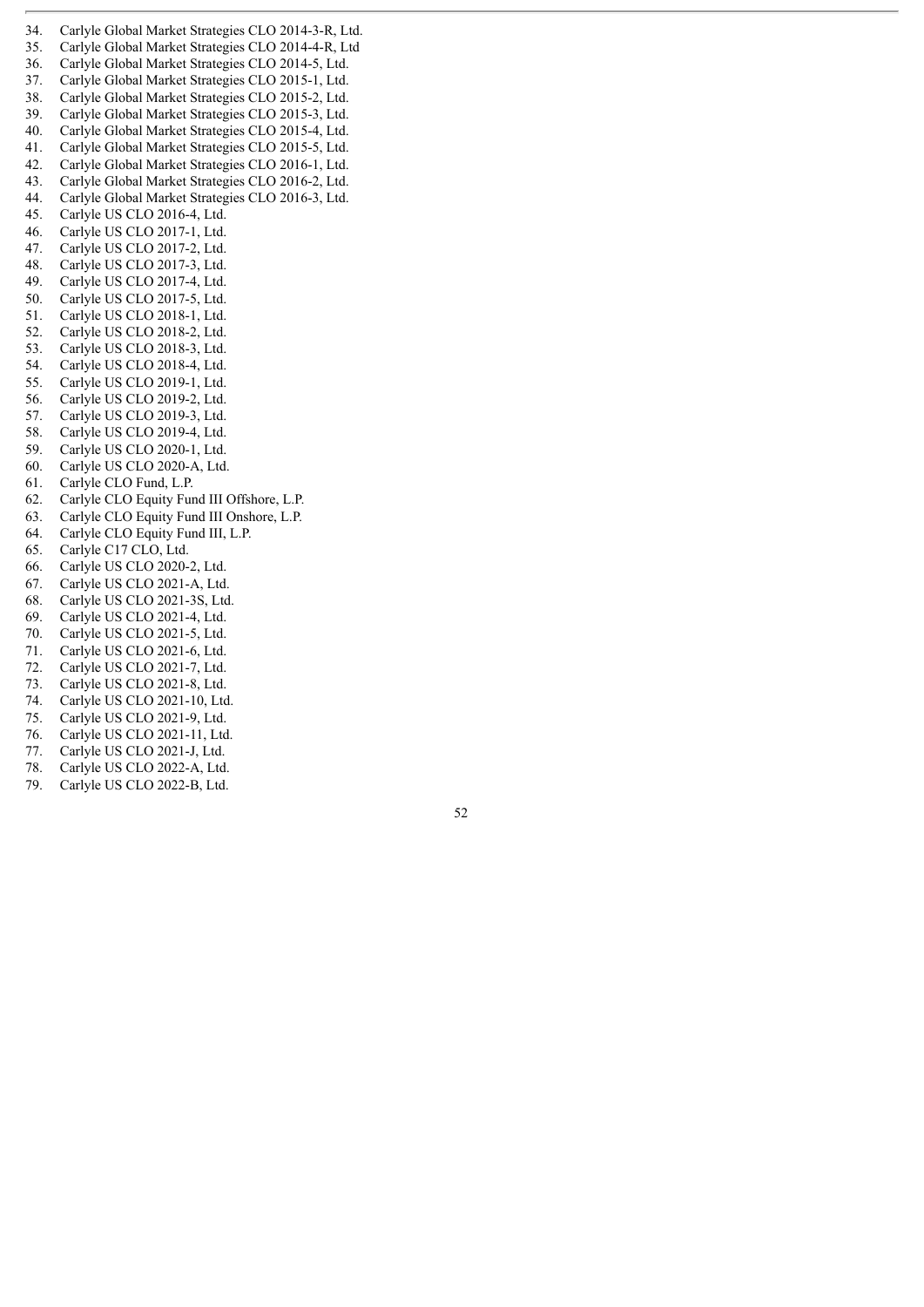34 4. Carlyle Global Market Strategies CLO 2014-3-R, Ltd. 35. Carlyle Global Market Strategies CLO 2014-4-R, Ltd 36. Carlyle Global Market Strategies CLO 2014-5, Ltd. Carlyle Global Market Strategies CLO 2015-1, Ltd. 38. Carlyle Global Market Strategies CLO 2015-2, Ltd. 39. Carlyle Global Market Strategies CLO 2015-3, Ltd. 40. Carlyle Global Market Strategies CLO 2015-4, Ltd. 41. Carlyle Global Market Strategies CLO 2015-5, Ltd. 42. Carlyle Global Market Strategies CLO 2016-1, Ltd. 43. Carlyle Global Market Strategies CLO 2016-2, Ltd. 44. Carlyle Global Market Strategies CLO 2016-3, Ltd. 45. Carlyle US CLO 2016-4, Ltd. 46. Carlyle US CLO 2017-1, Ltd. 47. Carlyle US CLO 2017-2, Ltd. 48. Carlyle US CLO 2017-3, Ltd. 49. Carlyle US CLO 2017-4, Ltd. 50. Carlyle US CLO 2017-5, Ltd. 51. Carlyle US CLO 2018-1, Ltd. 52. Carlyle US CLO 2018-2, Ltd. 53. Carlyle US CLO 2018-3, Ltd. 54. Carlyle US CLO 2018-4, Ltd. 55. Carlyle US CLO 2019-1, Ltd. 56. Carlyle US CLO 2019-2, Ltd. 57. Carlyle US CLO 2019-3, Ltd. 58. Carlyle US CLO 2019-4, Ltd. 59. Carlyle US CLO 2020-1, Ltd. 60. Carlyle US CLO 2020-A, Ltd. 61. Carlyle CLO Fund, L.P. 62. Carlyle CLO Equity Fund III Offshore, L.P. 63. Carlyle CLO Equity Fund III Onshore, L.P. 64. Carlyle CLO Equity Fund III, L.P. 65. Carlyle C17 CLO, Ltd. 66. Carlyle US CLO 2020-2, Ltd. 67. Carlyle US CLO 2021-A, Ltd. 68. Carlyle US CLO 2021-3S, Ltd. 69. Carlyle US CLO 2021-4, Ltd. 70. Carlyle US CLO 2021-5, Ltd. 71. Carlyle US CLO 2021-6, Ltd. 72. Carlyle US CLO 2021-7, Ltd. 73. Carlyle US CLO 2021-8, Ltd.

- 74. Carlyle US CLO 2021-10, Ltd.
- 75. Carlyle US CLO 2021-9, Ltd.
- 76. Carlyle US CLO 2021-11, Ltd.
- 77. Carlyle US CLO 2021-J, Ltd.
- 78. Carlyle US CLO 2022-A, Ltd. 79. Carlyle US CLO 2022-B, Ltd.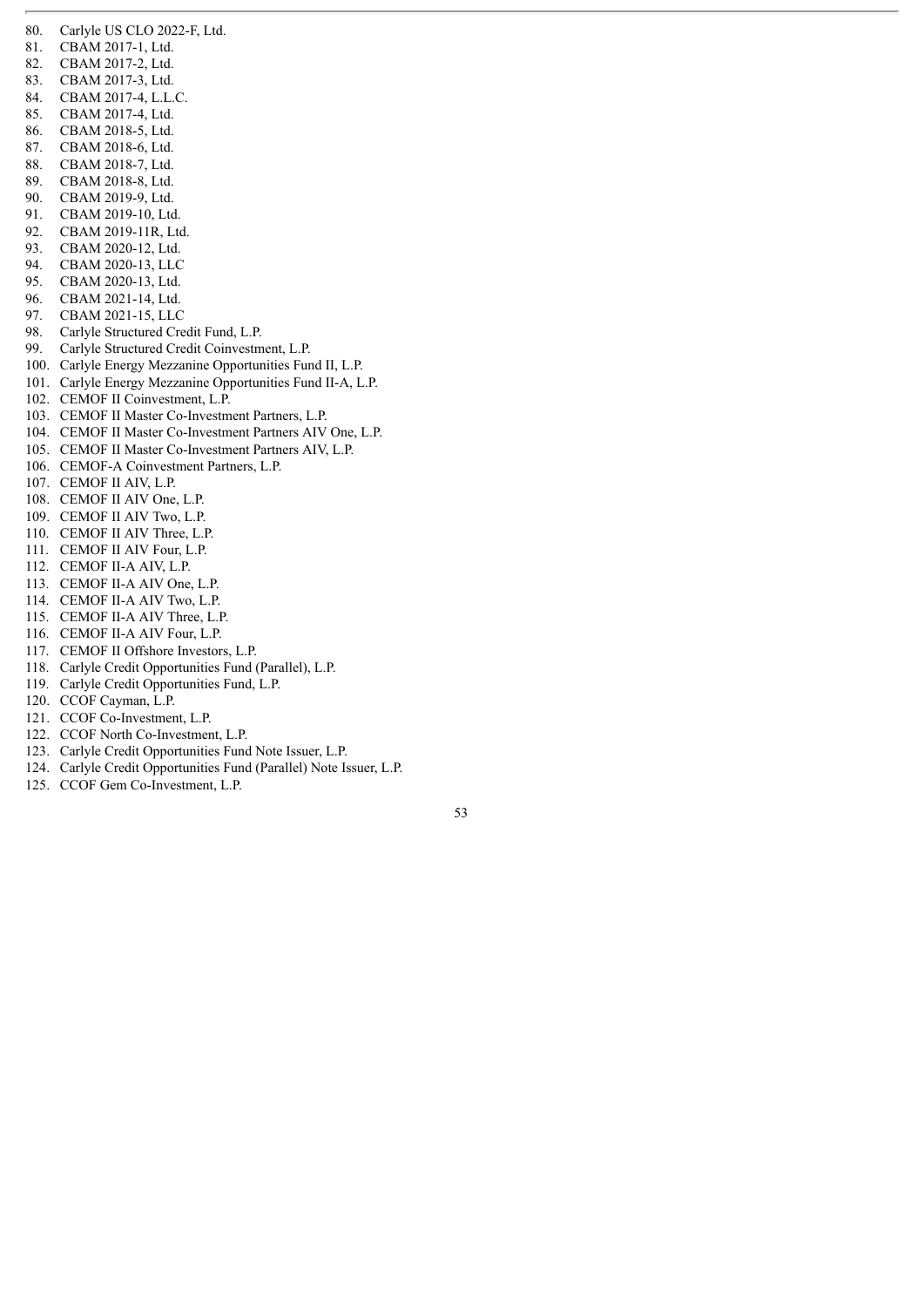- 80. Carlyle US CLO 2022-F, Ltd.
- 81. CBAM 2017-1, Ltd.
- 82. CBAM 2017-2, Ltd.
- 83. CBAM 2017-3, Ltd.
- 84. CBAM 2017-4, L.L.C.
- 85. CBAM 2017-4, Ltd.
- 86. CBAM 2018-5, Ltd.
- 87. CBAM 2018-6, Ltd.
- 88. CBAM 2018-7, Ltd.
- 89. CBAM 2018-8, Ltd.
- 90. CBAM 2019-9, Ltd.
- 91. CBAM 2019-10, Ltd.
- 92. CBAM 2019-11R, Ltd.
- 93. CBAM 2020-12, Ltd.
- 94. CBAM 2020-13, LLC
- 95. CBAM 2020-13, Ltd.
- 96. CBAM 2021-14, Ltd.
- 97. CBAM 2021-15, LLC
- 98. Carlyle Structured Credit Fund, L.P.
- 99. Carlyle Structured Credit Coinvestment, L.P.
- 100. Carlyle Energy Mezzanine Opportunities Fund II, L.P.
- 101. Carlyle Energy Mezzanine Opportunities Fund II-A, L.P.
- 102. CEMOF II Coinvestment, L.P.
- 103. CEMOF II Master Co-Investment Partners, L.P.
- 104. CEMOF II Master Co-Investment Partners AIV One, L.P.
- 105. CEMOF II Master Co-Investment Partners AIV, L.P.
- 106. CEMOF-A Coinvestment Partners, L.P.
- 107. CEMOF II AIV, L.P.
- 108. CEMOF II AIV One, L.P.
- 109. CEMOF II AIV Two, L.P.
- 110. CEMOF II AIV Three, L.P.
- 
- 111. CEMOF II AIV Four, L.P.
- 112. CEMOF II-A AIV, L.P.
- 113. CEMOF II-A AIV One, L.P.
- 114. CEMOF II-A AIV Two, L.P.
- 115. CEMOF II-A AIV Three, L.P.
- 116. CEMOF II-A AIV Four, L.P.
- 117. CEMOF II Offshore Investors, L.P.
- 118. Carlyle Credit Opportunities Fund (Parallel), L.P.
- 119. Carlyle Credit Opportunities Fund, L.P.
- 120. CCOF Cayman, L.P.
- 121. CCOF Co-Investment, L.P.
- 122. CCOF North Co-Investment, L.P.
- 123. Carlyle Credit Opportunities Fund Note Issuer, L.P.
- 124. Carlyle Credit Opportunities Fund (Parallel) Note Issuer, L.P.
- 125. CCOF Gem Co-Investment, L.P.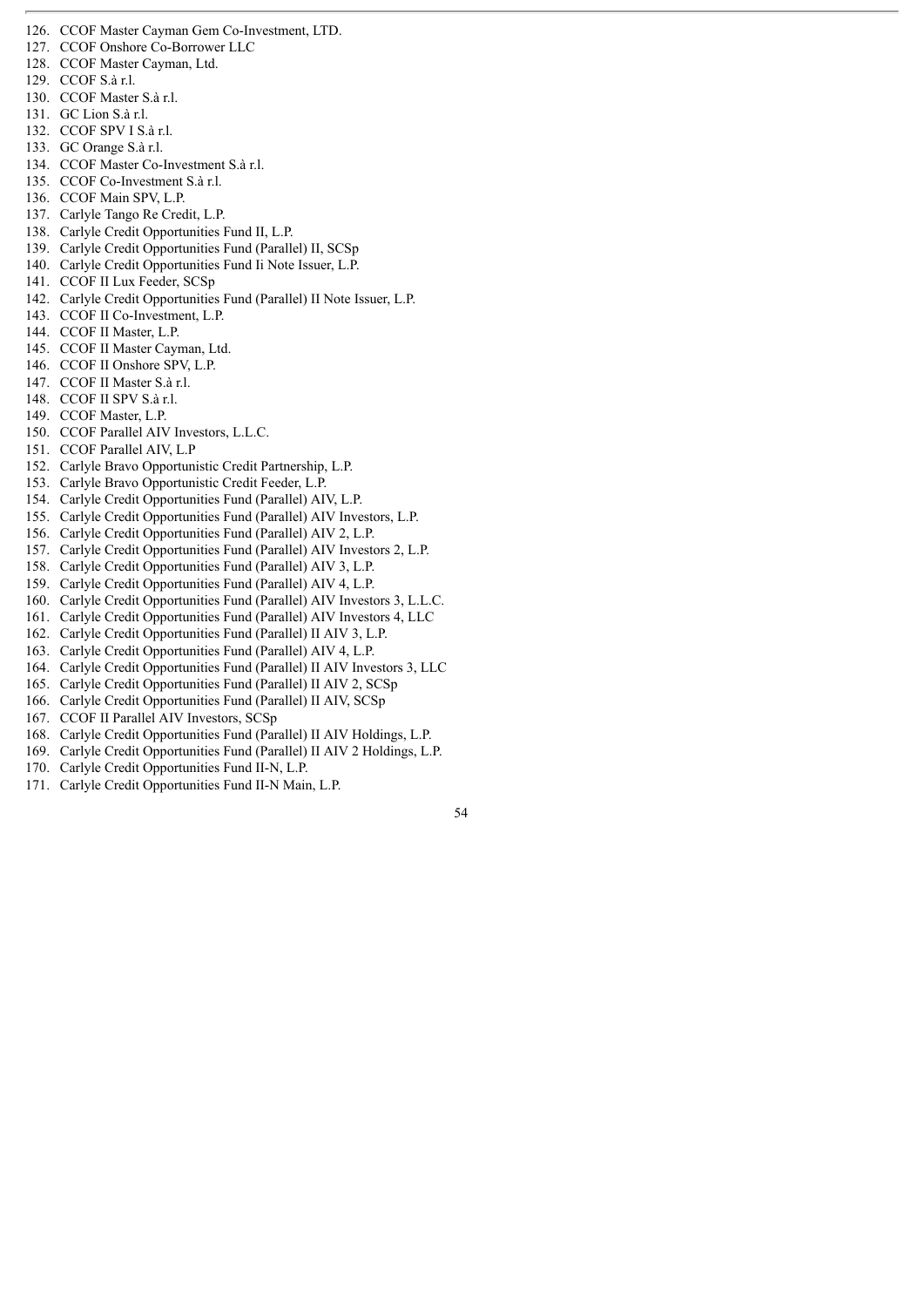- 127. CCOF Onshore Co-Borrower LLC
- 128. CCOF Master Cayman, Ltd.
- 129. CCOF S.à r.l.
- 130. CCOF Master S.à r.l.
- 131. GC Lion S.à r.l.
- 132. CCOF SPV I S.à r.l.
- 133. GC Orange S.à r.l.
- 134. CCOF Master Co-Investment S.à r.l.
- 135. CCOF Co-Investment S.à r.l.
- 136. CCOF Main SPV, L.P.
- 137. Carlyle Tango Re Credit, L.P.
- 138. Carlyle Credit Opportunities Fund II, L.P.
- 139. Carlyle Credit Opportunities Fund (Parallel) II, SCSp
- 140. Carlyle Credit Opportunities Fund Ii Note Issuer, L.P.
- 141. CCOF II Lux Feeder, SCSp
- 
- 142. Carlyle Credit Opportunities Fund (Parallel) II Note Issuer, L.P.
- 143. CCOF II Co-Investment, L.P.
- 144. CCOF II Master, L.P.
- 145. CCOF II Master Cayman, Ltd.
- 146. CCOF II Onshore SPV, L.P.
- 147. CCOF II Master S.à r.l.
- 148. CCOF II SPV S.à r.l.
- 149. CCOF Master, L.P.
- 150. CCOF Parallel AIV Investors, L.L.C.
- 151. CCOF Parallel AIV, L.P
- 152. Carlyle Bravo Opportunistic Credit Partnership, L.P.
- 153. Carlyle Bravo Opportunistic Credit Feeder, L.P.
- 154. Carlyle Credit Opportunities Fund (Parallel) AIV, L.P.
- 155. Carlyle Credit Opportunities Fund (Parallel) AIV Investors, L.P.
- 156. Carlyle Credit Opportunities Fund (Parallel) AIV 2, L.P.
- 157. Carlyle Credit Opportunities Fund (Parallel) AIV Investors 2, L.P.
- 158. Carlyle Credit Opportunities Fund (Parallel) AIV 3, L.P.
- 159. Carlyle Credit Opportunities Fund (Parallel) AIV 4, L.P.
- 160. Carlyle Credit Opportunities Fund (Parallel) AIV Investors 3, L.L.C.
- 161. Carlyle Credit Opportunities Fund (Parallel) AIV Investors 4, LLC
- 162. Carlyle Credit Opportunities Fund (Parallel) II AIV 3, L.P.
- 163. Carlyle Credit Opportunities Fund (Parallel) AIV 4, L.P.
- 164. Carlyle Credit Opportunities Fund (Parallel) II AIV Investors 3, LLC
- 165. Carlyle Credit Opportunities Fund (Parallel) II AIV 2, SCSp
- 166. Carlyle Credit Opportunities Fund (Parallel) II AIV, SCSp
- 167. CCOF II Parallel AIV Investors, SCSp
- 168. Carlyle Credit Opportunities Fund (Parallel) II AIV Holdings, L.P.
- 169. Carlyle Credit Opportunities Fund (Parallel) II AIV 2 Holdings, L.P.
- 170. Carlyle Credit Opportunities Fund II-N, L.P.
- 171. Carlyle Credit Opportunities Fund II-N Main, L.P.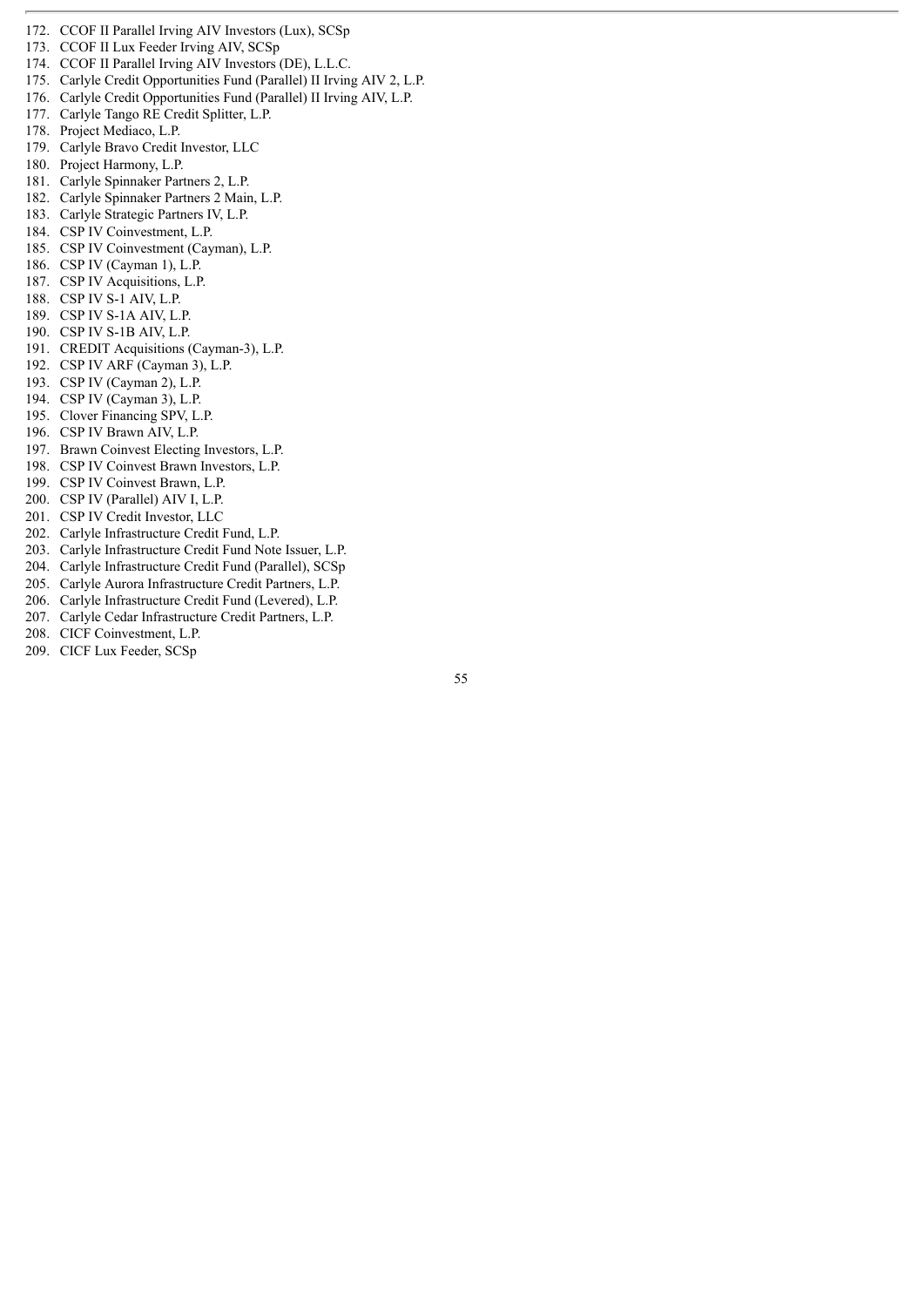- 172. CCOF II Parallel Irving AIV Investors (Lux), SCSp
- 173. CCOF II Lux Feeder Irving AIV, SCSp
- 174. CCOF II Parallel Irving AIV Investors (DE), L.L.C.
- 175. Carlyle Credit Opportunities Fund (Parallel) II Irving AIV 2, L.P.
- 176. Carlyle Credit Opportunities Fund (Parallel) II Irving AIV, L.P.
- 177. Carlyle Tango RE Credit Splitter, L.P.
- 178. Project Mediaco, L.P.
- 179. Carlyle Bravo Credit Investor, LLC
- 180. Project Harmony, L.P.
- 181. Carlyle Spinnaker Partners 2, L.P.
- 182. Carlyle Spinnaker Partners 2 Main, L.P.
- 183. Carlyle Strategic Partners IV, L.P.
- 184. CSP IV Coinvestment, L.P.
- 185. CSP IV Coinvestment (Cayman), L.P.
- 186. CSP IV (Cayman 1), L.P.
- 187. CSP IV Acquisitions, L.P.
- 188. CSP IV S-1 AIV, L.P.
- 189. CSP IV S-1A AIV, L.P.
- 190. CSP IV S-1B AIV, L.P.
- 191. CREDIT Acquisitions (Cayman-3), L.P.
- 192. CSP IV ARF (Cayman 3), L.P.
- 193. CSP IV (Cayman 2), L.P.
- 194. CSP IV (Cayman 3), L.P.
- 195. Clover Financing SPV, L.P.
- 196. CSP IV Brawn AIV, L.P.
- 197. Brawn Coinvest Electing Investors, L.P.
- 198. CSP IV Coinvest Brawn Investors, L.P.
- 199. CSP IV Coinvest Brawn, L.P.
- 200. CSP IV (Parallel) AIV I, L.P.
- 201. CSP IV Credit Investor, LLC
- 202. Carlyle Infrastructure Credit Fund, L.P.
- 
- 203. Carlyle Infrastructure Credit Fund Note Issuer, L.P.
- 204. Carlyle Infrastructure Credit Fund (Parallel), SCSp
- 205. Carlyle Aurora Infrastructure Credit Partners, L.P.
- 206. Carlyle Infrastructure Credit Fund (Levered), L.P.
- 207. Carlyle Cedar Infrastructure Credit Partners, L.P.
- 208. CICF Coinvestment, L.P.
- 209. CICF Lux Feeder, SCSp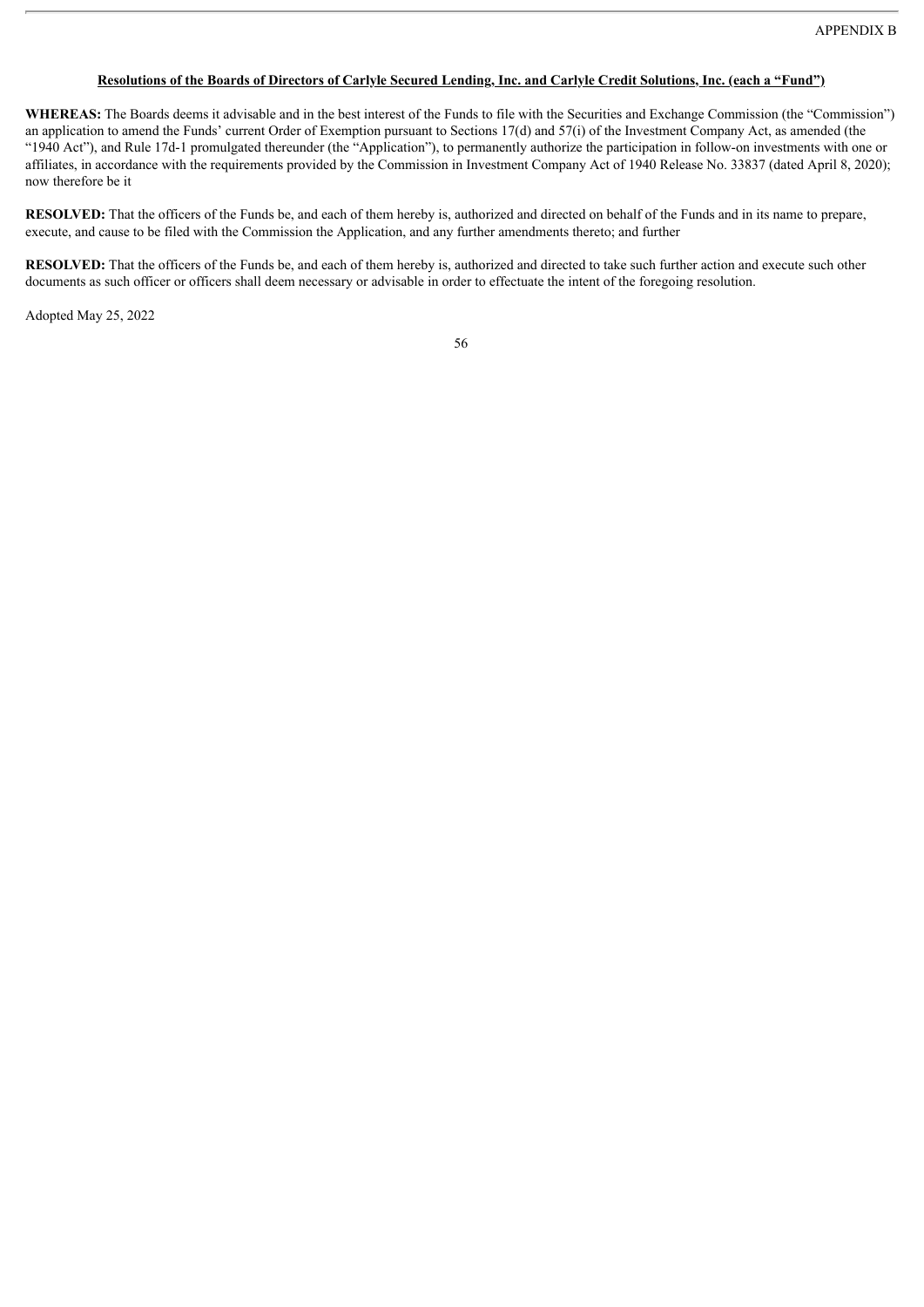# Resolutions of the Boards of Directors of Carlyle Secured Lending, Inc. and Carlyle Credit Solutions, Inc. (each a "Fund")

**WHEREAS:** The Boards deems it advisable and in the best interest of the Funds to file with the Securities and Exchange Commission (the "Commission") an application to amend the Funds' current Order of Exemption pursuant to Sections 17(d) and 57(i) of the Investment Company Act, as amended (the "1940 Act"), and Rule 17d-1 promulgated thereunder (the "Application"), to permanently authorize the participation in follow-on investments with one or affiliates, in accordance with the requirements provided by the Commission in Investment Company Act of 1940 Release No. 33837 (dated April 8, 2020); now therefore be it

**RESOLVED:** That the officers of the Funds be, and each of them hereby is, authorized and directed on behalf of the Funds and in its name to prepare, execute, and cause to be filed with the Commission the Application, and any further amendments thereto; and further

**RESOLVED:** That the officers of the Funds be, and each of them hereby is, authorized and directed to take such further action and execute such other documents as such officer or officers shall deem necessary or advisable in order to effectuate the intent of the foregoing resolution.

Adopted May 25, 2022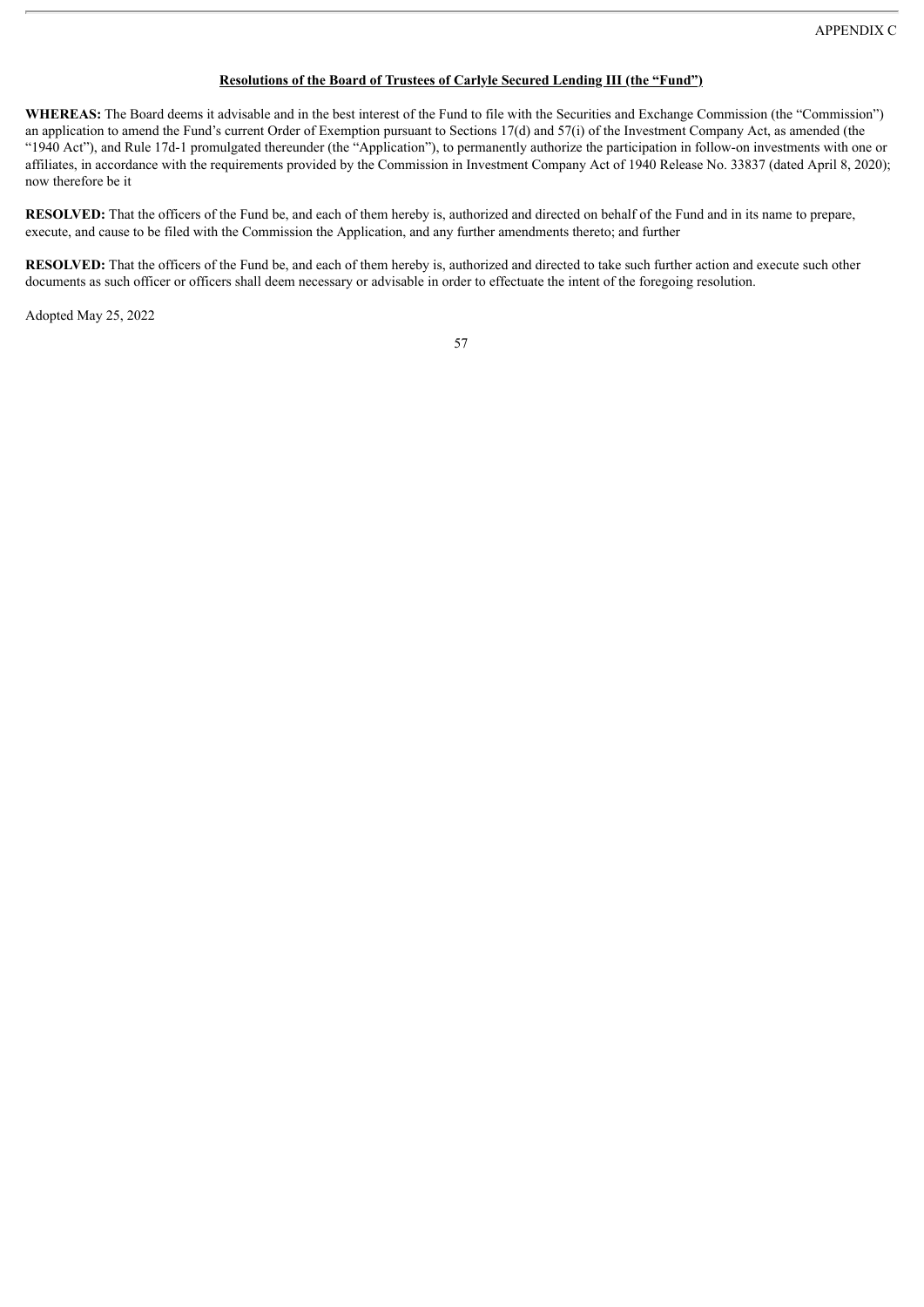# **Resolutions of the Board of Trustees of Carlyle Secured Lending III (the "Fund")**

**WHEREAS:** The Board deems it advisable and in the best interest of the Fund to file with the Securities and Exchange Commission (the "Commission") an application to amend the Fund's current Order of Exemption pursuant to Sections 17(d) and 57(i) of the Investment Company Act, as amended (the "1940 Act"), and Rule 17d-1 promulgated thereunder (the "Application"), to permanently authorize the participation in follow-on investments with one or affiliates, in accordance with the requirements provided by the Commission in Investment Company Act of 1940 Release No. 33837 (dated April 8, 2020); now therefore be it

**RESOLVED:** That the officers of the Fund be, and each of them hereby is, authorized and directed on behalf of the Fund and in its name to prepare, execute, and cause to be filed with the Commission the Application, and any further amendments thereto; and further

**RESOLVED:** That the officers of the Fund be, and each of them hereby is, authorized and directed to take such further action and execute such other documents as such officer or officers shall deem necessary or advisable in order to effectuate the intent of the foregoing resolution.

Adopted May 25, 2022